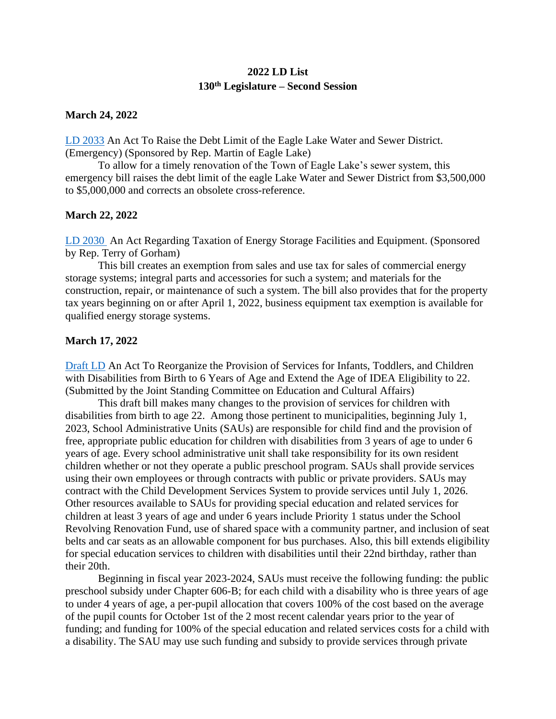# **2022 LD List 130th Legislature – Second Session**

### **March 24, 2022**

[LD 2033](https://legislature.maine.gov/bills/getPDF.asp?paper=HP1514&item=1&snum=130) An Act To Raise the Debt Limit of the Eagle Lake Water and Sewer District. (Emergency) (Sponsored by Rep. Martin of Eagle Lake)

To allow for a timely renovation of the Town of Eagle Lake's sewer system, this emergency bill raises the debt limit of the eagle Lake Water and Sewer District from \$3,500,000 to \$5,000,000 and corrects an obsolete cross-reference.

### **March 22, 2022**

[LD 2030](http://www.mainelegislature.org/legis/bills/getPDF.asp?paper=HP1512&item=1&snum=130) An Act Regarding Taxation of Energy Storage Facilities and Equipment. (Sponsored by Rep. Terry of Gorham)

This bill creates an exemption from sales and use tax for sales of commercial energy storage systems; integral parts and accessories for such a system; and materials for the construction, repair, or maintenance of such a system. The bill also provides that for the property tax years beginning on or after April 1, 2022, business equipment tax exemption is available for qualified energy storage systems.

### **March 17, 2022**

[Draft LD](https://memun.org/DesktopModules/Bring2mind/DMX/Download.aspx?Command=Core_Download&EntryId=15591&language=en-US&PortalId=0&TabId=204) An Act To Reorganize the Provision of Services for Infants, Toddlers, and Children with Disabilities from Birth to 6 Years of Age and Extend the Age of IDEA Eligibility to 22. (Submitted by the Joint Standing Committee on Education and Cultural Affairs)

This draft bill makes many changes to the provision of services for children with disabilities from birth to age 22. Among those pertinent to municipalities, beginning July 1, 2023, School Administrative Units (SAUs) are responsible for child find and the provision of free, appropriate public education for children with disabilities from 3 years of age to under 6 years of age. Every school administrative unit shall take responsibility for its own resident children whether or not they operate a public preschool program. SAUs shall provide services using their own employees or through contracts with public or private providers. SAUs may contract with the Child Development Services System to provide services until July 1, 2026. Other resources available to SAUs for providing special education and related services for children at least 3 years of age and under 6 years include Priority 1 status under the School Revolving Renovation Fund, use of shared space with a community partner, and inclusion of seat belts and car seats as an allowable component for bus purchases. Also, this bill extends eligibility for special education services to children with disabilities until their 22nd birthday, rather than their 20th.

Beginning in fiscal year 2023-2024, SAUs must receive the following funding: the public preschool subsidy under Chapter 606-B; for each child with a disability who is three years of age to under 4 years of age, a per-pupil allocation that covers 100% of the cost based on the average of the pupil counts for October 1st of the 2 most recent calendar years prior to the year of funding; and funding for 100% of the special education and related services costs for a child with a disability. The SAU may use such funding and subsidy to provide services through private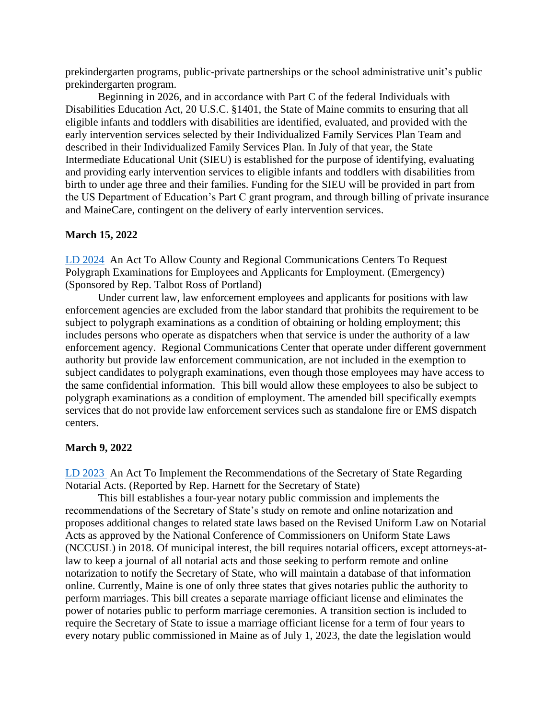prekindergarten programs, public-private partnerships or the school administrative unit's public prekindergarten program.

Beginning in 2026, and in accordance with Part C of the federal Individuals with Disabilities Education Act, 20 U.S.C. §1401, the State of Maine commits to ensuring that all eligible infants and toddlers with disabilities are identified, evaluated, and provided with the early intervention services selected by their Individualized Family Services Plan Team and described in their Individualized Family Services Plan. In July of that year, the State Intermediate Educational Unit (SIEU) is established for the purpose of identifying, evaluating and providing early intervention services to eligible infants and toddlers with disabilities from birth to under age three and their families. Funding for the SIEU will be provided in part from the US Department of Education's Part C grant program, and through billing of private insurance and MaineCare, contingent on the delivery of early intervention services.

#### **March 15, 2022**

[LD 2024](https://legislature.maine.gov/bills/getPDF.asp?paper=HP1504&item=1&snum=130) An Act To Allow County and Regional Communications Centers To Request Polygraph Examinations for Employees and Applicants for Employment. (Emergency) (Sponsored by Rep. Talbot Ross of Portland)

Under current law, law enforcement employees and applicants for positions with law enforcement agencies are excluded from the labor standard that prohibits the requirement to be subject to polygraph examinations as a condition of obtaining or holding employment; this includes persons who operate as dispatchers when that service is under the authority of a law enforcement agency. Regional Communications Center that operate under different government authority but provide law enforcement communication, are not included in the exemption to subject candidates to polygraph examinations, even though those employees may have access to the same confidential information. This bill would allow these employees to also be subject to polygraph examinations as a condition of employment. The amended bill specifically exempts services that do not provide law enforcement services such as standalone fire or EMS dispatch centers.

#### **March 9, 2022**

[LD 2023](http://www.mainelegislature.org/legis/bills/getPDF.asp?paper=HP1503&item=1&snum=130) An Act To Implement the Recommendations of the Secretary of State Regarding Notarial Acts. (Reported by Rep. Harnett for the Secretary of State)

This bill establishes a four-year notary public commission and implements the recommendations of the Secretary of State's study on remote and online notarization and proposes additional changes to related state laws based on the Revised Uniform Law on Notarial Acts as approved by the National Conference of Commissioners on Uniform State Laws (NCCUSL) in 2018. Of municipal interest, the bill requires notarial officers, except attorneys-atlaw to keep a journal of all notarial acts and those seeking to perform remote and online notarization to notify the Secretary of State, who will maintain a database of that information online. Currently, Maine is one of only three states that gives notaries public the authority to perform marriages. This bill creates a separate marriage officiant license and eliminates the power of notaries public to perform marriage ceremonies. A transition section is included to require the Secretary of State to issue a marriage officiant license for a term of four years to every notary public commissioned in Maine as of July 1, 2023, the date the legislation would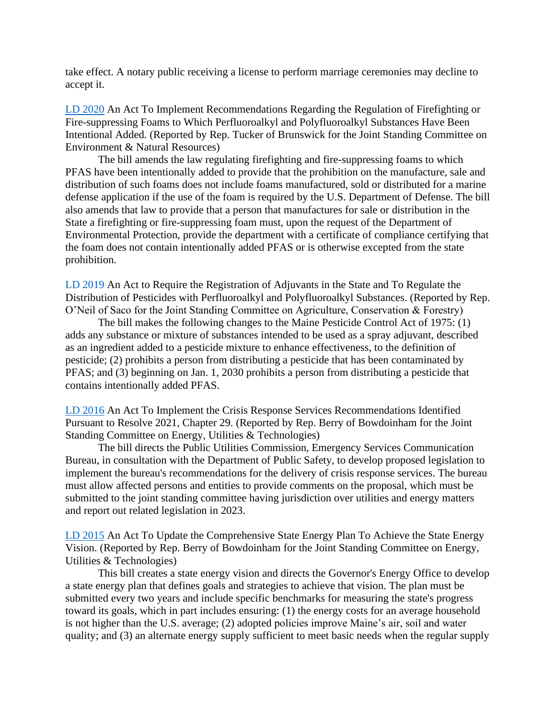take effect. A notary public receiving a license to perform marriage ceremonies may decline to accept it.

[LD 2020](http://www.mainelegislature.org/legis/bills/getPDF.asp?paper=HP1502&item=1&snum=130) An Act To Implement Recommendations Regarding the Regulation of Firefighting or Fire-suppressing Foams to Which Perfluoroalkyl and Polyfluoroalkyl Substances Have Been Intentional Added. (Reported by Rep. Tucker of Brunswick for the Joint Standing Committee on Environment & Natural Resources)

The bill amends the law regulating firefighting and fire-suppressing foams to which PFAS have been intentionally added to provide that the prohibition on the manufacture, sale and distribution of such foams does not include foams manufactured, sold or distributed for a marine defense application if the use of the foam is required by the U.S. Department of Defense. The bill also amends that law to provide that a person that manufactures for sale or distribution in the State a firefighting or fire-suppressing foam must, upon the request of the Department of Environmental Protection, provide the department with a certificate of compliance certifying that the foam does not contain intentionally added PFAS or is otherwise excepted from the state prohibition.

[LD 2019](http://www.mainelegislature.org/legis/bills/getPDF.asp?paper=HP1501&item=1&snum=130) An Act to Require the Registration of Adjuvants in the State and To Regulate the Distribution of Pesticides with Perfluoroalkyl and Polyfluoroalkyl Substances. (Reported by Rep. O'Neil of Saco for the Joint Standing Committee on Agriculture, Conservation & Forestry)

The bill makes the following changes to the Maine Pesticide Control Act of 1975: (1) adds any substance or mixture of substances intended to be used as a spray adjuvant, described as an ingredient added to a pesticide mixture to enhance effectiveness, to the definition of pesticide; (2) prohibits a person from distributing a pesticide that has been contaminated by PFAS; and (3) beginning on Jan. 1, 2030 prohibits a person from distributing a pesticide that contains intentionally added PFAS.

[LD 2016](http://www.mainelegislature.org/legis/bills/getPDF.asp?paper=HP1498&item=1&snum=130) An Act To Implement the Crisis Response Services Recommendations Identified Pursuant to Resolve 2021, Chapter 29. (Reported by Rep. Berry of Bowdoinham for the Joint Standing Committee on Energy, Utilities & Technologies)

The bill directs the Public Utilities Commission, Emergency Services Communication Bureau, in consultation with the Department of Public Safety, to develop proposed legislation to implement the bureau's recommendations for the delivery of crisis response services. The bureau must allow affected persons and entities to provide comments on the proposal, which must be submitted to the joint standing committee having jurisdiction over utilities and energy matters and report out related legislation in 2023.

[LD 2015](http://www.mainelegislature.org/legis/bills/getPDF.asp?paper=HP1497&item=1&snum=130) An Act To Update the Comprehensive State Energy Plan To Achieve the State Energy Vision. (Reported by Rep. Berry of Bowdoinham for the Joint Standing Committee on Energy, Utilities & Technologies)

This bill creates a state energy vision and directs the Governor's Energy Office to develop a state energy plan that defines goals and strategies to achieve that vision. The plan must be submitted every two years and include specific benchmarks for measuring the state's progress toward its goals, which in part includes ensuring: (1) the energy costs for an average household is not higher than the U.S. average; (2) adopted policies improve Maine's air, soil and water quality; and (3) an alternate energy supply sufficient to meet basic needs when the regular supply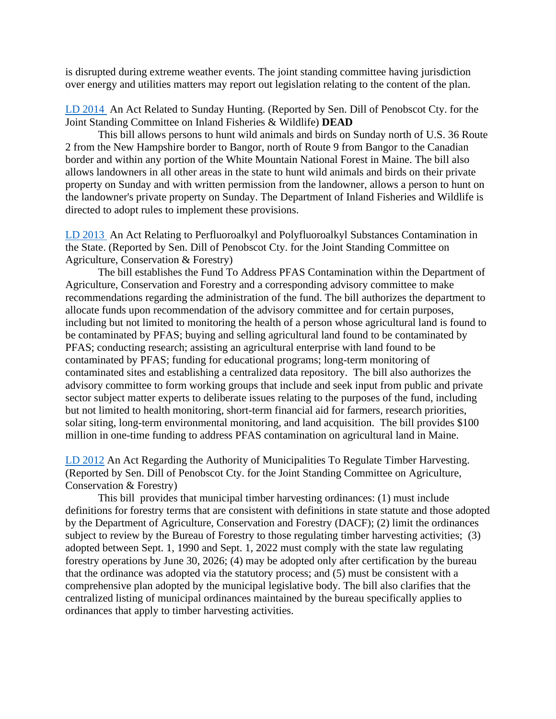is disrupted during extreme weather events. The joint standing committee having jurisdiction over energy and utilities matters may report out legislation relating to the content of the plan.

[LD 2014](http://www.mainelegislature.org/legis/bills/getPDF.asp?paper=SP0730&item=1&snum=130) An Act Related to Sunday Hunting. (Reported by Sen. Dill of Penobscot Cty. for the Joint Standing Committee on Inland Fisheries & Wildlife) **DEAD**

This bill allows persons to hunt wild animals and birds on Sunday north of U.S. 36 Route 2 from the New Hampshire border to Bangor, north of Route 9 from Bangor to the Canadian border and within any portion of the White Mountain National Forest in Maine. The bill also allows landowners in all other areas in the state to hunt wild animals and birds on their private property on Sunday and with written permission from the landowner, allows a person to hunt on the landowner's private property on Sunday. The Department of Inland Fisheries and Wildlife is directed to adopt rules to implement these provisions.

[LD 2013](http://www.mainelegislature.org/legis/bills/getPDF.asp?paper=SP0729&item=1&snum=130) An Act Relating to Perfluoroalkyl and Polyfluoroalkyl Substances Contamination in the State. (Reported by Sen. Dill of Penobscot Cty. for the Joint Standing Committee on Agriculture, Conservation & Forestry)

The bill establishes the Fund To Address PFAS Contamination within the Department of Agriculture, Conservation and Forestry and a corresponding advisory committee to make recommendations regarding the administration of the fund. The bill authorizes the department to allocate funds upon recommendation of the advisory committee and for certain purposes, including but not limited to monitoring the health of a person whose agricultural land is found to be contaminated by PFAS; buying and selling agricultural land found to be contaminated by PFAS; conducting research; assisting an agricultural enterprise with land found to be contaminated by PFAS; funding for educational programs; long-term monitoring of contaminated sites and establishing a centralized data repository. The bill also authorizes the advisory committee to form working groups that include and seek input from public and private sector subject matter experts to deliberate issues relating to the purposes of the fund, including but not limited to health monitoring, short-term financial aid for farmers, research priorities, solar siting, long-term environmental monitoring, and land acquisition. The bill provides \$100 million in one-time funding to address PFAS contamination on agricultural land in Maine.

[LD 2012](http://www.mainelegislature.org/legis/bills/getPDF.asp?paper=SP0728&item=1&snum=130) An Act Regarding the Authority of Municipalities To Regulate Timber Harvesting. (Reported by Sen. Dill of Penobscot Cty. for the Joint Standing Committee on Agriculture, Conservation & Forestry)

This bill provides that municipal timber harvesting ordinances: (1) must include definitions for forestry terms that are consistent with definitions in state statute and those adopted by the Department of Agriculture, Conservation and Forestry (DACF); (2) limit the ordinances subject to review by the Bureau of Forestry to those regulating timber harvesting activities; (3) adopted between Sept. 1, 1990 and Sept. 1, 2022 must comply with the state law regulating forestry operations by June 30, 2026; (4) may be adopted only after certification by the bureau that the ordinance was adopted via the statutory process; and (5) must be consistent with a comprehensive plan adopted by the municipal legislative body. The bill also clarifies that the centralized listing of municipal ordinances maintained by the bureau specifically applies to ordinances that apply to timber harvesting activities.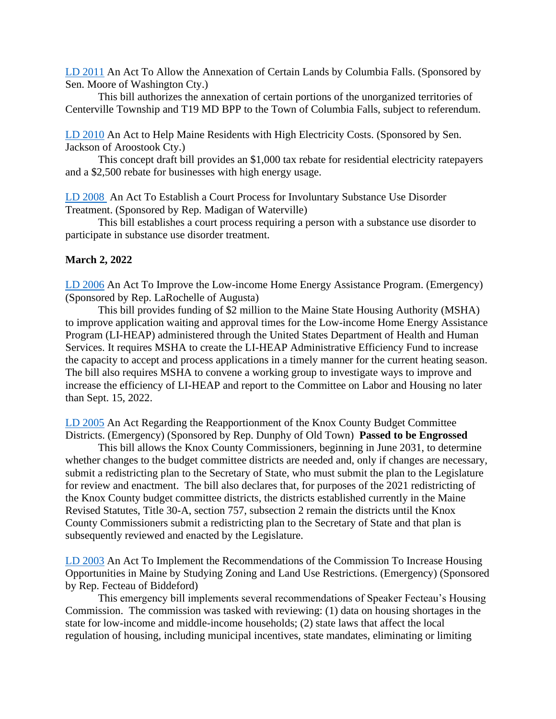[LD 2011](http://www.mainelegislature.org/legis/bills/getPDF.asp?paper=SP0725&item=1&snum=130) An Act To Allow the Annexation of Certain Lands by Columbia Falls. (Sponsored by Sen. Moore of Washington Cty.)

This bill authorizes the annexation of certain portions of the unorganized territories of Centerville Township and T19 MD BPP to the Town of Columbia Falls, subject to referendum.

[LD 2010](http://www.mainelegislature.org/legis/bills/getPDF.asp?paper=SP0723&item=1&snum=130) An Act to Help Maine Residents with High Electricity Costs. (Sponsored by Sen. Jackson of Aroostook Cty.)

This concept draft bill provides an \$1,000 tax rebate for residential electricity ratepayers and a \$2,500 rebate for businesses with high energy usage.

[LD 2008](http://www.mainelegislature.org/legis/bills/getPDF.asp?paper=HP1496&item=1&snum=130) An Act To Establish a Court Process for Involuntary Substance Use Disorder Treatment. (Sponsored by Rep. Madigan of Waterville)

This bill establishes a court process requiring a person with a substance use disorder to participate in substance use disorder treatment.

#### **March 2, 2022**

[LD 2006](http://www.mainelegislature.org/legis/bills/getPDF.asp?paper=HP1492&item=1&snum=130) An Act To Improve the Low-income Home Energy Assistance Program. (Emergency) (Sponsored by Rep. LaRochelle of Augusta)

This bill provides funding of \$2 million to the Maine State Housing Authority (MSHA) to improve application waiting and approval times for the Low-income Home Energy Assistance Program (LI-HEAP) administered through the United States Department of Health and Human Services. It requires MSHA to create the LI-HEAP Administrative Efficiency Fund to increase the capacity to accept and process applications in a timely manner for the current heating season. The bill also requires MSHA to convene a working group to investigate ways to improve and increase the efficiency of LI-HEAP and report to the Committee on Labor and Housing no later than Sept. 15, 2022.

[LD 2005](http://www.mainelegislature.org/legis/bills/getPDF.asp?paper=HP1491&item=1&snum=130) An Act Regarding the Reapportionment of the Knox County Budget Committee Districts. (Emergency) (Sponsored by Rep. Dunphy of Old Town) **Passed to be Engrossed**

This bill allows the Knox County Commissioners, beginning in June 2031, to determine whether changes to the budget committee districts are needed and, only if changes are necessary, submit a redistricting plan to the Secretary of State, who must submit the plan to the Legislature for review and enactment. The bill also declares that, for purposes of the 2021 redistricting of the Knox County budget committee districts, the districts established currently in the Maine Revised Statutes, Title 30-A, section 757, subsection 2 remain the districts until the Knox County Commissioners submit a redistricting plan to the Secretary of State and that plan is subsequently reviewed and enacted by the Legislature.

[LD 2003](http://www.mainelegislature.org/legis/bills/getPDF.asp?paper=HP1489&item=1&snum=130) An Act To Implement the Recommendations of the Commission To Increase Housing Opportunities in Maine by Studying Zoning and Land Use Restrictions. (Emergency) (Sponsored by Rep. Fecteau of Biddeford)

This emergency bill implements several recommendations of Speaker Fecteau's Housing Commission. The commission was tasked with reviewing: (1) data on housing shortages in the state for low-income and middle-income households; (2) state laws that affect the local regulation of housing, including municipal incentives, state mandates, eliminating or limiting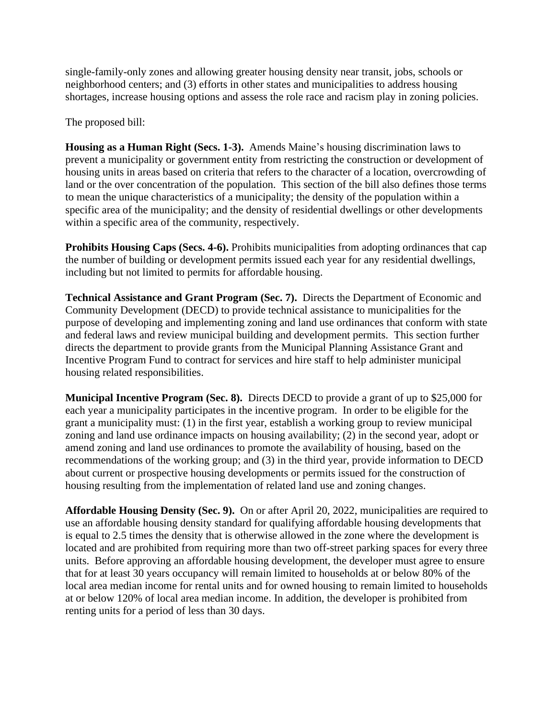single-family-only zones and allowing greater housing density near transit, jobs, schools or neighborhood centers; and (3) efforts in other states and municipalities to address housing shortages, increase housing options and assess the role race and racism play in zoning policies.

The proposed bill:

**Housing as a Human Right (Secs. 1-3).** Amends Maine's housing discrimination laws to prevent a municipality or government entity from restricting the construction or development of housing units in areas based on criteria that refers to the character of a location, overcrowding of land or the over concentration of the population. This section of the bill also defines those terms to mean the unique characteristics of a municipality; the density of the population within a specific area of the municipality; and the density of residential dwellings or other developments within a specific area of the community, respectively.

**Prohibits Housing Caps (Secs. 4-6).** Prohibits municipalities from adopting ordinances that cap the number of building or development permits issued each year for any residential dwellings, including but not limited to permits for affordable housing.

**Technical Assistance and Grant Program (Sec. 7).** Directs the Department of Economic and Community Development (DECD) to provide technical assistance to municipalities for the purpose of developing and implementing zoning and land use ordinances that conform with state and federal laws and review municipal building and development permits. This section further directs the department to provide grants from the Municipal Planning Assistance Grant and Incentive Program Fund to contract for services and hire staff to help administer municipal housing related responsibilities.

**Municipal Incentive Program (Sec. 8).** Directs DECD to provide a grant of up to \$25,000 for each year a municipality participates in the incentive program. In order to be eligible for the grant a municipality must: (1) in the first year, establish a working group to review municipal zoning and land use ordinance impacts on housing availability; (2) in the second year, adopt or amend zoning and land use ordinances to promote the availability of housing, based on the recommendations of the working group; and (3) in the third year, provide information to DECD about current or prospective housing developments or permits issued for the construction of housing resulting from the implementation of related land use and zoning changes.

**Affordable Housing Density (Sec. 9).** On or after April 20, 2022, municipalities are required to use an affordable housing density standard for qualifying affordable housing developments that is equal to 2.5 times the density that is otherwise allowed in the zone where the development is located and are prohibited from requiring more than two off-street parking spaces for every three units. Before approving an affordable housing development, the developer must agree to ensure that for at least 30 years occupancy will remain limited to households at or below 80% of the local area median income for rental units and for owned housing to remain limited to households at or below 120% of local area median income. In addition, the developer is prohibited from renting units for a period of less than 30 days.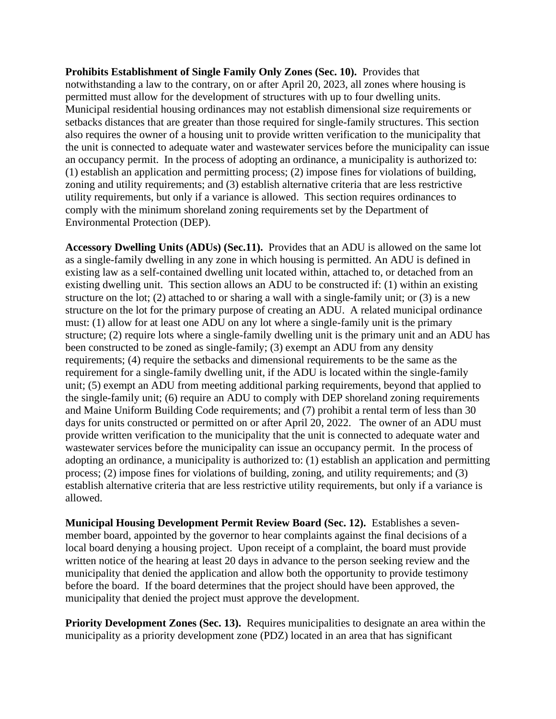**Prohibits Establishment of Single Family Only Zones (Sec. 10).** Provides that notwithstanding a law to the contrary, on or after April 20, 2023, all zones where housing is permitted must allow for the development of structures with up to four dwelling units. Municipal residential housing ordinances may not establish dimensional size requirements or setbacks distances that are greater than those required for single-family structures. This section also requires the owner of a housing unit to provide written verification to the municipality that the unit is connected to adequate water and wastewater services before the municipality can issue an occupancy permit. In the process of adopting an ordinance, a municipality is authorized to: (1) establish an application and permitting process; (2) impose fines for violations of building, zoning and utility requirements; and (3) establish alternative criteria that are less restrictive utility requirements, but only if a variance is allowed. This section requires ordinances to comply with the minimum shoreland zoning requirements set by the Department of Environmental Protection (DEP).

**Accessory Dwelling Units (ADUs) (Sec.11).** Provides that an ADU is allowed on the same lot as a single-family dwelling in any zone in which housing is permitted. An ADU is defined in existing law as a self-contained dwelling unit located within, attached to, or detached from an existing dwelling unit. This section allows an ADU to be constructed if: (1) within an existing structure on the lot; (2) attached to or sharing a wall with a single-family unit; or (3) is a new structure on the lot for the primary purpose of creating an ADU. A related municipal ordinance must: (1) allow for at least one ADU on any lot where a single-family unit is the primary structure; (2) require lots where a single-family dwelling unit is the primary unit and an ADU has been constructed to be zoned as single-family; (3) exempt an ADU from any density requirements; (4) require the setbacks and dimensional requirements to be the same as the requirement for a single-family dwelling unit, if the ADU is located within the single-family unit; (5) exempt an ADU from meeting additional parking requirements, beyond that applied to the single-family unit; (6) require an ADU to comply with DEP shoreland zoning requirements and Maine Uniform Building Code requirements; and (7) prohibit a rental term of less than 30 days for units constructed or permitted on or after April 20, 2022. The owner of an ADU must provide written verification to the municipality that the unit is connected to adequate water and wastewater services before the municipality can issue an occupancy permit. In the process of adopting an ordinance, a municipality is authorized to: (1) establish an application and permitting process; (2) impose fines for violations of building, zoning, and utility requirements; and (3) establish alternative criteria that are less restrictive utility requirements, but only if a variance is allowed.

**Municipal Housing Development Permit Review Board (Sec. 12).** Establishes a sevenmember board, appointed by the governor to hear complaints against the final decisions of a local board denying a housing project. Upon receipt of a complaint, the board must provide written notice of the hearing at least 20 days in advance to the person seeking review and the municipality that denied the application and allow both the opportunity to provide testimony before the board. If the board determines that the project should have been approved, the municipality that denied the project must approve the development.

**Priority Development Zones (Sec. 13).** Requires municipalities to designate an area within the municipality as a priority development zone (PDZ) located in an area that has significant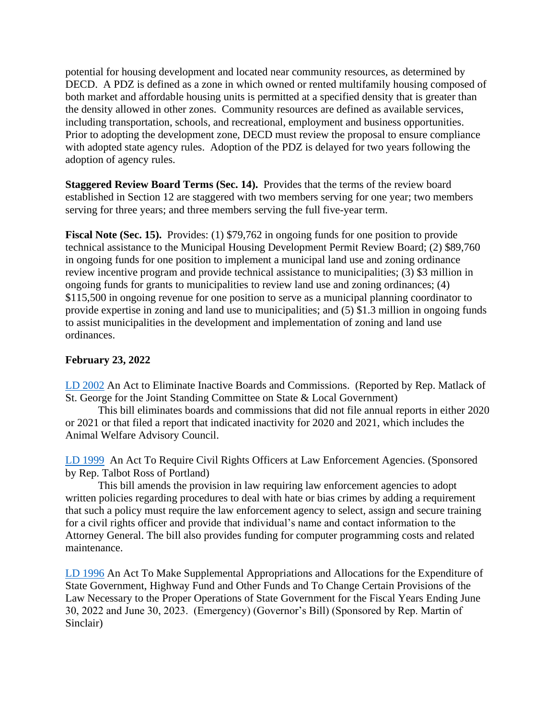potential for housing development and located near community resources, as determined by DECD. A PDZ is defined as a zone in which owned or rented multifamily housing composed of both market and affordable housing units is permitted at a specified density that is greater than the density allowed in other zones. Community resources are defined as available services, including transportation, schools, and recreational, employment and business opportunities. Prior to adopting the development zone, DECD must review the proposal to ensure compliance with adopted state agency rules. Adoption of the PDZ is delayed for two years following the adoption of agency rules.

**Staggered Review Board Terms (Sec. 14).** Provides that the terms of the review board established in Section 12 are staggered with two members serving for one year; two members serving for three years; and three members serving the full five-year term.

**Fiscal Note (Sec. 15).** Provides: (1) \$79,762 in ongoing funds for one position to provide technical assistance to the Municipal Housing Development Permit Review Board; (2) \$89,760 in ongoing funds for one position to implement a municipal land use and zoning ordinance review incentive program and provide technical assistance to municipalities; (3) \$3 million in ongoing funds for grants to municipalities to review land use and zoning ordinances; (4) \$115,500 in ongoing revenue for one position to serve as a municipal planning coordinator to provide expertise in zoning and land use to municipalities; and (5) \$1.3 million in ongoing funds to assist municipalities in the development and implementation of zoning and land use ordinances.

# **February 23, 2022**

[LD 2002](http://www.mainelegislature.org/legis/bills/getPDF.asp?paper=HP1488&item=1&snum=130) An Act to Eliminate Inactive Boards and Commissions. (Reported by Rep. Matlack of St. George for the Joint Standing Committee on State & Local Government)

This bill eliminates boards and commissions that did not file annual reports in either 2020 or 2021 or that filed a report that indicated inactivity for 2020 and 2021, which includes the Animal Welfare Advisory Council.

[LD 1999](http://www.mainelegislature.org/legis/bills/getPDF.asp?paper=HP1486&item=1&snum=130) An Act To Require Civil Rights Officers at Law Enforcement Agencies. (Sponsored by Rep. Talbot Ross of Portland)

This bill amends the provision in law requiring law enforcement agencies to adopt written policies regarding procedures to deal with hate or bias crimes by adding a requirement that such a policy must require the law enforcement agency to select, assign and secure training for a civil rights officer and provide that individual's name and contact information to the Attorney General. The bill also provides funding for computer programming costs and related maintenance.

[LD 1996](http://www.mainelegislature.org/legis/bills/getPDF.asp?paper=HP1483&item=1&snum=130) An Act To Make Supplemental Appropriations and Allocations for the Expenditure of State Government, Highway Fund and Other Funds and To Change Certain Provisions of the Law Necessary to the Proper Operations of State Government for the Fiscal Years Ending June 30, 2022 and June 30, 2023. (Emergency) (Governor's Bill) (Sponsored by Rep. Martin of Sinclair)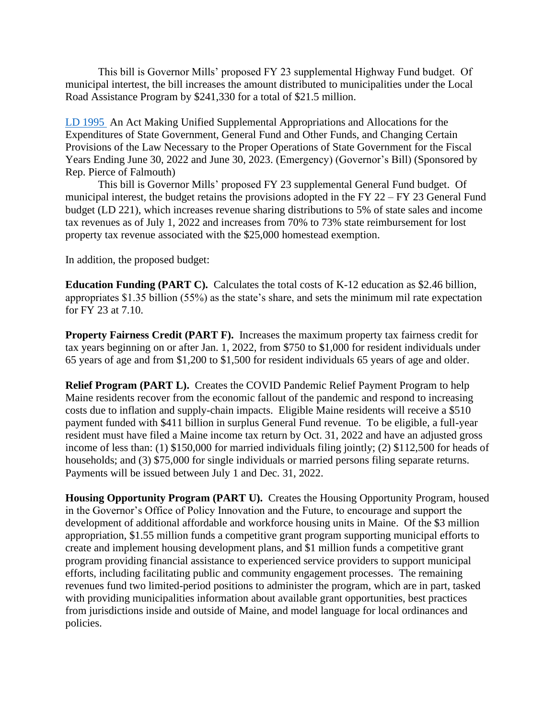This bill is Governor Mills' proposed FY 23 supplemental Highway Fund budget. Of municipal intertest, the bill increases the amount distributed to municipalities under the Local Road Assistance Program by \$241,330 for a total of \$21.5 million.

[LD 1995](http://www.mainelegislature.org/legis/bills/getPDF.asp?paper=HP1482&item=1&snum=130) An Act Making Unified Supplemental Appropriations and Allocations for the Expenditures of State Government, General Fund and Other Funds, and Changing Certain Provisions of the Law Necessary to the Proper Operations of State Government for the Fiscal Years Ending June 30, 2022 and June 30, 2023. (Emergency) (Governor's Bill) (Sponsored by Rep. Pierce of Falmouth)

This bill is Governor Mills' proposed FY 23 supplemental General Fund budget. Of municipal interest, the budget retains the provisions adopted in the FY  $22 - FY 23$  General Fund budget (LD 221), which increases revenue sharing distributions to 5% of state sales and income tax revenues as of July 1, 2022 and increases from 70% to 73% state reimbursement for lost property tax revenue associated with the \$25,000 homestead exemption.

In addition, the proposed budget:

**Education Funding (PART C).** Calculates the total costs of K-12 education as \$2.46 billion, appropriates \$1.35 billion (55%) as the state's share, and sets the minimum mil rate expectation for FY 23 at 7.10.

**Property Fairness Credit (PART F).** Increases the maximum property tax fairness credit for tax years beginning on or after Jan. 1, 2022, from \$750 to \$1,000 for resident individuals under 65 years of age and from \$1,200 to \$1,500 for resident individuals 65 years of age and older.

**Relief Program (PART L).** Creates the COVID Pandemic Relief Payment Program to help Maine residents recover from the economic fallout of the pandemic and respond to increasing costs due to inflation and supply-chain impacts. Eligible Maine residents will receive a \$510 payment funded with \$411 billion in surplus General Fund revenue. To be eligible, a full-year resident must have filed a Maine income tax return by Oct. 31, 2022 and have an adjusted gross income of less than: (1) \$150,000 for married individuals filing jointly; (2) \$112,500 for heads of households; and (3) \$75,000 for single individuals or married persons filing separate returns. Payments will be issued between July 1 and Dec. 31, 2022.

**Housing Opportunity Program (PART U).** Creates the Housing Opportunity Program, housed in the Governor's Office of Policy Innovation and the Future, to encourage and support the development of additional affordable and workforce housing units in Maine. Of the \$3 million appropriation, \$1.55 million funds a competitive grant program supporting municipal efforts to create and implement housing development plans, and \$1 million funds a competitive grant program providing financial assistance to experienced service providers to support municipal efforts, including facilitating public and community engagement processes. The remaining revenues fund two limited-period positions to administer the program, which are in part, tasked with providing municipalities information about available grant opportunities, best practices from jurisdictions inside and outside of Maine, and model language for local ordinances and policies.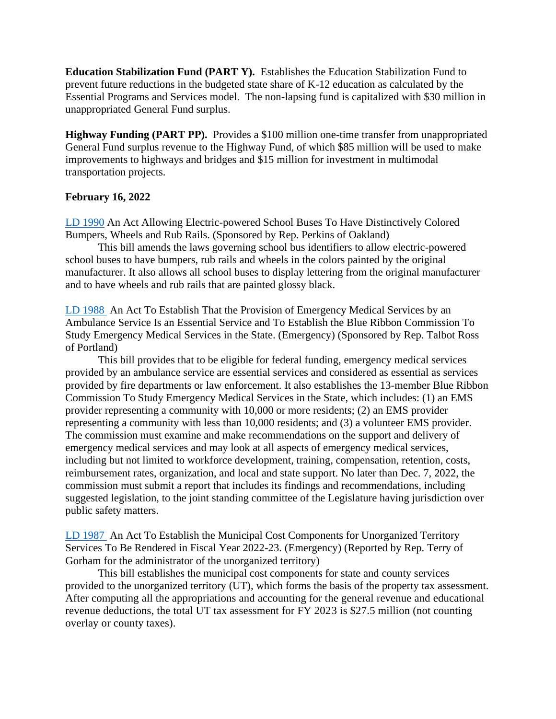**Education Stabilization Fund (PART Y).** Establishes the Education Stabilization Fund to prevent future reductions in the budgeted state share of K-12 education as calculated by the Essential Programs and Services model. The non-lapsing fund is capitalized with \$30 million in unappropriated General Fund surplus.

**Highway Funding (PART PP).** Provides a \$100 million one-time transfer from unappropriated General Fund surplus revenue to the Highway Fund, of which \$85 million will be used to make improvements to highways and bridges and \$15 million for investment in multimodal transportation projects.

### **February 16, 2022**

[LD 1990](http://www.mainelegislature.org/legis/bills/getPDF.asp?paper=HP1476&item=1&snum=130) An Act Allowing Electric-powered School Buses To Have Distinctively Colored Bumpers, Wheels and Rub Rails. (Sponsored by Rep. Perkins of Oakland)

This bill amends the laws governing school bus identifiers to allow electric-powered school buses to have bumpers, rub rails and wheels in the colors painted by the original manufacturer. It also allows all school buses to display lettering from the original manufacturer and to have wheels and rub rails that are painted glossy black.

[LD 1988](http://www.mainelegislature.org/legis/bills/getPDF.asp?paper=HP1474&item=1&snum=130) An Act To Establish That the Provision of Emergency Medical Services by an Ambulance Service Is an Essential Service and To Establish the Blue Ribbon Commission To Study Emergency Medical Services in the State. (Emergency) (Sponsored by Rep. Talbot Ross of Portland)

This bill provides that to be eligible for federal funding, emergency medical services provided by an ambulance service are essential services and considered as essential as services provided by fire departments or law enforcement. It also establishes the 13-member Blue Ribbon Commission To Study Emergency Medical Services in the State, which includes: (1) an EMS provider representing a community with 10,000 or more residents; (2) an EMS provider representing a community with less than 10,000 residents; and (3) a volunteer EMS provider. The commission must examine and make recommendations on the support and delivery of emergency medical services and may look at all aspects of emergency medical services, including but not limited to workforce development, training, compensation, retention, costs, reimbursement rates, organization, and local and state support. No later than Dec. 7, 2022, the commission must submit a report that includes its findings and recommendations, including suggested legislation, to the joint standing committee of the Legislature having jurisdiction over public safety matters.

[LD 1987](http://www.mainelegislature.org/legis/bills/getPDF.asp?paper=HP1473&item=1&snum=130) An Act To Establish the Municipal Cost Components for Unorganized Territory Services To Be Rendered in Fiscal Year 2022-23. (Emergency) (Reported by Rep. Terry of Gorham for the administrator of the unorganized territory)

This bill establishes the municipal cost components for state and county services provided to the unorganized territory (UT), which forms the basis of the property tax assessment. After computing all the appropriations and accounting for the general revenue and educational revenue deductions, the total UT tax assessment for FY 2023 is \$27.5 million (not counting overlay or county taxes).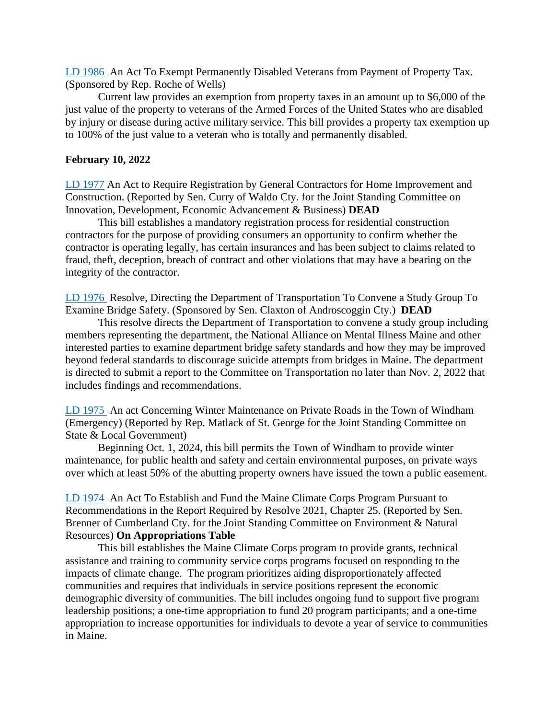[LD 1986](http://www.mainelegislature.org/legis/bills/getPDF.asp?paper=HP1472&item=1&snum=130) An Act To Exempt Permanently Disabled Veterans from Payment of Property Tax. (Sponsored by Rep. Roche of Wells)

Current law provides an exemption from property taxes in an amount up to \$6,000 of the just value of the property to veterans of the Armed Forces of the United States who are disabled by injury or disease during active military service. This bill provides a property tax exemption up to 100% of the just value to a veteran who is totally and permanently disabled.

## **February 10, 2022**

[LD 1977](http://www.mainelegislature.org/legis/bills/getPDF.asp?paper=SP0708&item=1&snum=130) An Act to Require Registration by General Contractors for Home Improvement and Construction. (Reported by Sen. Curry of Waldo Cty. for the Joint Standing Committee on Innovation, Development, Economic Advancement & Business) **DEAD**

This bill establishes a mandatory registration process for residential construction contractors for the purpose of providing consumers an opportunity to confirm whether the contractor is operating legally, has certain insurances and has been subject to claims related to fraud, theft, deception, breach of contract and other violations that may have a bearing on the integrity of the contractor.

[LD 1976](http://www.mainelegislature.org/legis/bills/getPDF.asp?paper=SP0707&item=1&snum=130) Resolve, Directing the Department of Transportation To Convene a Study Group To Examine Bridge Safety. (Sponsored by Sen. Claxton of Androscoggin Cty.) **DEAD**

This resolve directs the Department of Transportation to convene a study group including members representing the department, the National Alliance on Mental Illness Maine and other interested parties to examine department bridge safety standards and how they may be improved beyond federal standards to discourage suicide attempts from bridges in Maine. The department is directed to submit a report to the Committee on Transportation no later than Nov. 2, 2022 that includes findings and recommendations.

[LD 1975](http://www.mainelegislature.org/legis/bills/getPDF.asp?paper=HP1468&item=1&snum=130) An act Concerning Winter Maintenance on Private Roads in the Town of Windham (Emergency) (Reported by Rep. Matlack of St. George for the Joint Standing Committee on State & Local Government)

Beginning Oct. 1, 2024, this bill permits the Town of Windham to provide winter maintenance, for public health and safety and certain environmental purposes, on private ways over which at least 50% of the abutting property owners have issued the town a public easement.

[LD 1974](http://www.mainelegislature.org/legis/bills/getPDF.asp?paper=SP0706&item=1&snum=130) An Act To Establish and Fund the Maine Climate Corps Program Pursuant to Recommendations in the Report Required by Resolve 2021, Chapter 25. (Reported by Sen. Brenner of Cumberland Cty. for the Joint Standing Committee on Environment & Natural Resources) **On Appropriations Table**

This bill establishes the Maine Climate Corps program to provide grants, technical assistance and training to community service corps programs focused on responding to the impacts of climate change. The program prioritizes aiding disproportionately affected communities and requires that individuals in service positions represent the economic demographic diversity of communities. The bill includes ongoing fund to support five program leadership positions; a one-time appropriation to fund 20 program participants; and a one-time appropriation to increase opportunities for individuals to devote a year of service to communities in Maine.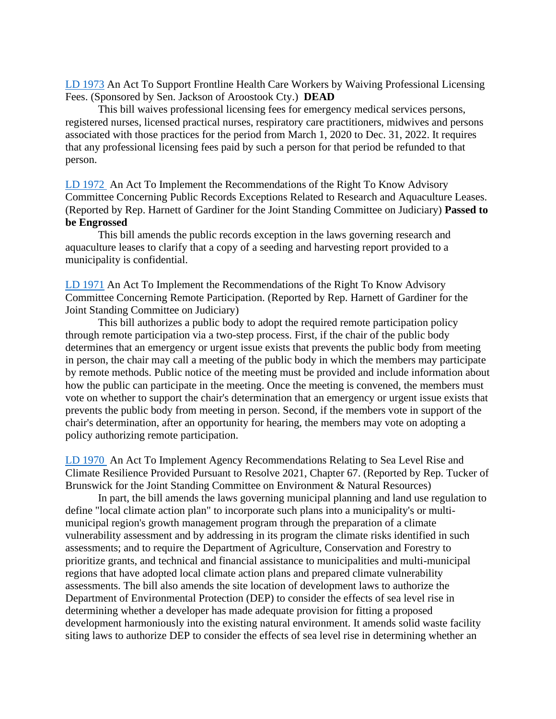[LD 1973](http://www.mainelegislature.org/legis/bills/getPDF.asp?paper=SP0705&item=1&snum=130) An Act To Support Frontline Health Care Workers by Waiving Professional Licensing Fees. (Sponsored by Sen. Jackson of Aroostook Cty.) **DEAD**

This bill waives professional licensing fees for emergency medical services persons, registered nurses, licensed practical nurses, respiratory care practitioners, midwives and persons associated with those practices for the period from March 1, 2020 to Dec. 31, 2022. It requires that any professional licensing fees paid by such a person for that period be refunded to that person.

[LD 1972](http://www.mainelegislature.org/legis/bills/getPDF.asp?paper=HP1467&item=1&snum=130) An Act To Implement the Recommendations of the Right To Know Advisory Committee Concerning Public Records Exceptions Related to Research and Aquaculture Leases. (Reported by Rep. Harnett of Gardiner for the Joint Standing Committee on Judiciary) **Passed to be Engrossed**

This bill amends the public records exception in the laws governing research and aquaculture leases to clarify that a copy of a seeding and harvesting report provided to a municipality is confidential.

[LD 1971](http://www.mainelegislature.org/legis/bills/getPDF.asp?paper=HP1466&item=1&snum=130) An Act To Implement the Recommendations of the Right To Know Advisory Committee Concerning Remote Participation. (Reported by Rep. Harnett of Gardiner for the Joint Standing Committee on Judiciary)

This bill authorizes a public body to adopt the required remote participation policy through remote participation via a two-step process. First, if the chair of the public body determines that an emergency or urgent issue exists that prevents the public body from meeting in person, the chair may call a meeting of the public body in which the members may participate by remote methods. Public notice of the meeting must be provided and include information about how the public can participate in the meeting. Once the meeting is convened, the members must vote on whether to support the chair's determination that an emergency or urgent issue exists that prevents the public body from meeting in person. Second, if the members vote in support of the chair's determination, after an opportunity for hearing, the members may vote on adopting a policy authorizing remote participation.

[LD 1970](http://www.mainelegislature.org/legis/bills/getPDF.asp?paper=HP1465&item=1&snum=130) An Act To Implement Agency Recommendations Relating to Sea Level Rise and Climate Resilience Provided Pursuant to Resolve 2021, Chapter 67. (Reported by Rep. Tucker of Brunswick for the Joint Standing Committee on Environment & Natural Resources)

In part, the bill amends the laws governing municipal planning and land use regulation to define "local climate action plan" to incorporate such plans into a municipality's or multimunicipal region's growth management program through the preparation of a climate vulnerability assessment and by addressing in its program the climate risks identified in such assessments; and to require the Department of Agriculture, Conservation and Forestry to prioritize grants, and technical and financial assistance to municipalities and multi-municipal regions that have adopted local climate action plans and prepared climate vulnerability assessments. The bill also amends the site location of development laws to authorize the Department of Environmental Protection (DEP) to consider the effects of sea level rise in determining whether a developer has made adequate provision for fitting a proposed development harmoniously into the existing natural environment. It amends solid waste facility siting laws to authorize DEP to consider the effects of sea level rise in determining whether an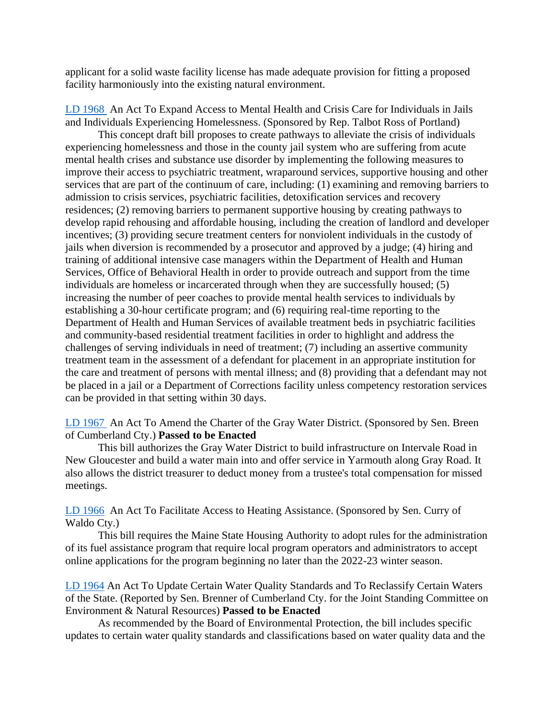applicant for a solid waste facility license has made adequate provision for fitting a proposed facility harmoniously into the existing natural environment.

[LD 1968](http://www.mainelegislature.org/legis/bills/getPDF.asp?paper=HP1463&item=1&snum=130) An Act To Expand Access to Mental Health and Crisis Care for Individuals in Jails and Individuals Experiencing Homelessness. (Sponsored by Rep. Talbot Ross of Portland)

This concept draft bill proposes to create pathways to alleviate the crisis of individuals experiencing homelessness and those in the county jail system who are suffering from acute mental health crises and substance use disorder by implementing the following measures to improve their access to psychiatric treatment, wraparound services, supportive housing and other services that are part of the continuum of care, including: (1) examining and removing barriers to admission to crisis services, psychiatric facilities, detoxification services and recovery residences; (2) removing barriers to permanent supportive housing by creating pathways to develop rapid rehousing and affordable housing, including the creation of landlord and developer incentives; (3) providing secure treatment centers for nonviolent individuals in the custody of jails when diversion is recommended by a prosecutor and approved by a judge; (4) hiring and training of additional intensive case managers within the Department of Health and Human Services, Office of Behavioral Health in order to provide outreach and support from the time individuals are homeless or incarcerated through when they are successfully housed; (5) increasing the number of peer coaches to provide mental health services to individuals by establishing a 30-hour certificate program; and (6) requiring real-time reporting to the Department of Health and Human Services of available treatment beds in psychiatric facilities and community-based residential treatment facilities in order to highlight and address the challenges of serving individuals in need of treatment; (7) including an assertive community treatment team in the assessment of a defendant for placement in an appropriate institution for the care and treatment of persons with mental illness; and (8) providing that a defendant may not be placed in a jail or a Department of Corrections facility unless competency restoration services can be provided in that setting within 30 days.

[LD 1967](http://www.mainelegislature.org/legis/bills/getPDF.asp?paper=SP0704&item=1&snum=130) An Act To Amend the Charter of the Gray Water District. (Sponsored by Sen. Breen of Cumberland Cty.) **Passed to be Enacted**

This bill authorizes the Gray Water District to build infrastructure on Intervale Road in New Gloucester and build a water main into and offer service in Yarmouth along Gray Road. It also allows the district treasurer to deduct money from a trustee's total compensation for missed meetings.

[LD 1966](http://www.mainelegislature.org/legis/bills/getPDF.asp?paper=SP0702&item=1&snum=130) An Act To Facilitate Access to Heating Assistance. (Sponsored by Sen. Curry of Waldo Cty.)

This bill requires the Maine State Housing Authority to adopt rules for the administration of its fuel assistance program that require local program operators and administrators to accept online applications for the program beginning no later than the 2022-23 winter season.

[LD 1964](http://www.mainelegislature.org/legis/bills/getPDF.asp?paper=SP0690&item=1&snum=130) An Act To Update Certain Water Quality Standards and To Reclassify Certain Waters of the State. (Reported by Sen. Brenner of Cumberland Cty. for the Joint Standing Committee on Environment & Natural Resources) **Passed to be Enacted**

As recommended by the Board of Environmental Protection, the bill includes specific updates to certain water quality standards and classifications based on water quality data and the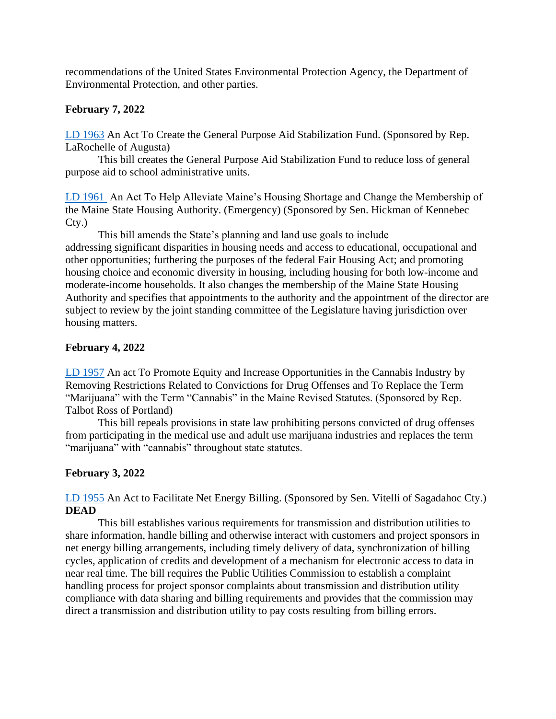recommendations of the United States Environmental Protection Agency, the Department of Environmental Protection, and other parties.

# **February 7, 2022**

[LD 1963](http://www.mainelegislature.org/legis/bills/getPDF.asp?paper=HP1460&item=1&snum=130) An Act To Create the General Purpose Aid Stabilization Fund. (Sponsored by Rep. LaRochelle of Augusta)

This bill creates the General Purpose Aid Stabilization Fund to reduce loss of general purpose aid to school administrative units.

[LD 1961](http://www.mainelegislature.org/legis/bills/getPDF.asp?paper=SP0699&item=1&snum=130) An Act To Help Alleviate Maine's Housing Shortage and Change the Membership of the Maine State Housing Authority. (Emergency) (Sponsored by Sen. Hickman of Kennebec Cty.)

This bill amends the State's planning and land use goals to include addressing significant disparities in housing needs and access to educational, occupational and other opportunities; furthering the purposes of the federal Fair Housing Act; and promoting housing choice and economic diversity in housing, including housing for both low-income and moderate-income households. It also changes the membership of the Maine State Housing Authority and specifies that appointments to the authority and the appointment of the director are subject to review by the joint standing committee of the Legislature having jurisdiction over housing matters.

# **February 4, 2022**

[LD 1957](http://www.mainelegislature.org/legis/bills/getPDF.asp?paper=HP1457&item=1&snum=130) An act To Promote Equity and Increase Opportunities in the Cannabis Industry by Removing Restrictions Related to Convictions for Drug Offenses and To Replace the Term "Marijuana" with the Term "Cannabis" in the Maine Revised Statutes. (Sponsored by Rep. Talbot Ross of Portland)

This bill repeals provisions in state law prohibiting persons convicted of drug offenses from participating in the medical use and adult use marijuana industries and replaces the term "marijuana" with "cannabis" throughout state statutes.

## **February 3, 2022**

[LD 1955](http://www.mainelegislature.org/legis/bills/getPDF.asp?paper=SP0693&item=1&snum=130) An Act to Facilitate Net Energy Billing. (Sponsored by Sen. Vitelli of Sagadahoc Cty.) **DEAD**

This bill establishes various requirements for transmission and distribution utilities to share information, handle billing and otherwise interact with customers and project sponsors in net energy billing arrangements, including timely delivery of data, synchronization of billing cycles, application of credits and development of a mechanism for electronic access to data in near real time. The bill requires the Public Utilities Commission to establish a complaint handling process for project sponsor complaints about transmission and distribution utility compliance with data sharing and billing requirements and provides that the commission may direct a transmission and distribution utility to pay costs resulting from billing errors.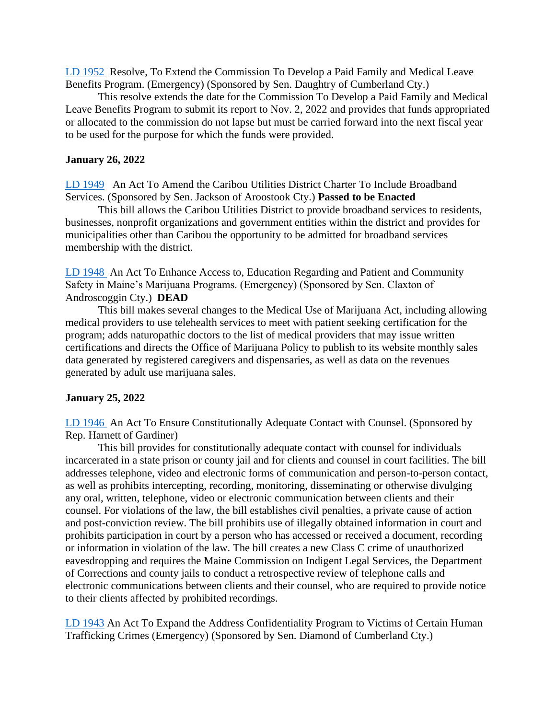[LD 1952](http://www.mainelegislature.org/legis/bills/getPDF.asp?paper=SP0688&item=1&snum=130) Resolve, To Extend the Commission To Develop a Paid Family and Medical Leave Benefits Program. (Emergency) (Sponsored by Sen. Daughtry of Cumberland Cty.)

This resolve extends the date for the Commission To Develop a Paid Family and Medical Leave Benefits Program to submit its report to Nov. 2, 2022 and provides that funds appropriated or allocated to the commission do not lapse but must be carried forward into the next fiscal year to be used for the purpose for which the funds were provided.

## **January 26, 2022**

[LD 1949](http://www.mainelegislature.org/legis/bills/getPDF.asp?paper=SP0686&item=1&snum=130) An Act To Amend the Caribou Utilities District Charter To Include Broadband Services. (Sponsored by Sen. Jackson of Aroostook Cty.) **Passed to be Enacted**

This bill allows the Caribou Utilities District to provide broadband services to residents, businesses, nonprofit organizations and government entities within the district and provides for municipalities other than Caribou the opportunity to be admitted for broadband services membership with the district.

[LD 1948](http://www.mainelegislature.org/legis/bills/getPDF.asp?paper=SP0685&item=1&snum=130) An Act To Enhance Access to, Education Regarding and Patient and Community Safety in Maine's Marijuana Programs. (Emergency) (Sponsored by Sen. Claxton of Androscoggin Cty.) **DEAD**

This bill makes several changes to the Medical Use of Marijuana Act, including allowing medical providers to use telehealth services to meet with patient seeking certification for the program; adds naturopathic doctors to the list of medical providers that may issue written certifications and directs the Office of Marijuana Policy to publish to its website monthly sales data generated by registered caregivers and dispensaries, as well as data on the revenues generated by adult use marijuana sales.

## **January 25, 2022**

[LD 1946](http://www.mainelegislature.org/legis/bills/getPDF.asp?paper=HP1451&item=1&snum=130) An Act To Ensure Constitutionally Adequate Contact with Counsel. (Sponsored by Rep. Harnett of Gardiner)

This bill provides for constitutionally adequate contact with counsel for individuals incarcerated in a state prison or county jail and for clients and counsel in court facilities. The bill addresses telephone, video and electronic forms of communication and person-to-person contact, as well as prohibits intercepting, recording, monitoring, disseminating or otherwise divulging any oral, written, telephone, video or electronic communication between clients and their counsel. For violations of the law, the bill establishes civil penalties, a private cause of action and post-conviction review. The bill prohibits use of illegally obtained information in court and prohibits participation in court by a person who has accessed or received a document, recording or information in violation of the law. The bill creates a new Class C crime of unauthorized eavesdropping and requires the Maine Commission on Indigent Legal Services, the Department of Corrections and county jails to conduct a retrospective review of telephone calls and electronic communications between clients and their counsel, who are required to provide notice to their clients affected by prohibited recordings.

[LD 1943](http://www.mainelegislature.org/legis/bills/getPDF.asp?paper=SP0684&item=1&snum=130) An Act To Expand the Address Confidentiality Program to Victims of Certain Human Trafficking Crimes (Emergency) (Sponsored by Sen. Diamond of Cumberland Cty.)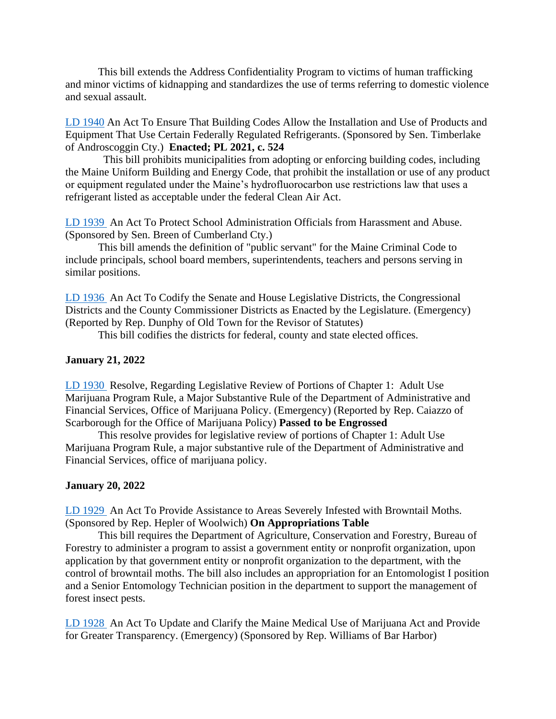This bill extends the Address Confidentiality Program to victims of human trafficking and minor victims of kidnapping and standardizes the use of terms referring to domestic violence and sexual assault.

[LD 1940](http://www.mainelegislature.org/legis/bills/getPDF.asp?paper=SP0680&item=1&snum=130) An Act To Ensure That Building Codes Allow the Installation and Use of Products and Equipment That Use Certain Federally Regulated Refrigerants. (Sponsored by Sen. Timberlake of Androscoggin Cty.) **Enacted; PL 2021, c. 524**

 This bill prohibits municipalities from adopting or enforcing building codes, including the Maine Uniform Building and Energy Code, that prohibit the installation or use of any product or equipment regulated under the Maine's hydrofluorocarbon use restrictions law that uses a refrigerant listed as acceptable under the federal Clean Air Act.

[LD 1939](http://www.mainelegislature.org/legis/bills/getPDF.asp?paper=SP0676&item=1&snum=130) An Act To Protect School Administration Officials from Harassment and Abuse. (Sponsored by Sen. Breen of Cumberland Cty.)

This bill amends the definition of "public servant" for the Maine Criminal Code to include principals, school board members, superintendents, teachers and persons serving in similar positions.

[LD 1936](http://www.mainelegislature.org/legis/bills/getPDF.asp?paper=HP1448&item=1&snum=130) An Act To Codify the Senate and House Legislative Districts, the Congressional Districts and the County Commissioner Districts as Enacted by the Legislature. (Emergency) (Reported by Rep. Dunphy of Old Town for the Revisor of Statutes)

This bill codifies the districts for federal, county and state elected offices.

#### **January 21, 2022**

[LD 1930](http://www.mainelegislature.org/legis/bills/getPDF.asp?paper=HP1438&item=1&snum=130) Resolve, Regarding Legislative Review of Portions of Chapter 1: Adult Use Marijuana Program Rule, a Major Substantive Rule of the Department of Administrative and Financial Services, Office of Marijuana Policy. (Emergency) (Reported by Rep. Caiazzo of Scarborough for the Office of Marijuana Policy) **Passed to be Engrossed**

This resolve provides for legislative review of portions of Chapter 1: Adult Use Marijuana Program Rule, a major substantive rule of the Department of Administrative and Financial Services, office of marijuana policy.

#### **January 20, 2022**

[LD 1929](http://www.mainelegislature.org/legis/bills/getPDF.asp?paper=HP1436&item=1&snum=130) An Act To Provide Assistance to Areas Severely Infested with Browntail Moths. (Sponsored by Rep. Hepler of Woolwich) **On Appropriations Table**

This bill requires the Department of Agriculture, Conservation and Forestry, Bureau of Forestry to administer a program to assist a government entity or nonprofit organization, upon application by that government entity or nonprofit organization to the department, with the control of browntail moths. The bill also includes an appropriation for an Entomologist I position and a Senior Entomology Technician position in the department to support the management of forest insect pests.

[LD 1928](http://www.mainelegislature.org/legis/bills/getPDF.asp?paper=HP1435&item=1&snum=130) An Act To Update and Clarify the Maine Medical Use of Marijuana Act and Provide for Greater Transparency. (Emergency) (Sponsored by Rep. Williams of Bar Harbor)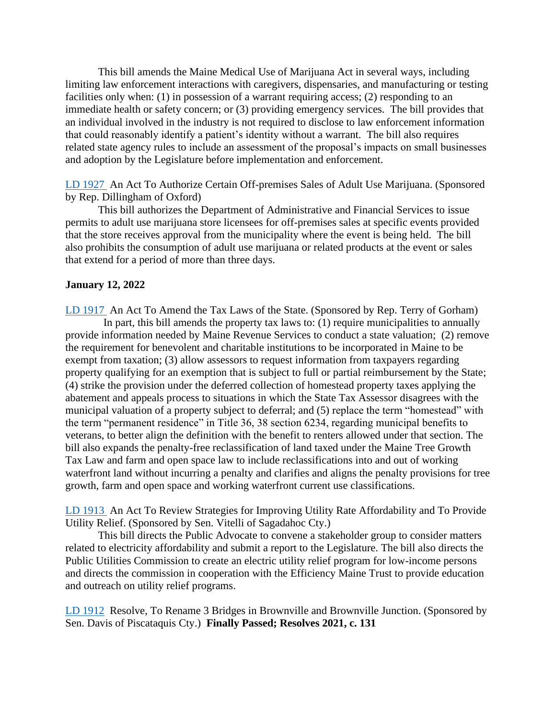This bill amends the Maine Medical Use of Marijuana Act in several ways, including limiting law enforcement interactions with caregivers, dispensaries, and manufacturing or testing facilities only when: (1) in possession of a warrant requiring access; (2) responding to an immediate health or safety concern; or (3) providing emergency services. The bill provides that an individual involved in the industry is not required to disclose to law enforcement information that could reasonably identify a patient's identity without a warrant. The bill also requires related state agency rules to include an assessment of the proposal's impacts on small businesses and adoption by the Legislature before implementation and enforcement.

[LD 1927](http://www.mainelegislature.org/legis/bills/getPDF.asp?paper=HP1434&item=1&snum=130) An Act To Authorize Certain Off-premises Sales of Adult Use Marijuana. (Sponsored by Rep. Dillingham of Oxford)

This bill authorizes the Department of Administrative and Financial Services to issue permits to adult use marijuana store licensees for off-premises sales at specific events provided that the store receives approval from the municipality where the event is being held. The bill also prohibits the consumption of adult use marijuana or related products at the event or sales that extend for a period of more than three days.

#### **January 12, 2022**

[LD 1917](http://www.mainelegislature.org/legis/bills/getPDF.asp?paper=HP1423&item=1&snum=130) An Act To Amend the Tax Laws of the State. (Sponsored by Rep. Terry of Gorham) In part, this bill amends the property tax laws to: (1) require municipalities to annually provide information needed by Maine Revenue Services to conduct a state valuation; (2) remove the requirement for benevolent and charitable institutions to be incorporated in Maine to be exempt from taxation; (3) allow assessors to request information from taxpayers regarding property qualifying for an exemption that is subject to full or partial reimbursement by the State; (4) strike the provision under the deferred collection of homestead property taxes applying the abatement and appeals process to situations in which the State Tax Assessor disagrees with the municipal valuation of a property subject to deferral; and (5) replace the term "homestead" with the term "permanent residence" in Title 36, 38 section 6234, regarding municipal benefits to veterans, to better align the definition with the benefit to renters allowed under that section. The bill also expands the penalty-free reclassification of land taxed under the Maine Tree Growth Tax Law and farm and open space law to include reclassifications into and out of working waterfront land without incurring a penalty and clarifies and aligns the penalty provisions for tree growth, farm and open space and working waterfront current use classifications.

[LD 1913](http://www.mainelegislature.org/legis/bills/getPDF.asp?paper=SP0674&item=1&snum=130) An Act To Review Strategies for Improving Utility Rate Affordability and To Provide Utility Relief. (Sponsored by Sen. Vitelli of Sagadahoc Cty.)

This bill directs the Public Advocate to convene a stakeholder group to consider matters related to electricity affordability and submit a report to the Legislature. The bill also directs the Public Utilities Commission to create an electric utility relief program for low-income persons and directs the commission in cooperation with the Efficiency Maine Trust to provide education and outreach on utility relief programs.

[LD 1912](http://www.mainelegislature.org/legis/bills/getPDF.asp?paper=SP0672&item=1&snum=130) Resolve, To Rename 3 Bridges in Brownville and Brownville Junction. (Sponsored by Sen. Davis of Piscataquis Cty.) **Finally Passed; Resolves 2021, c. 131**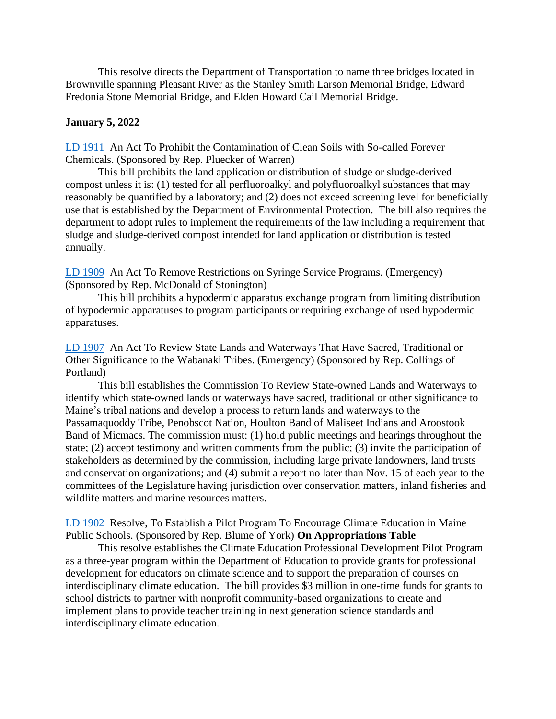This resolve directs the Department of Transportation to name three bridges located in Brownville spanning Pleasant River as the Stanley Smith Larson Memorial Bridge, Edward Fredonia Stone Memorial Bridge, and Elden Howard Cail Memorial Bridge.

### **January 5, 2022**

[LD 1911](http://www.mainelegislature.org/legis/bills/getPDF.asp?paper=HP1417&item=1&snum=130) An Act To Prohibit the Contamination of Clean Soils with So-called Forever Chemicals. (Sponsored by Rep. Pluecker of Warren)

This bill prohibits the land application or distribution of sludge or sludge-derived compost unless it is: (1) tested for all perfluoroalkyl and polyfluoroalkyl substances that may reasonably be quantified by a laboratory; and (2) does not exceed screening level for beneficially use that is established by the Department of Environmental Protection. The bill also requires the department to adopt rules to implement the requirements of the law including a requirement that sludge and sludge-derived compost intended for land application or distribution is tested annually.

[LD 1909](http://www.mainelegislature.org/legis/bills/getPDF.asp?paper=HP1415&item=1&snum=130) An Act To Remove Restrictions on Syringe Service Programs. (Emergency) (Sponsored by Rep. McDonald of Stonington)

This bill prohibits a hypodermic apparatus exchange program from limiting distribution of hypodermic apparatuses to program participants or requiring exchange of used hypodermic apparatuses.

[LD 1907](http://www.mainelegislature.org/legis/bills/getPDF.asp?paper=HP1413&item=1&snum=130) An Act To Review State Lands and Waterways That Have Sacred, Traditional or Other Significance to the Wabanaki Tribes. (Emergency) (Sponsored by Rep. Collings of Portland)

This bill establishes the Commission To Review State-owned Lands and Waterways to identify which state-owned lands or waterways have sacred, traditional or other significance to Maine's tribal nations and develop a process to return lands and waterways to the Passamaquoddy Tribe, Penobscot Nation, Houlton Band of Maliseet Indians and Aroostook Band of Micmacs. The commission must: (1) hold public meetings and hearings throughout the state; (2) accept testimony and written comments from the public; (3) invite the participation of stakeholders as determined by the commission, including large private landowners, land trusts and conservation organizations; and (4) submit a report no later than Nov. 15 of each year to the committees of the Legislature having jurisdiction over conservation matters, inland fisheries and wildlife matters and marine resources matters.

[LD 1902](http://www.mainelegislature.org/legis/bills/getPDF.asp?paper=HP1409&item=1&snum=130) Resolve, To Establish a Pilot Program To Encourage Climate Education in Maine Public Schools. (Sponsored by Rep. Blume of York) **On Appropriations Table**

This resolve establishes the Climate Education Professional Development Pilot Program as a three-year program within the Department of Education to provide grants for professional development for educators on climate science and to support the preparation of courses on interdisciplinary climate education. The bill provides \$3 million in one-time funds for grants to school districts to partner with nonprofit community-based organizations to create and implement plans to provide teacher training in next generation science standards and interdisciplinary climate education.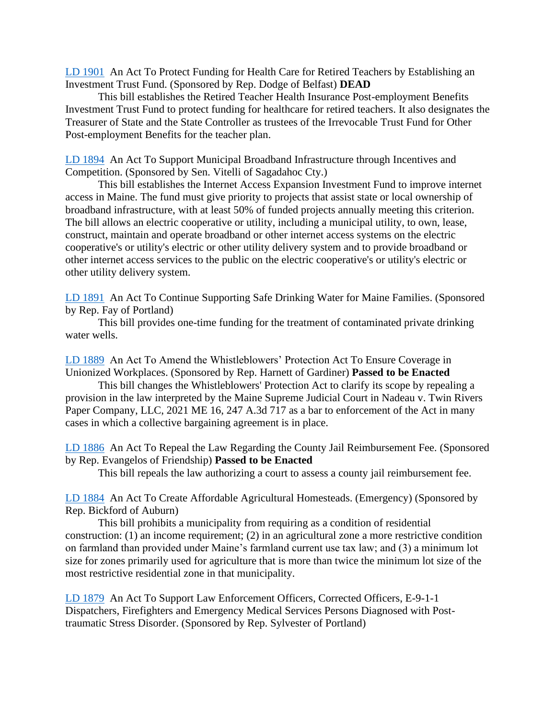[LD 1901](http://www.mainelegislature.org/legis/bills/getPDF.asp?paper=HP1408&item=1&snum=130) An Act To Protect Funding for Health Care for Retired Teachers by Establishing an Investment Trust Fund. (Sponsored by Rep. Dodge of Belfast) **DEAD**

This bill establishes the Retired Teacher Health Insurance Post-employment Benefits Investment Trust Fund to protect funding for healthcare for retired teachers. It also designates the Treasurer of State and the State Controller as trustees of the Irrevocable Trust Fund for Other Post-employment Benefits for the teacher plan.

[LD 1894](http://www.mainelegislature.org/legis/bills/getPDF.asp?paper=SP0664&item=1&snum=130) An Act To Support Municipal Broadband Infrastructure through Incentives and Competition. (Sponsored by Sen. Vitelli of Sagadahoc Cty.)

This bill establishes the Internet Access Expansion Investment Fund to improve internet access in Maine. The fund must give priority to projects that assist state or local ownership of broadband infrastructure, with at least 50% of funded projects annually meeting this criterion. The bill allows an electric cooperative or utility, including a municipal utility, to own, lease, construct, maintain and operate broadband or other internet access systems on the electric cooperative's or utility's electric or other utility delivery system and to provide broadband or other internet access services to the public on the electric cooperative's or utility's electric or other utility delivery system.

[LD 1891](http://www.mainelegislature.org/legis/bills/getPDF.asp?paper=HP1401&item=1&snum=130) An Act To Continue Supporting Safe Drinking Water for Maine Families. (Sponsored by Rep. Fay of Portland)

This bill provides one-time funding for the treatment of contaminated private drinking water wells.

[LD 1889](http://www.mainelegislature.org/legis/bills/getPDF.asp?paper=HP1399&item=1&snum=130) An Act To Amend the Whistleblowers' Protection Act To Ensure Coverage in Unionized Workplaces. (Sponsored by Rep. Harnett of Gardiner) **Passed to be Enacted**

This bill changes the Whistleblowers' Protection Act to clarify its scope by repealing a provision in the law interpreted by the Maine Supreme Judicial Court in Nadeau v. Twin Rivers Paper Company, LLC, 2021 ME 16, 247 A.3d 717 as a bar to enforcement of the Act in many cases in which a collective bargaining agreement is in place.

[LD 1886](http://www.mainelegislature.org/legis/bills/getPDF.asp?paper=HP1396&item=1&snum=130) An Act To Repeal the Law Regarding the County Jail Reimbursement Fee. (Sponsored by Rep. Evangelos of Friendship) **Passed to be Enacted**

This bill repeals the law authorizing a court to assess a county jail reimbursement fee.

[LD 1884](http://www.mainelegislature.org/legis/bills/getPDF.asp?paper=HP1394&item=1&snum=130) An Act To Create Affordable Agricultural Homesteads. (Emergency) (Sponsored by Rep. Bickford of Auburn)

This bill prohibits a municipality from requiring as a condition of residential construction: (1) an income requirement; (2) in an agricultural zone a more restrictive condition on farmland than provided under Maine's farmland current use tax law; and (3) a minimum lot size for zones primarily used for agriculture that is more than twice the minimum lot size of the most restrictive residential zone in that municipality.

[LD 1879](http://www.mainelegislature.org/legis/bills/getPDF.asp?paper=HP1389&item=1&snum=130) An Act To Support Law Enforcement Officers, Corrected Officers, E-9-1-1 Dispatchers, Firefighters and Emergency Medical Services Persons Diagnosed with Posttraumatic Stress Disorder. (Sponsored by Rep. Sylvester of Portland)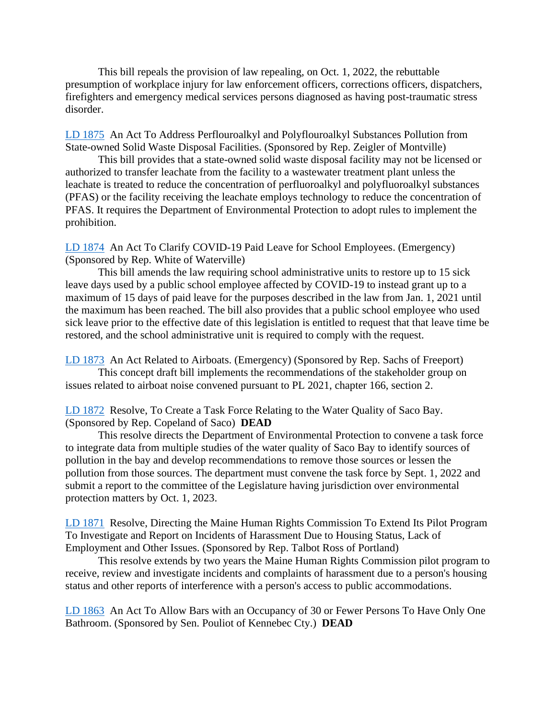This bill repeals the provision of law repealing, on Oct. 1, 2022, the rebuttable presumption of workplace injury for law enforcement officers, corrections officers, dispatchers, firefighters and emergency medical services persons diagnosed as having post-traumatic stress disorder.

[LD 1875](http://www.mainelegislature.org/legis/bills/getPDF.asp?paper=HP1385&item=1&snum=130) An Act To Address Perflouroalkyl and Polyflouroalkyl Substances Pollution from State-owned Solid Waste Disposal Facilities. (Sponsored by Rep. Zeigler of Montville)

This bill provides that a state-owned solid waste disposal facility may not be licensed or authorized to transfer leachate from the facility to a wastewater treatment plant unless the leachate is treated to reduce the concentration of perfluoroalkyl and polyfluoroalkyl substances (PFAS) or the facility receiving the leachate employs technology to reduce the concentration of PFAS. It requires the Department of Environmental Protection to adopt rules to implement the prohibition.

[LD 1874](http://www.mainelegislature.org/legis/bills/getPDF.asp?paper=HP1384&item=1&snum=130) An Act To Clarify COVID-19 Paid Leave for School Employees. (Emergency) (Sponsored by Rep. White of Waterville)

This bill amends the law requiring school administrative units to restore up to 15 sick leave days used by a public school employee affected by COVID-19 to instead grant up to a maximum of 15 days of paid leave for the purposes described in the law from Jan. 1, 2021 until the maximum has been reached. The bill also provides that a public school employee who used sick leave prior to the effective date of this legislation is entitled to request that that leave time be restored, and the school administrative unit is required to comply with the request.

[LD 1873](http://www.mainelegislature.org/legis/bills/getPDF.asp?paper=HP1383&item=1&snum=130) An Act Related to Airboats. (Emergency) (Sponsored by Rep. Sachs of Freeport) This concept draft bill implements the recommendations of the stakeholder group on issues related to airboat noise convened pursuant to PL 2021, chapter 166, section 2.

[LD 1872](http://www.mainelegislature.org/legis/bills/getPDF.asp?paper=HP1382&item=1&snum=130) Resolve, To Create a Task Force Relating to the Water Quality of Saco Bay. (Sponsored by Rep. Copeland of Saco) **DEAD**

This resolve directs the Department of Environmental Protection to convene a task force to integrate data from multiple studies of the water quality of Saco Bay to identify sources of pollution in the bay and develop recommendations to remove those sources or lessen the pollution from those sources. The department must convene the task force by Sept. 1, 2022 and submit a report to the committee of the Legislature having jurisdiction over environmental protection matters by Oct. 1, 2023.

[LD 1871](http://www.mainelegislature.org/legis/bills/getPDF.asp?paper=HP1381&item=1&snum=130) Resolve, Directing the Maine Human Rights Commission To Extend Its Pilot Program To Investigate and Report on Incidents of Harassment Due to Housing Status, Lack of Employment and Other Issues. (Sponsored by Rep. Talbot Ross of Portland)

This resolve extends by two years the Maine Human Rights Commission pilot program to receive, review and investigate incidents and complaints of harassment due to a person's housing status and other reports of interference with a person's access to public accommodations.

[LD 1863](http://www.mainelegislature.org/legis/bills/getPDF.asp?paper=SP0662&item=1&snum=130) An Act To Allow Bars with an Occupancy of 30 or Fewer Persons To Have Only One Bathroom. (Sponsored by Sen. Pouliot of Kennebec Cty.) **DEAD**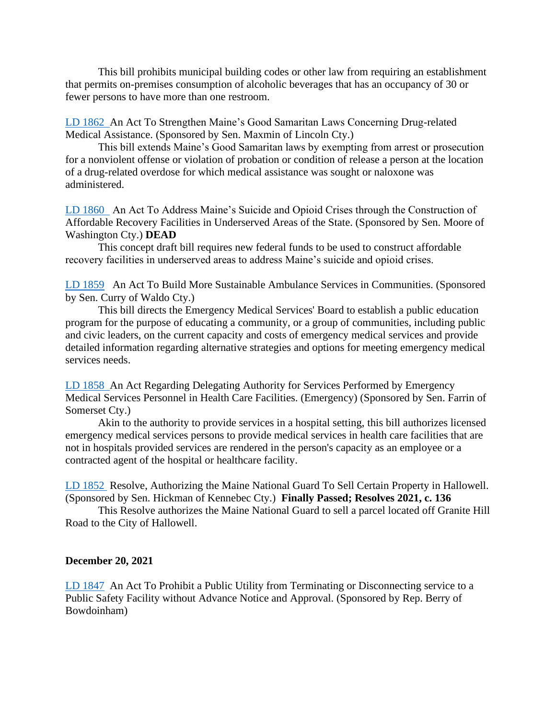This bill prohibits municipal building codes or other law from requiring an establishment that permits on-premises consumption of alcoholic beverages that has an occupancy of 30 or fewer persons to have more than one restroom.

[LD 1862](http://www.mainelegislature.org/legis/bills/getPDF.asp?paper=SP0661&item=1&snum=130) An Act To Strengthen Maine's Good Samaritan Laws Concerning Drug-related Medical Assistance. (Sponsored by Sen. Maxmin of Lincoln Cty.)

This bill extends Maine's Good Samaritan laws by exempting from arrest or prosecution for a nonviolent offense or violation of probation or condition of release a person at the location of a drug-related overdose for which medical assistance was sought or naloxone was administered.

[LD 1860](http://www.mainelegislature.org/legis/bills/getPDF.asp?paper=SP0652&item=1&snum=130) An Act To Address Maine's Suicide and Opioid Crises through the Construction of Affordable Recovery Facilities in Underserved Areas of the State. (Sponsored by Sen. Moore of Washington Cty.) **DEAD**

This concept draft bill requires new federal funds to be used to construct affordable recovery facilities in underserved areas to address Maine's suicide and opioid crises.

[LD 1859](http://www.mainelegislature.org/legis/bills/getPDF.asp?paper=SP0645&item=1&snum=130) An Act To Build More Sustainable Ambulance Services in Communities. (Sponsored by Sen. Curry of Waldo Cty.)

This bill directs the Emergency Medical Services' Board to establish a public education program for the purpose of educating a community, or a group of communities, including public and civic leaders, on the current capacity and costs of emergency medical services and provide detailed information regarding alternative strategies and options for meeting emergency medical services needs.

[LD 1858](http://www.mainelegislature.org/legis/bills/getPDF.asp?paper=SP0633&item=1&snum=130) An Act Regarding Delegating Authority for Services Performed by Emergency Medical Services Personnel in Health Care Facilities. (Emergency) (Sponsored by Sen. Farrin of Somerset Cty.)

Akin to the authority to provide services in a hospital setting, this bill authorizes licensed emergency medical services persons to provide medical services in health care facilities that are not in hospitals provided services are rendered in the person's capacity as an employee or a contracted agent of the hospital or healthcare facility.

[LD 1852](http://www.mainelegislature.org/legis/bills/getPDF.asp?paper=SP0602&item=1&snum=130) Resolve, Authorizing the Maine National Guard To Sell Certain Property in Hallowell. (Sponsored by Sen. Hickman of Kennebec Cty.) **Finally Passed; Resolves 2021, c. 136**

This Resolve authorizes the Maine National Guard to sell a parcel located off Granite Hill Road to the City of Hallowell.

#### **December 20, 2021**

[LD 1847](http://www.mainelegislature.org/legis/bills/getPDF.asp?paper=HP1368&item=1&snum=130) An Act To Prohibit a Public Utility from Terminating or Disconnecting service to a Public Safety Facility without Advance Notice and Approval. (Sponsored by Rep. Berry of Bowdoinham)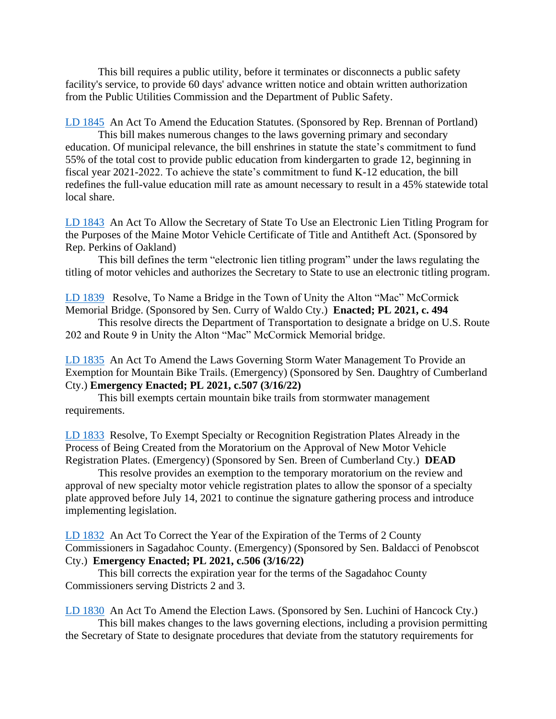This bill requires a public utility, before it terminates or disconnects a public safety facility's service, to provide 60 days' advance written notice and obtain written authorization from the Public Utilities Commission and the Department of Public Safety.

[LD 1845](http://www.mainelegislature.org/legis/bills/getPDF.asp?paper=HP1366&item=1&snum=130) An Act To Amend the Education Statutes. (Sponsored by Rep. Brennan of Portland)

This bill makes numerous changes to the laws governing primary and secondary education. Of municipal relevance, the bill enshrines in statute the state's commitment to fund 55% of the total cost to provide public education from kindergarten to grade 12, beginning in fiscal year 2021-2022. To achieve the state's commitment to fund K-12 education, the bill redefines the full-value education mill rate as amount necessary to result in a 45% statewide total local share.

[LD 1843](http://www.mainelegislature.org/legis/bills/getPDF.asp?paper=HP1364&item=1&snum=130) An Act To Allow the Secretary of State To Use an Electronic Lien Titling Program for the Purposes of the Maine Motor Vehicle Certificate of Title and Antitheft Act. (Sponsored by Rep. Perkins of Oakland)

This bill defines the term "electronic lien titling program" under the laws regulating the titling of motor vehicles and authorizes the Secretary to State to use an electronic titling program.

[LD 1839](http://www.mainelegislature.org/legis/bills/getPDF.asp?paper=SP0657&item=1&snum=130) Resolve, To Name a Bridge in the Town of Unity the Alton "Mac" McCormick Memorial Bridge. (Sponsored by Sen. Curry of Waldo Cty.) **Enacted; PL 2021, c. 494**

This resolve directs the Department of Transportation to designate a bridge on U.S. Route 202 and Route 9 in Unity the Alton "Mac" McCormick Memorial bridge.

[LD 1835](http://www.mainelegislature.org/legis/bills/getPDF.asp?paper=SP0653&item=1&snum=130) An Act To Amend the Laws Governing Storm Water Management To Provide an Exemption for Mountain Bike Trails. (Emergency) (Sponsored by Sen. Daughtry of Cumberland Cty.) **Emergency Enacted; PL 2021, c.507 (3/16/22)**

This bill exempts certain mountain bike trails from stormwater management requirements.

[LD 1833](http://www.mainelegislature.org/legis/bills/getPDF.asp?paper=SP0650&item=1&snum=130) Resolve, To Exempt Specialty or Recognition Registration Plates Already in the Process of Being Created from the Moratorium on the Approval of New Motor Vehicle Registration Plates. (Emergency) (Sponsored by Sen. Breen of Cumberland Cty.) **DEAD**

This resolve provides an exemption to the temporary moratorium on the review and approval of new specialty motor vehicle registration plates to allow the sponsor of a specialty plate approved before July 14, 2021 to continue the signature gathering process and introduce implementing legislation.

[LD 1832](http://www.mainelegislature.org/legis/bills/getPDF.asp?paper=SP0649&item=1&snum=130) An Act To Correct the Year of the Expiration of the Terms of 2 County Commissioners in Sagadahoc County. (Emergency) (Sponsored by Sen. Baldacci of Penobscot Cty.) **Emergency Enacted; PL 2021, c.506 (3/16/22)**

This bill corrects the expiration year for the terms of the Sagadahoc County Commissioners serving Districts 2 and 3.

[LD 1830](http://www.mainelegislature.org/legis/bills/getPDF.asp?paper=SP0647&item=1&snum=130) An Act To Amend the Election Laws. (Sponsored by Sen. Luchini of Hancock Cty.) This bill makes changes to the laws governing elections, including a provision permitting the Secretary of State to designate procedures that deviate from the statutory requirements for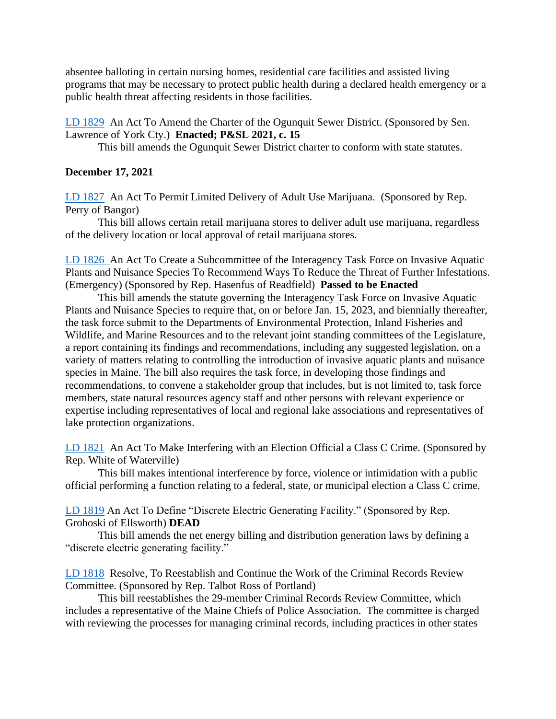absentee balloting in certain nursing homes, residential care facilities and assisted living programs that may be necessary to protect public health during a declared health emergency or a public health threat affecting residents in those facilities.

[LD 1829](http://www.mainelegislature.org/legis/bills/getPDF.asp?paper=SP0646&item=1&snum=130) An Act To Amend the Charter of the Ogunquit Sewer District. (Sponsored by Sen. Lawrence of York Cty.) **Enacted; P&SL 2021, c. 15**

This bill amends the Ogunquit Sewer District charter to conform with state statutes.

### **December 17, 2021**

[LD 1827](http://www.mainelegislature.org/legis/bills/getPDF.asp?paper=HP1360&item=1&snum=130) An Act To Permit Limited Delivery of Adult Use Marijuana. (Sponsored by Rep. Perry of Bangor)

This bill allows certain retail marijuana stores to deliver adult use marijuana, regardless of the delivery location or local approval of retail marijuana stores.

[LD 1826](http://www.mainelegislature.org/legis/bills/getPDF.asp?paper=HP1359&item=1&snum=130) An Act To Create a Subcommittee of the Interagency Task Force on Invasive Aquatic Plants and Nuisance Species To Recommend Ways To Reduce the Threat of Further Infestations. (Emergency) (Sponsored by Rep. Hasenfus of Readfield) **Passed to be Enacted**

This bill amends the statute governing the Interagency Task Force on Invasive Aquatic Plants and Nuisance Species to require that, on or before Jan. 15, 2023, and biennially thereafter, the task force submit to the Departments of Environmental Protection, Inland Fisheries and Wildlife, and Marine Resources and to the relevant joint standing committees of the Legislature, a report containing its findings and recommendations, including any suggested legislation, on a variety of matters relating to controlling the introduction of invasive aquatic plants and nuisance species in Maine. The bill also requires the task force, in developing those findings and recommendations, to convene a stakeholder group that includes, but is not limited to, task force members, state natural resources agency staff and other persons with relevant experience or expertise including representatives of local and regional lake associations and representatives of lake protection organizations.

[LD 1821](http://www.mainelegislature.org/legis/bills/getPDF.asp?paper=HP1354&item=1&snum=130) An Act To Make Interfering with an Election Official a Class C Crime. (Sponsored by Rep. White of Waterville)

This bill makes intentional interference by force, violence or intimidation with a public official performing a function relating to a federal, state, or municipal election a Class C crime.

[LD 1819](http://www.mainelegislature.org/legis/bills/getPDF.asp?paper=HP1352&item=1&snum=130) An Act To Define "Discrete Electric Generating Facility." (Sponsored by Rep. Grohoski of Ellsworth) **DEAD**

This bill amends the net energy billing and distribution generation laws by defining a "discrete electric generating facility."

[LD 1818](http://www.mainelegislature.org/legis/bills/getPDF.asp?paper=HP1351&item=1&snum=130) Resolve, To Reestablish and Continue the Work of the Criminal Records Review Committee. (Sponsored by Rep. Talbot Ross of Portland)

This bill reestablishes the 29-member Criminal Records Review Committee, which includes a representative of the Maine Chiefs of Police Association. The committee is charged with reviewing the processes for managing criminal records, including practices in other states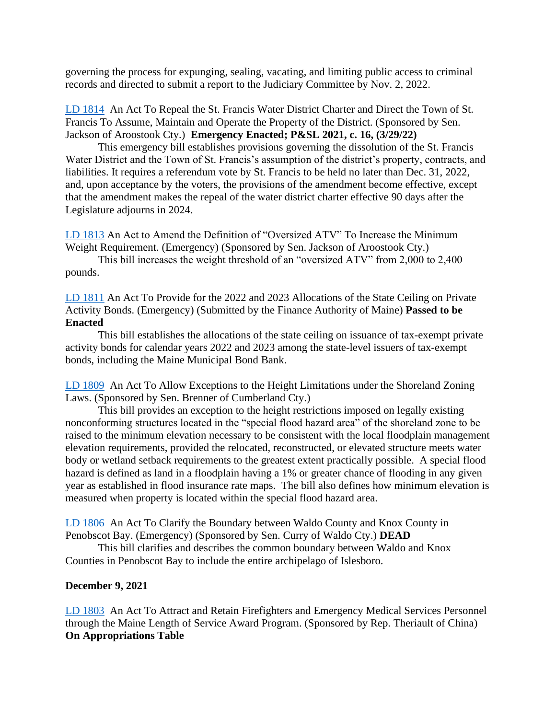governing the process for expunging, sealing, vacating, and limiting public access to criminal records and directed to submit a report to the Judiciary Committee by Nov. 2, 2022.

[LD 1814](http://www.mainelegislature.org/legis/bills/getPDF.asp?paper=SP0641&item=1&snum=130) An Act To Repeal the St. Francis Water District Charter and Direct the Town of St. Francis To Assume, Maintain and Operate the Property of the District. (Sponsored by Sen. Jackson of Aroostook Cty.) **Emergency Enacted; P&SL 2021, c. 16, (3/29/22)**

This emergency bill establishes provisions governing the dissolution of the St. Francis Water District and the Town of St. Francis's assumption of the district's property, contracts, and liabilities. It requires a referendum vote by St. Francis to be held no later than Dec. 31, 2022, and, upon acceptance by the voters, the provisions of the amendment become effective, except that the amendment makes the repeal of the water district charter effective 90 days after the Legislature adjourns in 2024.

[LD 1813](http://www.mainelegislature.org/legis/bills/getPDF.asp?paper=SP0640&item=1&snum=130) An Act to Amend the Definition of "Oversized ATV" To Increase the Minimum Weight Requirement. (Emergency) (Sponsored by Sen. Jackson of Aroostook Cty.)

This bill increases the weight threshold of an "oversized ATV" from 2,000 to 2,400 pounds.

[LD 1811](http://www.mainelegislature.org/legis/bills/getPDF.asp?paper=SP0638&item=1&snum=130) An Act To Provide for the 2022 and 2023 Allocations of the State Ceiling on Private Activity Bonds. (Emergency) (Submitted by the Finance Authority of Maine) **Passed to be Enacted**

This bill establishes the allocations of the state ceiling on issuance of tax-exempt private activity bonds for calendar years 2022 and 2023 among the state-level issuers of tax-exempt bonds, including the Maine Municipal Bond Bank.

[LD 1809](http://www.mainelegislature.org/legis/bills/getPDF.asp?paper=SP0636&item=1&snum=130) An Act To Allow Exceptions to the Height Limitations under the Shoreland Zoning Laws. (Sponsored by Sen. Brenner of Cumberland Cty.)

This bill provides an exception to the height restrictions imposed on legally existing nonconforming structures located in the "special flood hazard area" of the shoreland zone to be raised to the minimum elevation necessary to be consistent with the local floodplain management elevation requirements, provided the relocated, reconstructed, or elevated structure meets water body or wetland setback requirements to the greatest extent practically possible. A special flood hazard is defined as land in a floodplain having a 1% or greater chance of flooding in any given year as established in flood insurance rate maps. The bill also defines how minimum elevation is measured when property is located within the special flood hazard area.

[LD 1806](http://www.mainelegislature.org/legis/bills/getPDF.asp?paper=SP0632&item=1&snum=130) An Act To Clarify the Boundary between Waldo County and Knox County in Penobscot Bay. (Emergency) (Sponsored by Sen. Curry of Waldo Cty.) **DEAD**

This bill clarifies and describes the common boundary between Waldo and Knox Counties in Penobscot Bay to include the entire archipelago of Islesboro.

#### **December 9, 2021**

[LD 1803](http://www.mainelegislature.org/legis/bills/getPDF.asp?paper=HP1345&item=1&snum=130) An Act To Attract and Retain Firefighters and Emergency Medical Services Personnel through the Maine Length of Service Award Program. (Sponsored by Rep. Theriault of China) **On Appropriations Table**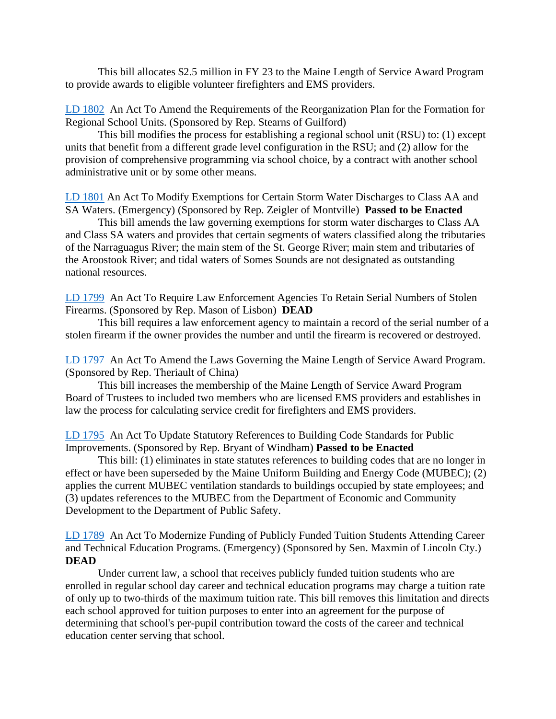This bill allocates \$2.5 million in FY 23 to the Maine Length of Service Award Program to provide awards to eligible volunteer firefighters and EMS providers.

[LD 1802](http://www.mainelegislature.org/legis/bills/getPDF.asp?paper=HP1343&item=1&snum=130) An Act To Amend the Requirements of the Reorganization Plan for the Formation for Regional School Units. (Sponsored by Rep. Stearns of Guilford)

This bill modifies the process for establishing a regional school unit (RSU) to: (1) except units that benefit from a different grade level configuration in the RSU; and (2) allow for the provision of comprehensive programming via school choice, by a contract with another school administrative unit or by some other means.

[LD 1801](http://www.mainelegislature.org/legis/bills/getPDF.asp?paper=HP1342&item=1&snum=130) An Act To Modify Exemptions for Certain Storm Water Discharges to Class AA and SA Waters. (Emergency) (Sponsored by Rep. Zeigler of Montville) **Passed to be Enacted**

This bill amends the law governing exemptions for storm water discharges to Class AA and Class SA waters and provides that certain segments of waters classified along the tributaries of the Narraguagus River; the main stem of the St. George River; main stem and tributaries of the Aroostook River; and tidal waters of Somes Sounds are not designated as outstanding national resources.

[LD 1799](http://www.mainelegislature.org/legis/bills/getPDF.asp?paper=HP1340&item=1&snum=130) An Act To Require Law Enforcement Agencies To Retain Serial Numbers of Stolen Firearms. (Sponsored by Rep. Mason of Lisbon) **DEAD**

This bill requires a law enforcement agency to maintain a record of the serial number of a stolen firearm if the owner provides the number and until the firearm is recovered or destroyed.

[LD 1797](http://www.mainelegislature.org/legis/bills/getPDF.asp?paper=HP1338&item=1&snum=130) An Act To Amend the Laws Governing the Maine Length of Service Award Program. (Sponsored by Rep. Theriault of China)

This bill increases the membership of the Maine Length of Service Award Program Board of Trustees to included two members who are licensed EMS providers and establishes in law the process for calculating service credit for firefighters and EMS providers.

[LD 1795](http://www.mainelegislature.org/legis/bills/getPDF.asp?paper=HP1336&item=1&snum=130) An Act To Update Statutory References to Building Code Standards for Public Improvements. (Sponsored by Rep. Bryant of Windham) **Passed to be Enacted**

This bill: (1) eliminates in state statutes references to building codes that are no longer in effect or have been superseded by the Maine Uniform Building and Energy Code (MUBEC); (2) applies the current MUBEC ventilation standards to buildings occupied by state employees; and (3) updates references to the MUBEC from the Department of Economic and Community Development to the Department of Public Safety.

[LD 1789](http://www.mainelegislature.org/legis/bills/getPDF.asp?paper=SP0627&item=1&snum=130) An Act To Modernize Funding of Publicly Funded Tuition Students Attending Career and Technical Education Programs. (Emergency) (Sponsored by Sen. Maxmin of Lincoln Cty.) **DEAD**

Under current law, a school that receives publicly funded tuition students who are enrolled in regular school day career and technical education programs may charge a tuition rate of only up to two-thirds of the maximum tuition rate. This bill removes this limitation and directs each school approved for tuition purposes to enter into an agreement for the purpose of determining that school's per-pupil contribution toward the costs of the career and technical education center serving that school.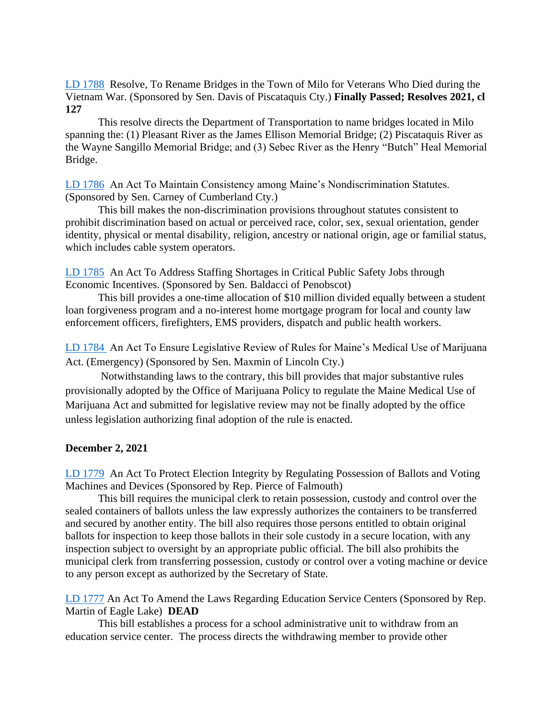[LD 1788](http://www.mainelegislature.org/legis/bills/getPDF.asp?paper=SP0626&item=1&snum=130) Resolve, To Rename Bridges in the Town of Milo for Veterans Who Died during the Vietnam War. (Sponsored by Sen. Davis of Piscataquis Cty.) **Finally Passed; Resolves 2021, cl 127**

This resolve directs the Department of Transportation to name bridges located in Milo spanning the: (1) Pleasant River as the James Ellison Memorial Bridge; (2) Piscataquis River as the Wayne Sangillo Memorial Bridge; and (3) Sebec River as the Henry "Butch" Heal Memorial Bridge.

[LD 1786](http://www.mainelegislature.org/legis/bills/getPDF.asp?paper=SP0624&item=1&snum=130) An Act To Maintain Consistency among Maine's Nondiscrimination Statutes. (Sponsored by Sen. Carney of Cumberland Cty.)

This bill makes the non-discrimination provisions throughout statutes consistent to prohibit discrimination based on actual or perceived race, color, sex, sexual orientation, gender identity, physical or mental disability, religion, ancestry or national origin, age or familial status, which includes cable system operators.

[LD 1785](http://www.mainelegislature.org/legis/bills/getPDF.asp?paper=SP0623&item=1&snum=130) An Act To Address Staffing Shortages in Critical Public Safety Jobs through Economic Incentives. (Sponsored by Sen. Baldacci of Penobscot)

This bill provides a one-time allocation of \$10 million divided equally between a student loan forgiveness program and a no-interest home mortgage program for local and county law enforcement officers, firefighters, EMS providers, dispatch and public health workers.

[LD 1784](http://www.mainelegislature.org/legis/bills/getPDF.asp?paper=SP0622&item=1&snum=130) An Act To Ensure Legislative Review of Rules for Maine's Medical Use of Marijuana Act. (Emergency) (Sponsored by Sen. Maxmin of Lincoln Cty.)

 Notwithstanding laws to the contrary, this bill provides that major substantive rules provisionally adopted by the Office of Marijuana Policy to regulate the Maine Medical Use of Marijuana Act and submitted for legislative review may not be finally adopted by the office unless legislation authorizing final adoption of the rule is enacted.

### **December 2, 2021**

[LD 1779](http://www.mainelegislature.org/legis/bills/getPDF.asp?paper=HP1330&item=1&snum=130) An Act To Protect Election Integrity by Regulating Possession of Ballots and Voting Machines and Devices (Sponsored by Rep. Pierce of Falmouth)

This bill requires the municipal clerk to retain possession, custody and control over the sealed containers of ballots unless the law expressly authorizes the containers to be transferred and secured by another entity. The bill also requires those persons entitled to obtain original ballots for inspection to keep those ballots in their sole custody in a secure location, with any inspection subject to oversight by an appropriate public official. The bill also prohibits the municipal clerk from transferring possession, custody or control over a voting machine or device to any person except as authorized by the Secretary of State.

[LD 1777](http://www.mainelegislature.org/legis/bills/getPDF.asp?paper=HP1328&item=1&snum=130) An Act To Amend the Laws Regarding Education Service Centers (Sponsored by Rep. Martin of Eagle Lake) **DEAD**

This bill establishes a process for a school administrative unit to withdraw from an education service center. The process directs the withdrawing member to provide other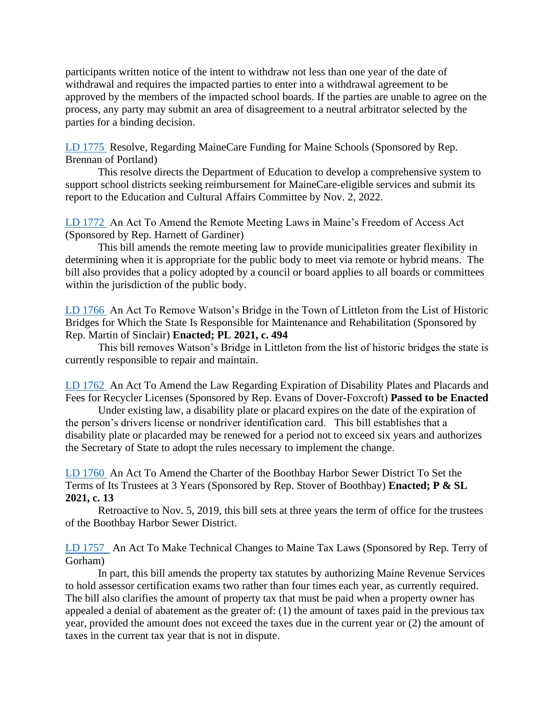participants written notice of the intent to withdraw not less than one year of the date of withdrawal and requires the impacted parties to enter into a withdrawal agreement to be approved by the members of the impacted school boards. If the parties are unable to agree on the process, any party may submit an area of disagreement to a neutral arbitrator selected by the parties for a binding decision.

[LD 1775](http://www.mainelegislature.org/legis/bills/getPDF.asp?paper=HP1326&item=1&snum=130) Resolve, Regarding MaineCare Funding for Maine Schools (Sponsored by Rep. Brennan of Portland)

This resolve directs the Department of Education to develop a comprehensive system to support school districts seeking reimbursement for MaineCare-eligible services and submit its report to the Education and Cultural Affairs Committee by Nov. 2, 2022.

[LD 1772](http://www.mainelegislature.org/legis/bills/getPDF.asp?paper=HP1323&item=1&snum=130) An Act To Amend the Remote Meeting Laws in Maine's Freedom of Access Act (Sponsored by Rep. Harnett of Gardiner)

This bill amends the remote meeting law to provide municipalities greater flexibility in determining when it is appropriate for the public body to meet via remote or hybrid means. The bill also provides that a policy adopted by a council or board applies to all boards or committees within the jurisdiction of the public body.

[LD 1766](http://www.mainelegislature.org/legis/bills/getPDF.asp?paper=HP1317&item=1&snum=130) An Act To Remove Watson's Bridge in the Town of Littleton from the List of Historic Bridges for Which the State Is Responsible for Maintenance and Rehabilitation (Sponsored by Rep. Martin of Sinclair) **Enacted; PL 2021, c. 494**

This bill removes Watson's Bridge in Littleton from the list of historic bridges the state is currently responsible to repair and maintain.

[LD 1762](http://www.mainelegislature.org/legis/bills/getPDF.asp?paper=HP1313&item=1&snum=130) An Act To Amend the Law Regarding Expiration of Disability Plates and Placards and Fees for Recycler Licenses (Sponsored by Rep. Evans of Dover-Foxcroft) **Passed to be Enacted**

Under existing law, a disability plate or placard expires on the date of the expiration of the person's drivers license or nondriver identification card. This bill establishes that a disability plate or placarded may be renewed for a period not to exceed six years and authorizes the Secretary of State to adopt the rules necessary to implement the change.

[LD 1760](http://www.mainelegislature.org/legis/bills/getPDF.asp?paper=HP1311&item=1&snum=130) An Act To Amend the Charter of the Boothbay Harbor Sewer District To Set the Terms of Its Trustees at 3 Years (Sponsored by Rep. Stover of Boothbay) **Enacted; P & SL 2021, c. 13**

Retroactive to Nov. 5, 2019, this bill sets at three years the term of office for the trustees of the Boothbay Harbor Sewer District.

[LD 1757](http://www.mainelegislature.org/legis/bills/getPDF.asp?paper=HP1308&item=1&snum=130) An Act To Make Technical Changes to Maine Tax Laws (Sponsored by Rep. Terry of Gorham)

In part, this bill amends the property tax statutes by authorizing Maine Revenue Services to hold assessor certification exams two rather than four times each year, as currently required. The bill also clarifies the amount of property tax that must be paid when a property owner has appealed a denial of abatement as the greater of: (1) the amount of taxes paid in the previous tax year, provided the amount does not exceed the taxes due in the current year or (2) the amount of taxes in the current tax year that is not in dispute.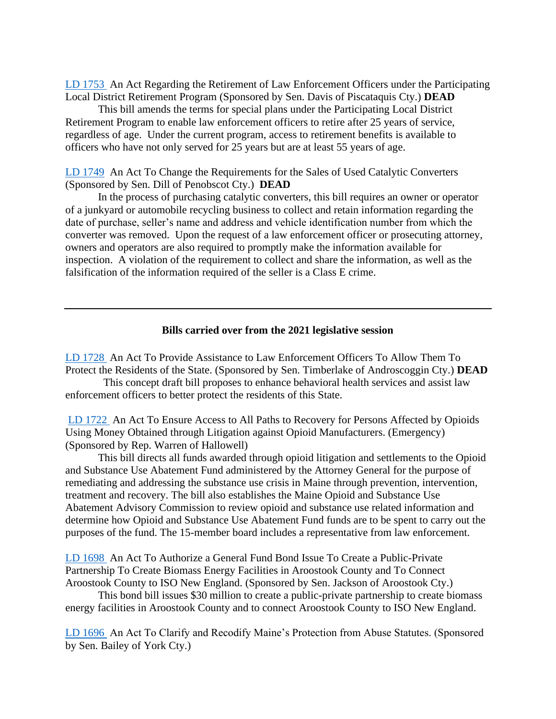[LD 1753](http://www.mainelegislature.org/legis/bills/getPDF.asp?paper=SP0613&item=1&snum=130) An Act Regarding the Retirement of Law Enforcement Officers under the Participating Local District Retirement Program (Sponsored by Sen. Davis of Piscataquis Cty.) **DEAD**

This bill amends the terms for special plans under the Participating Local District Retirement Program to enable law enforcement officers to retire after 25 years of service, regardless of age. Under the current program, access to retirement benefits is available to officers who have not only served for 25 years but are at least 55 years of age.

[LD 1749](http://www.mainelegislature.org/legis/bills/getPDF.asp?paper=SP0607&item=1&snum=130) An Act To Change the Requirements for the Sales of Used Catalytic Converters (Sponsored by Sen. Dill of Penobscot Cty.) **DEAD**

In the process of purchasing catalytic converters, this bill requires an owner or operator of a junkyard or automobile recycling business to collect and retain information regarding the date of purchase, seller's name and address and vehicle identification number from which the converter was removed. Upon the request of a law enforcement officer or prosecuting attorney, owners and operators are also required to promptly make the information available for inspection. A violation of the requirement to collect and share the information, as well as the falsification of the information required of the seller is a Class E crime.

#### **Bills carried over from the 2021 legislative session**

[LD 1728](http://www.mainelegislature.org/legis/bills/getPDF.asp?paper=SP0573&item=1&snum=130) An Act To Provide Assistance to Law Enforcement Officers To Allow Them To Protect the Residents of the State. (Sponsored by Sen. Timberlake of Androscoggin Cty.) **DEAD**

 This concept draft bill proposes to enhance behavioral health services and assist law enforcement officers to better protect the residents of this State.

[LD 1722](http://www.mainelegislature.org/legis/bills/getPDF.asp?paper=HP1277&item=1&snum=130) An Act To Ensure Access to All Paths to Recovery for Persons Affected by Opioids Using Money Obtained through Litigation against Opioid Manufacturers. (Emergency) (Sponsored by Rep. Warren of Hallowell)

This bill directs all funds awarded through opioid litigation and settlements to the Opioid and Substance Use Abatement Fund administered by the Attorney General for the purpose of remediating and addressing the substance use crisis in Maine through prevention, intervention, treatment and recovery. The bill also establishes the Maine Opioid and Substance Use Abatement Advisory Commission to review opioid and substance use related information and determine how Opioid and Substance Use Abatement Fund funds are to be spent to carry out the purposes of the fund. The 15-member board includes a representative from law enforcement.

[LD 1698](http://www.mainelegislature.org/legis/bills/getPDF.asp?paper=SP0553&item=1&snum=130) An Act To Authorize a General Fund Bond Issue To Create a Public-Private Partnership To Create Biomass Energy Facilities in Aroostook County and To Connect Aroostook County to ISO New England. (Sponsored by Sen. Jackson of Aroostook Cty.)

This bond bill issues \$30 million to create a public-private partnership to create biomass energy facilities in Aroostook County and to connect Aroostook County to ISO New England.

[LD 1696](http://www.mainelegislature.org/legis/bills/getPDF.asp?paper=SP0551&item=1&snum=130) An Act To Clarify and Recodify Maine's Protection from Abuse Statutes. (Sponsored by Sen. Bailey of York Cty.)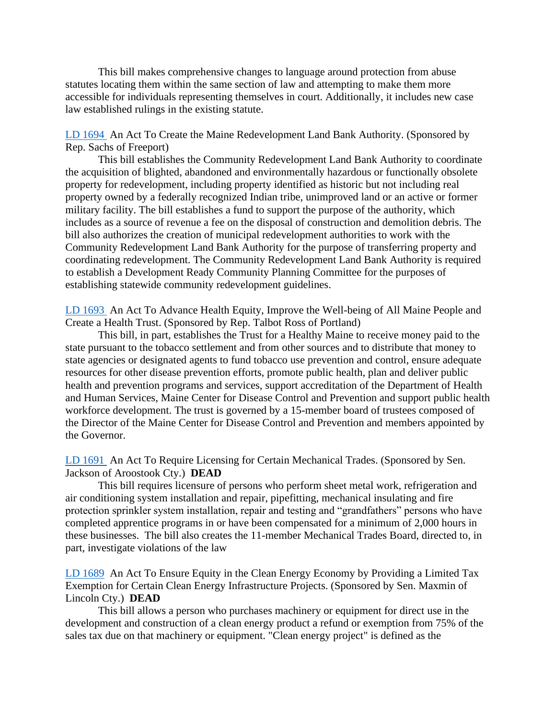This bill makes comprehensive changes to language around protection from abuse statutes locating them within the same section of law and attempting to make them more accessible for individuals representing themselves in court. Additionally, it includes new case law established rulings in the existing statute.

[LD 1694](http://www.mainelegislature.org/legis/bills/getPDF.asp?paper=HP1259&item=1&snum=130) An Act To Create the Maine Redevelopment Land Bank Authority. (Sponsored by Rep. Sachs of Freeport)

This bill establishes the Community Redevelopment Land Bank Authority to coordinate the acquisition of blighted, abandoned and environmentally hazardous or functionally obsolete property for redevelopment, including property identified as historic but not including real property owned by a federally recognized Indian tribe, unimproved land or an active or former military facility. The bill establishes a fund to support the purpose of the authority, which includes as a source of revenue a fee on the disposal of construction and demolition debris. The bill also authorizes the creation of municipal redevelopment authorities to work with the Community Redevelopment Land Bank Authority for the purpose of transferring property and coordinating redevelopment. The Community Redevelopment Land Bank Authority is required to establish a Development Ready Community Planning Committee for the purposes of establishing statewide community redevelopment guidelines.

[LD 1693](http://www.mainelegislature.org/legis/bills/getPDF.asp?paper=HP1258&item=1&snum=130) An Act To Advance Health Equity, Improve the Well-being of All Maine People and Create a Health Trust. (Sponsored by Rep. Talbot Ross of Portland)

This bill, in part, establishes the Trust for a Healthy Maine to receive money paid to the state pursuant to the tobacco settlement and from other sources and to distribute that money to state agencies or designated agents to fund tobacco use prevention and control, ensure adequate resources for other disease prevention efforts, promote public health, plan and deliver public health and prevention programs and services, support accreditation of the Department of Health and Human Services, Maine Center for Disease Control and Prevention and support public health workforce development. The trust is governed by a 15-member board of trustees composed of the Director of the Maine Center for Disease Control and Prevention and members appointed by the Governor.

[LD 1691](http://www.mainelegislature.org/legis/bills/getPDF.asp?paper=SP0547&item=1&snum=130) An Act To Require Licensing for Certain Mechanical Trades. (Sponsored by Sen. Jackson of Aroostook Cty.) **DEAD**

This bill requires licensure of persons who perform sheet metal work, refrigeration and air conditioning system installation and repair, pipefitting, mechanical insulating and fire protection sprinkler system installation, repair and testing and "grandfathers" persons who have completed apprentice programs in or have been compensated for a minimum of 2,000 hours in these businesses. The bill also creates the 11-member Mechanical Trades Board, directed to, in part, investigate violations of the law

LD [1689](http://www.mainelegislature.org/legis/bills/getPDF.asp?paper=SP0545&item=1&snum=130) An Act To Ensure Equity in the Clean Energy Economy by Providing a Limited Tax Exemption for Certain Clean Energy Infrastructure Projects. (Sponsored by Sen. Maxmin of Lincoln Cty.) **DEAD**

This bill allows a person who purchases machinery or equipment for direct use in the development and construction of a clean energy product a refund or exemption from 75% of the sales tax due on that machinery or equipment. "Clean energy project" is defined as the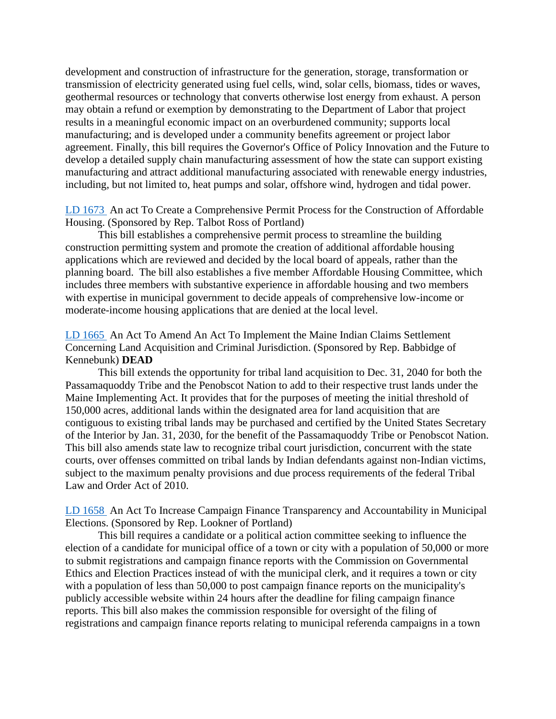development and construction of infrastructure for the generation, storage, transformation or transmission of electricity generated using fuel cells, wind, solar cells, biomass, tides or waves, geothermal resources or technology that converts otherwise lost energy from exhaust. A person may obtain a refund or exemption by demonstrating to the Department of Labor that project results in a meaningful economic impact on an overburdened community; supports local manufacturing; and is developed under a community benefits agreement or project labor agreement. Finally, this bill requires the Governor's Office of Policy Innovation and the Future to develop a detailed supply chain manufacturing assessment of how the state can support existing manufacturing and attract additional manufacturing associated with renewable energy industries, including, but not limited to, heat pumps and solar, offshore wind, hydrogen and tidal power.

[LD 1673](http://www.mainelegislature.org/legis/bills/getPDF.asp?paper=HP1244&item=1&snum=130) An act To Create a Comprehensive Permit Process for the Construction of Affordable Housing. (Sponsored by Rep. Talbot Ross of Portland)

This bill establishes a comprehensive permit process to streamline the building construction permitting system and promote the creation of additional affordable housing applications which are reviewed and decided by the local board of appeals, rather than the planning board. The bill also establishes a five member Affordable Housing Committee, which includes three members with substantive experience in affordable housing and two members with expertise in municipal government to decide appeals of comprehensive low-income or moderate-income housing applications that are denied at the local level.

[LD 1665](http://www.mainelegislature.org/legis/bills/getPDF.asp?paper=HP1236&item=1&snum=130) An Act To Amend An Act To Implement the Maine Indian Claims Settlement Concerning Land Acquisition and Criminal Jurisdiction. (Sponsored by Rep. Babbidge of Kennebunk) **DEAD**

This bill extends the opportunity for tribal land acquisition to Dec. 31, 2040 for both the Passamaquoddy Tribe and the Penobscot Nation to add to their respective trust lands under the Maine Implementing Act. It provides that for the purposes of meeting the initial threshold of 150,000 acres, additional lands within the designated area for land acquisition that are contiguous to existing tribal lands may be purchased and certified by the United States Secretary of the Interior by Jan. 31, 2030, for the benefit of the Passamaquoddy Tribe or Penobscot Nation. This bill also amends state law to recognize tribal court jurisdiction, concurrent with the state courts, over offenses committed on tribal lands by Indian defendants against non-Indian victims, subject to the maximum penalty provisions and due process requirements of the federal Tribal Law and Order Act of 2010.

[LD 1658](http://www.mainelegislature.org/legis/bills/getPDF.asp?paper=HP1229&item=1&snum=130) An Act To Increase Campaign Finance Transparency and Accountability in Municipal Elections. (Sponsored by Rep. Lookner of Portland)

This bill requires a candidate or a political action committee seeking to influence the election of a candidate for municipal office of a town or city with a population of 50,000 or more to submit registrations and campaign finance reports with the Commission on Governmental Ethics and Election Practices instead of with the municipal clerk, and it requires a town or city with a population of less than 50,000 to post campaign finance reports on the municipality's publicly accessible website within 24 hours after the deadline for filing campaign finance reports. This bill also makes the commission responsible for oversight of the filing of registrations and campaign finance reports relating to municipal referenda campaigns in a town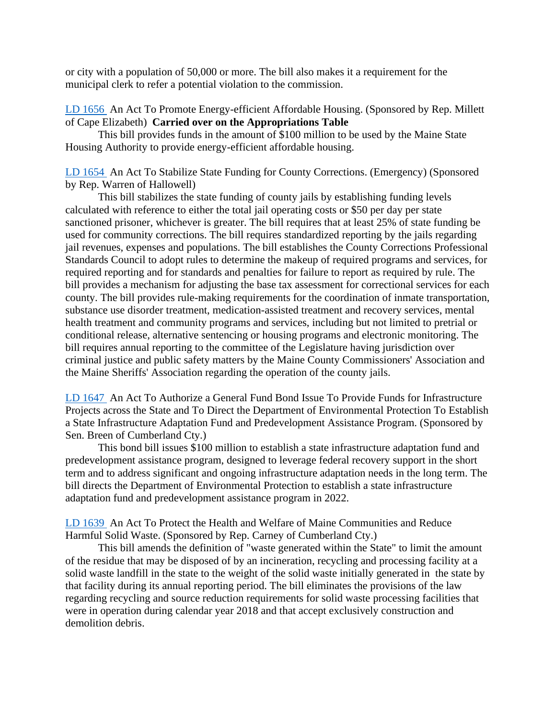or city with a population of 50,000 or more. The bill also makes it a requirement for the municipal clerk to refer a potential violation to the commission.

## [LD 1656](http://www.mainelegislature.org/legis/bills/getPDF.asp?paper=HP1227&item=1&snum=130) An Act To Promote Energy-efficient Affordable Housing. (Sponsored by Rep. Millett of Cape Elizabeth) **Carried over on the Appropriations Table**

This bill provides funds in the amount of \$100 million to be used by the Maine State Housing Authority to provide energy-efficient affordable housing.

[LD 1654](http://www.mainelegislature.org/legis/bills/getPDF.asp?paper=HP1225&item=1&snum=130) An Act To Stabilize State Funding for County Corrections. (Emergency) (Sponsored by Rep. Warren of Hallowell)

This bill stabilizes the state funding of county jails by establishing funding levels calculated with reference to either the total jail operating costs or \$50 per day per state sanctioned prisoner, whichever is greater. The bill requires that at least 25% of state funding be used for community corrections. The bill requires standardized reporting by the jails regarding jail revenues, expenses and populations. The bill establishes the County Corrections Professional Standards Council to adopt rules to determine the makeup of required programs and services, for required reporting and for standards and penalties for failure to report as required by rule. The bill provides a mechanism for adjusting the base tax assessment for correctional services for each county. The bill provides rule-making requirements for the coordination of inmate transportation, substance use disorder treatment, medication-assisted treatment and recovery services, mental health treatment and community programs and services, including but not limited to pretrial or conditional release, alternative sentencing or housing programs and electronic monitoring. The bill requires annual reporting to the committee of the Legislature having jurisdiction over criminal justice and public safety matters by the Maine County Commissioners' Association and the Maine Sheriffs' Association regarding the operation of the county jails.

[LD 1647](http://www.mainelegislature.org/legis/bills/getPDF.asp?paper=SP0532&item=1&snum=130) An Act To Authorize a General Fund Bond Issue To Provide Funds for Infrastructure Projects across the State and To Direct the Department of Environmental Protection To Establish a State Infrastructure Adaptation Fund and Predevelopment Assistance Program. (Sponsored by Sen. Breen of Cumberland Cty.)

This bond bill issues \$100 million to establish a state infrastructure adaptation fund and predevelopment assistance program, designed to leverage federal recovery support in the short term and to address significant and ongoing infrastructure adaptation needs in the long term. The bill directs the Department of Environmental Protection to establish a state infrastructure adaptation fund and predevelopment assistance program in 2022.

[LD 1639](http://www.mainelegislature.org/legis/bills/getPDF.asp?paper=SP0523&item=1&snum=130) An Act To Protect the Health and Welfare of Maine Communities and Reduce Harmful Solid Waste. (Sponsored by Rep. Carney of Cumberland Cty.)

This bill amends the definition of "waste generated within the State" to limit the amount of the residue that may be disposed of by an incineration, recycling and processing facility at a solid waste landfill in the state to the weight of the solid waste initially generated in the state by that facility during its annual reporting period. The bill eliminates the provisions of the law regarding recycling and source reduction requirements for solid waste processing facilities that were in operation during calendar year 2018 and that accept exclusively construction and demolition debris.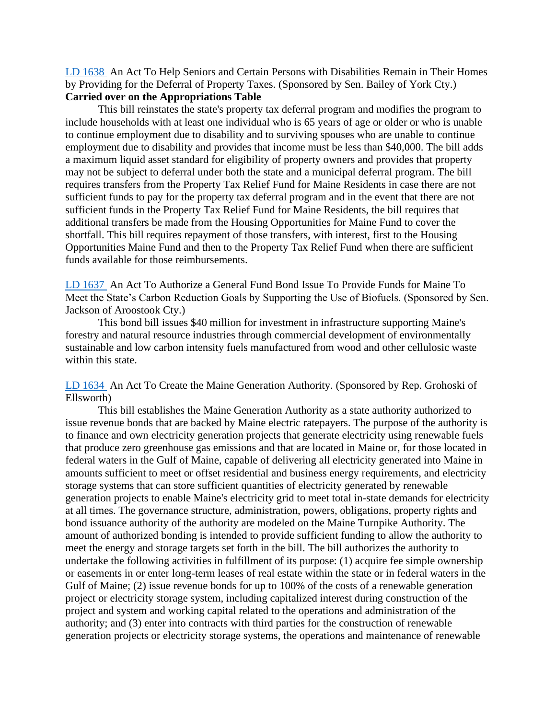[LD 1638](http://www.mainelegislature.org/legis/bills/getPDF.asp?paper=SP0522&item=1&snum=130) An Act To Help Seniors and Certain Persons with Disabilities Remain in Their Homes by Providing for the Deferral of Property Taxes. (Sponsored by Sen. Bailey of York Cty.) **Carried over on the Appropriations Table**

This bill reinstates the state's property tax deferral program and modifies the program to include households with at least one individual who is 65 years of age or older or who is unable to continue employment due to disability and to surviving spouses who are unable to continue employment due to disability and provides that income must be less than \$40,000. The bill adds a maximum liquid asset standard for eligibility of property owners and provides that property may not be subject to deferral under both the state and a municipal deferral program. The bill requires transfers from the Property Tax Relief Fund for Maine Residents in case there are not sufficient funds to pay for the property tax deferral program and in the event that there are not sufficient funds in the Property Tax Relief Fund for Maine Residents, the bill requires that additional transfers be made from the Housing Opportunities for Maine Fund to cover the shortfall. This bill requires repayment of those transfers, with interest, first to the Housing Opportunities Maine Fund and then to the Property Tax Relief Fund when there are sufficient funds available for those reimbursements.

[LD 1637](http://www.mainelegislature.org/legis/bills/getPDF.asp?paper=SP0521&item=1&snum=130) An Act To Authorize a General Fund Bond Issue To Provide Funds for Maine To Meet the State's Carbon Reduction Goals by Supporting the Use of Biofuels. (Sponsored by Sen. Jackson of Aroostook Cty.)

This bond bill issues \$40 million for investment in infrastructure supporting Maine's forestry and natural resource industries through commercial development of environmentally sustainable and low carbon intensity fuels manufactured from wood and other cellulosic waste within this state.

[LD 1634](http://www.mainelegislature.org/legis/bills/getPDF.asp?paper=HP1218&item=1&snum=130) An Act To Create the Maine Generation Authority. (Sponsored by Rep. Grohoski of Ellsworth)

This bill establishes the Maine Generation Authority as a state authority authorized to issue revenue bonds that are backed by Maine electric ratepayers. The purpose of the authority is to finance and own electricity generation projects that generate electricity using renewable fuels that produce zero greenhouse gas emissions and that are located in Maine or, for those located in federal waters in the Gulf of Maine, capable of delivering all electricity generated into Maine in amounts sufficient to meet or offset residential and business energy requirements, and electricity storage systems that can store sufficient quantities of electricity generated by renewable generation projects to enable Maine's electricity grid to meet total in-state demands for electricity at all times. The governance structure, administration, powers, obligations, property rights and bond issuance authority of the authority are modeled on the Maine Turnpike Authority. The amount of authorized bonding is intended to provide sufficient funding to allow the authority to meet the energy and storage targets set forth in the bill. The bill authorizes the authority to undertake the following activities in fulfillment of its purpose: (1) acquire fee simple ownership or easements in or enter long-term leases of real estate within the state or in federal waters in the Gulf of Maine; (2) issue revenue bonds for up to 100% of the costs of a renewable generation project or electricity storage system, including capitalized interest during construction of the project and system and working capital related to the operations and administration of the authority; and (3) enter into contracts with third parties for the construction of renewable generation projects or electricity storage systems, the operations and maintenance of renewable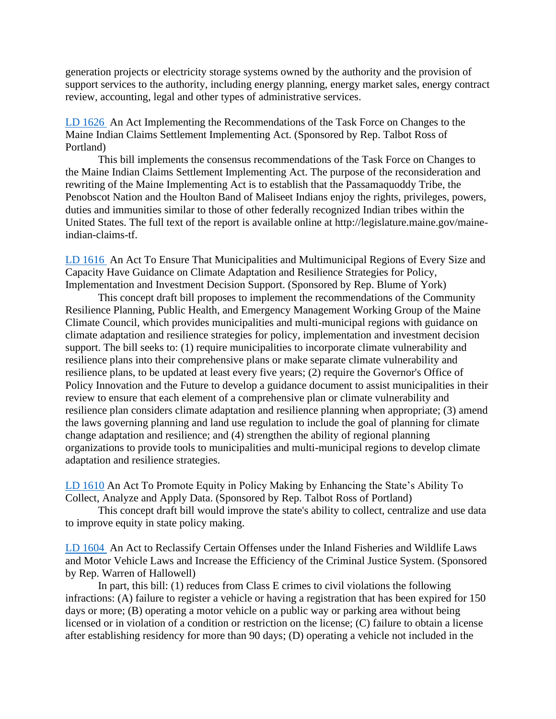generation projects or electricity storage systems owned by the authority and the provision of support services to the authority, including energy planning, energy market sales, energy contract review, accounting, legal and other types of administrative services.

[LD 1626](http://www.mainelegislature.org/legis/bills/getPDF.asp?paper=HP1210&item=1&snum=130) An Act Implementing the Recommendations of the Task Force on Changes to the Maine Indian Claims Settlement Implementing Act. (Sponsored by Rep. Talbot Ross of Portland)

This bill implements the consensus recommendations of the Task Force on Changes to the Maine Indian Claims Settlement Implementing Act. The purpose of the reconsideration and rewriting of the Maine Implementing Act is to establish that the Passamaquoddy Tribe, the Penobscot Nation and the Houlton Band of Maliseet Indians enjoy the rights, privileges, powers, duties and immunities similar to those of other federally recognized Indian tribes within the United States. The full text of the report is available online at http://legislature.maine.gov/maineindian-claims-tf.

[LD 1616](http://www.mainelegislature.org/legis/bills/getPDF.asp?paper=HP1205&item=1&snum=130) An Act To Ensure That Municipalities and Multimunicipal Regions of Every Size and Capacity Have Guidance on Climate Adaptation and Resilience Strategies for Policy, Implementation and Investment Decision Support. (Sponsored by Rep. Blume of York)

This concept draft bill proposes to implement the recommendations of the Community Resilience Planning, Public Health, and Emergency Management Working Group of the Maine Climate Council, which provides municipalities and multi-municipal regions with guidance on climate adaptation and resilience strategies for policy, implementation and investment decision support. The bill seeks to: (1) require municipalities to incorporate climate vulnerability and resilience plans into their comprehensive plans or make separate climate vulnerability and resilience plans, to be updated at least every five years; (2) require the Governor's Office of Policy Innovation and the Future to develop a guidance document to assist municipalities in their review to ensure that each element of a comprehensive plan or climate vulnerability and resilience plan considers climate adaptation and resilience planning when appropriate; (3) amend the laws governing planning and land use regulation to include the goal of planning for climate change adaptation and resilience; and (4) strengthen the ability of regional planning organizations to provide tools to municipalities and multi-municipal regions to develop climate adaptation and resilience strategies.

[LD 1610](http://www.mainelegislature.org/legis/bills/getPDF.asp?paper=HP1199&item=1&snum=130) An Act To Promote Equity in Policy Making by Enhancing the State's Ability To Collect, Analyze and Apply Data. (Sponsored by Rep. Talbot Ross of Portland)

This concept draft bill would improve the state's ability to collect, centralize and use data to improve equity in state policy making.

[LD 1604](http://www.mainelegislature.org/legis/bills/getPDF.asp?paper=HP1193&item=1&snum=130) An Act to Reclassify Certain Offenses under the Inland Fisheries and Wildlife Laws and Motor Vehicle Laws and Increase the Efficiency of the Criminal Justice System. (Sponsored by Rep. Warren of Hallowell)

In part, this bill: (1) reduces from Class E crimes to civil violations the following infractions: (A) failure to register a vehicle or having a registration that has been expired for 150 days or more; (B) operating a motor vehicle on a public way or parking area without being licensed or in violation of a condition or restriction on the license; (C) failure to obtain a license after establishing residency for more than 90 days; (D) operating a vehicle not included in the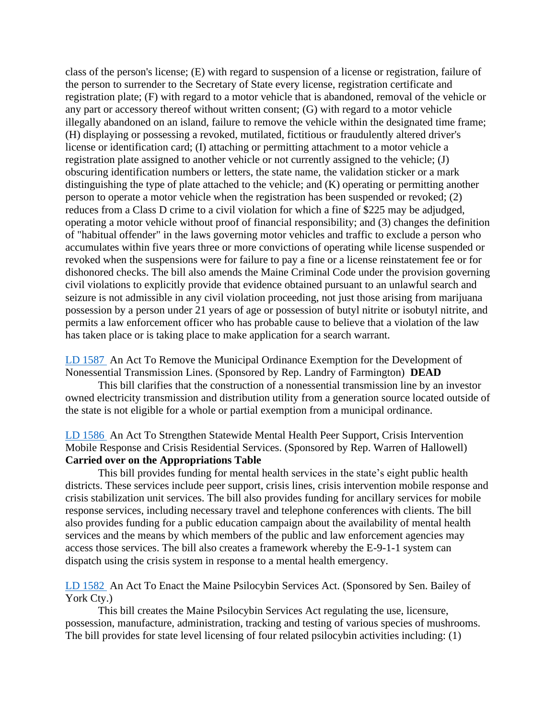class of the person's license; (E) with regard to suspension of a license or registration, failure of the person to surrender to the Secretary of State every license, registration certificate and registration plate; (F) with regard to a motor vehicle that is abandoned, removal of the vehicle or any part or accessory thereof without written consent; (G) with regard to a motor vehicle illegally abandoned on an island, failure to remove the vehicle within the designated time frame; (H) displaying or possessing a revoked, mutilated, fictitious or fraudulently altered driver's license or identification card; (I) attaching or permitting attachment to a motor vehicle a registration plate assigned to another vehicle or not currently assigned to the vehicle; (J) obscuring identification numbers or letters, the state name, the validation sticker or a mark distinguishing the type of plate attached to the vehicle; and (K) operating or permitting another person to operate a motor vehicle when the registration has been suspended or revoked; (2) reduces from a Class D crime to a civil violation for which a fine of \$225 may be adjudged, operating a motor vehicle without proof of financial responsibility; and (3) changes the definition of "habitual offender" in the laws governing motor vehicles and traffic to exclude a person who accumulates within five years three or more convictions of operating while license suspended or revoked when the suspensions were for failure to pay a fine or a license reinstatement fee or for dishonored checks. The bill also amends the Maine Criminal Code under the provision governing civil violations to explicitly provide that evidence obtained pursuant to an unlawful search and seizure is not admissible in any civil violation proceeding, not just those arising from marijuana possession by a person under 21 years of age or possession of butyl nitrite or isobutyl nitrite, and permits a law enforcement officer who has probable cause to believe that a violation of the law has taken place or is taking place to make application for a search warrant.

[LD 1587](http://www.mainelegislature.org/legis/bills/getPDF.asp?paper=HP1176&item=1&snum=130) An Act To Remove the Municipal Ordinance Exemption for the Development of Nonessential Transmission Lines. (Sponsored by Rep. Landry of Farmington) **DEAD**

This bill clarifies that the construction of a nonessential transmission line by an investor owned electricity transmission and distribution utility from a generation source located outside of the state is not eligible for a whole or partial exemption from a municipal ordinance.

# [LD 1586](http://www.mainelegislature.org/legis/bills/getPDF.asp?paper=HP1175&item=1&snum=130) An Act To Strengthen Statewide Mental Health Peer Support, Crisis Intervention Mobile Response and Crisis Residential Services. (Sponsored by Rep. Warren of Hallowell) **Carried over on the Appropriations Table**

This bill provides funding for mental health services in the state's eight public health districts. These services include peer support, crisis lines, crisis intervention mobile response and crisis stabilization unit services. The bill also provides funding for ancillary services for mobile response services, including necessary travel and telephone conferences with clients. The bill also provides funding for a public education campaign about the availability of mental health services and the means by which members of the public and law enforcement agencies may access those services. The bill also creates a framework whereby the E-9-1-1 system can dispatch using the crisis system in response to a mental health emergency.

## [LD 1582](http://www.mainelegislature.org/legis/bills/getPDF.asp?paper=SP0496&item=1&snum=130) An Act To Enact the Maine Psilocybin Services Act. (Sponsored by Sen. Bailey of York Cty.)

This bill creates the Maine Psilocybin Services Act regulating the use, licensure, possession, manufacture, administration, tracking and testing of various species of mushrooms. The bill provides for state level licensing of four related psilocybin activities including: (1)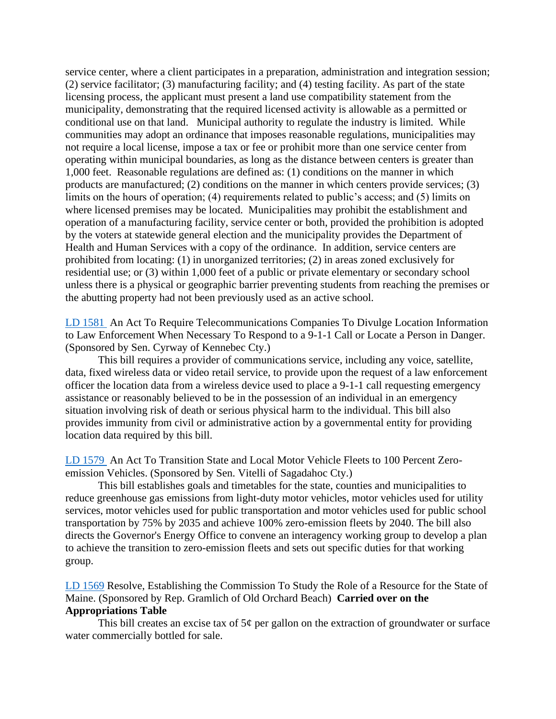service center, where a client participates in a preparation, administration and integration session; (2) service facilitator; (3) manufacturing facility; and (4) testing facility. As part of the state licensing process, the applicant must present a land use compatibility statement from the municipality, demonstrating that the required licensed activity is allowable as a permitted or conditional use on that land. Municipal authority to regulate the industry is limited. While communities may adopt an ordinance that imposes reasonable regulations, municipalities may not require a local license, impose a tax or fee or prohibit more than one service center from operating within municipal boundaries, as long as the distance between centers is greater than 1,000 feet. Reasonable regulations are defined as: (1) conditions on the manner in which products are manufactured; (2) conditions on the manner in which centers provide services; (3) limits on the hours of operation; (4) requirements related to public's access; and (5) limits on where licensed premises may be located. Municipalities may prohibit the establishment and operation of a manufacturing facility, service center or both, provided the prohibition is adopted by the voters at statewide general election and the municipality provides the Department of Health and Human Services with a copy of the ordinance. In addition, service centers are prohibited from locating: (1) in unorganized territories; (2) in areas zoned exclusively for residential use; or (3) within 1,000 feet of a public or private elementary or secondary school unless there is a physical or geographic barrier preventing students from reaching the premises or the abutting property had not been previously used as an active school.

[LD 1581](http://www.mainelegislature.org/legis/bills/getPDF.asp?paper=SP0492&item=1&snum=130) An Act To Require Telecommunications Companies To Divulge Location Information to Law Enforcement When Necessary To Respond to a 9-1-1 Call or Locate a Person in Danger. (Sponsored by Sen. Cyrway of Kennebec Cty.)

This bill requires a provider of communications service, including any voice, satellite, data, fixed wireless data or video retail service, to provide upon the request of a law enforcement officer the location data from a wireless device used to place a 9-1-1 call requesting emergency assistance or reasonably believed to be in the possession of an individual in an emergency situation involving risk of death or serious physical harm to the individual. This bill also provides immunity from civil or administrative action by a governmental entity for providing location data required by this bill.

[LD 1579](http://www.mainelegislature.org/legis/bills/getPDF.asp?paper=SP0456&item=1&snum=130) An Act To Transition State and Local Motor Vehicle Fleets to 100 Percent Zeroemission Vehicles. (Sponsored by Sen. Vitelli of Sagadahoc Cty.)

This bill establishes goals and timetables for the state, counties and municipalities to reduce greenhouse gas emissions from light-duty motor vehicles, motor vehicles used for utility services, motor vehicles used for public transportation and motor vehicles used for public school transportation by 75% by 2035 and achieve 100% zero-emission fleets by 2040. The bill also directs the Governor's Energy Office to convene an interagency working group to develop a plan to achieve the transition to zero-emission fleets and sets out specific duties for that working group.

# [LD 1569](http://www.mainelegislature.org/legis/bills/getPDF.asp?paper=HP1166&item=1&snum=130) Resolve, Establishing the Commission To Study the Role of a Resource for the State of Maine. (Sponsored by Rep. Gramlich of Old Orchard Beach) **Carried over on the Appropriations Table**

This bill creates an excise tax of  $5¢$  per gallon on the extraction of groundwater or surface water commercially bottled for sale.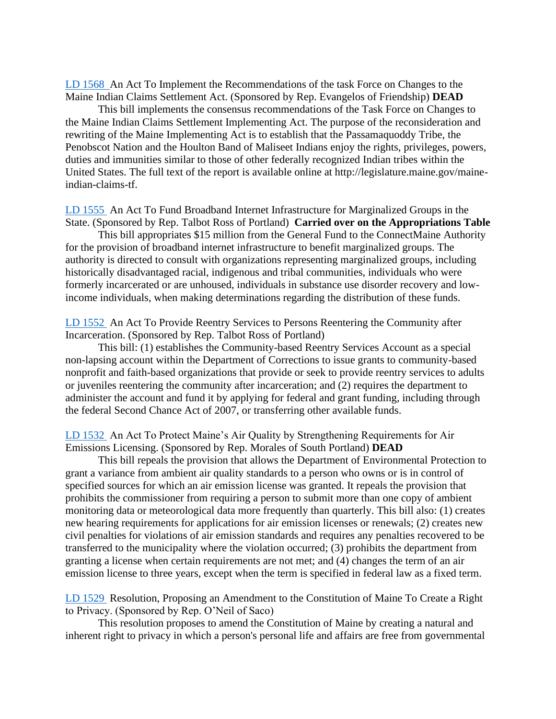[LD 1568](http://www.mainelegislature.org/legis/bills/getPDF.asp?paper=HP1165&item=1&snum=130) An Act To Implement the Recommendations of the task Force on Changes to the Maine Indian Claims Settlement Act. (Sponsored by Rep. Evangelos of Friendship) **DEAD**

This bill implements the consensus recommendations of the Task Force on Changes to the Maine Indian Claims Settlement Implementing Act. The purpose of the reconsideration and rewriting of the Maine Implementing Act is to establish that the Passamaquoddy Tribe, the Penobscot Nation and the Houlton Band of Maliseet Indians enjoy the rights, privileges, powers, duties and immunities similar to those of other federally recognized Indian tribes within the United States. The full text of the report is available online at http://legislature.maine.gov/maineindian-claims-tf.

[LD 1555](http://www.mainelegislature.org/legis/bills/getPDF.asp?paper=HP1160&item=1&snum=130) An Act To Fund Broadband Internet Infrastructure for Marginalized Groups in the State. (Sponsored by Rep. Talbot Ross of Portland) **Carried over on the Appropriations Table**

This bill appropriates \$15 million from the General Fund to the ConnectMaine Authority for the provision of broadband internet infrastructure to benefit marginalized groups. The authority is directed to consult with organizations representing marginalized groups, including historically disadvantaged racial, indigenous and tribal communities, individuals who were formerly incarcerated or are unhoused, individuals in substance use disorder recovery and lowincome individuals, when making determinations regarding the distribution of these funds.

[LD 1552](http://www.mainelegislature.org/legis/bills/getPDF.asp?paper=HP1157&item=1&snum=130) An Act To Provide Reentry Services to Persons Reentering the Community after Incarceration. (Sponsored by Rep. Talbot Ross of Portland)

This bill: (1) establishes the Community-based Reentry Services Account as a special non-lapsing account within the Department of Corrections to issue grants to community-based nonprofit and faith-based organizations that provide or seek to provide reentry services to adults or juveniles reentering the community after incarceration; and (2) requires the department to administer the account and fund it by applying for federal and grant funding, including through the federal Second Chance Act of 2007, or transferring other available funds.

[LD 1532](http://www.mainelegislature.org/legis/bills/getPDF.asp?paper=HP1136&item=1&snum=130) An Act To Protect Maine's Air Quality by Strengthening Requirements for Air Emissions Licensing. (Sponsored by Rep. Morales of South Portland) **DEAD**

This bill repeals the provision that allows the Department of Environmental Protection to grant a variance from ambient air quality standards to a person who owns or is in control of specified sources for which an air emission license was granted. It repeals the provision that prohibits the commissioner from requiring a person to submit more than one copy of ambient monitoring data or meteorological data more frequently than quarterly. This bill also: (1) creates new hearing requirements for applications for air emission licenses or renewals; (2) creates new civil penalties for violations of air emission standards and requires any penalties recovered to be transferred to the municipality where the violation occurred; (3) prohibits the department from granting a license when certain requirements are not met; and (4) changes the term of an air emission license to three years, except when the term is specified in federal law as a fixed term.

[LD 1529](http://www.mainelegislature.org/legis/bills/getPDF.asp?paper=HP1133&item=1&snum=130) Resolution, Proposing an Amendment to the Constitution of Maine To Create a Right to Privacy. (Sponsored by Rep. O'Neil of Saco)

This resolution proposes to amend the Constitution of Maine by creating a natural and inherent right to privacy in which a person's personal life and affairs are free from governmental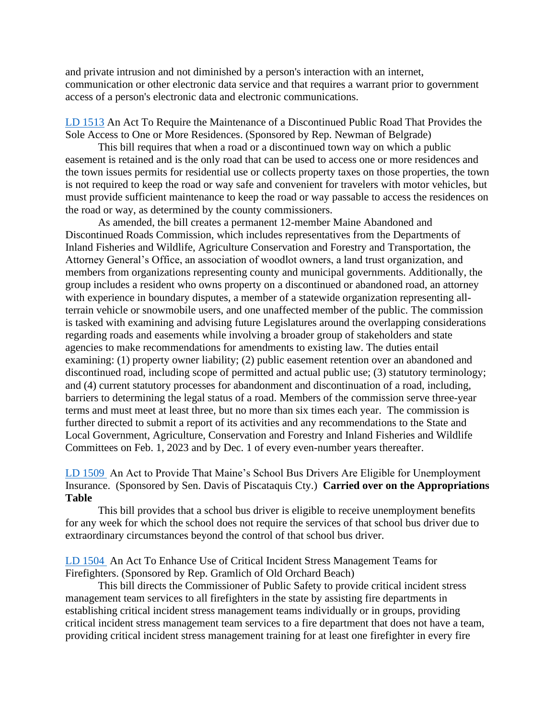and private intrusion and not diminished by a person's interaction with an internet, communication or other electronic data service and that requires a warrant prior to government access of a person's electronic data and electronic communications.

[LD 1513](http://www.mainelegislature.org/legis/bills/getPDF.asp?paper=HP1121&item=1&snum=130) An Act To Require the Maintenance of a Discontinued Public Road That Provides the Sole Access to One or More Residences. (Sponsored by Rep. Newman of Belgrade)

This bill requires that when a road or a discontinued town way on which a public easement is retained and is the only road that can be used to access one or more residences and the town issues permits for residential use or collects property taxes on those properties, the town is not required to keep the road or way safe and convenient for travelers with motor vehicles, but must provide sufficient maintenance to keep the road or way passable to access the residences on the road or way, as determined by the county commissioners.

As amended, the bill creates a permanent 12-member Maine Abandoned and Discontinued Roads Commission, which includes representatives from the Departments of Inland Fisheries and Wildlife, Agriculture Conservation and Forestry and Transportation, the Attorney General's Office, an association of woodlot owners, a land trust organization, and members from organizations representing county and municipal governments. Additionally, the group includes a resident who owns property on a discontinued or abandoned road, an attorney with experience in boundary disputes, a member of a statewide organization representing allterrain vehicle or snowmobile users, and one unaffected member of the public. The commission is tasked with examining and advising future Legislatures around the overlapping considerations regarding roads and easements while involving a broader group of stakeholders and state agencies to make recommendations for amendments to existing law. The duties entail examining: (1) property owner liability; (2) public easement retention over an abandoned and discontinued road, including scope of permitted and actual public use; (3) statutory terminology; and (4) current statutory processes for abandonment and discontinuation of a road, including, barriers to determining the legal status of a road. Members of the commission serve three-year terms and must meet at least three, but no more than six times each year. The commission is further directed to submit a report of its activities and any recommendations to the State and Local Government, Agriculture, Conservation and Forestry and Inland Fisheries and Wildlife Committees on Feb. 1, 2023 and by Dec. 1 of every even-number years thereafter.

[LD 1509](http://www.mainelegislature.org/legis/bills/getPDF.asp?paper=SP0486&item=1&snum=130) An Act to Provide That Maine's School Bus Drivers Are Eligible for Unemployment Insurance. (Sponsored by Sen. Davis of Piscataquis Cty.) **Carried over on the Appropriations Table**

This bill provides that a school bus driver is eligible to receive unemployment benefits for any week for which the school does not require the services of that school bus driver due to extraordinary circumstances beyond the control of that school bus driver.

[LD 1504](http://www.mainelegislature.org/legis/bills/getPDF.asp?paper=HP1114&item=1&snum=130) An Act To Enhance Use of Critical Incident Stress Management Teams for Firefighters. (Sponsored by Rep. Gramlich of Old Orchard Beach)

This bill directs the Commissioner of Public Safety to provide critical incident stress management team services to all firefighters in the state by assisting fire departments in establishing critical incident stress management teams individually or in groups, providing critical incident stress management team services to a fire department that does not have a team, providing critical incident stress management training for at least one firefighter in every fire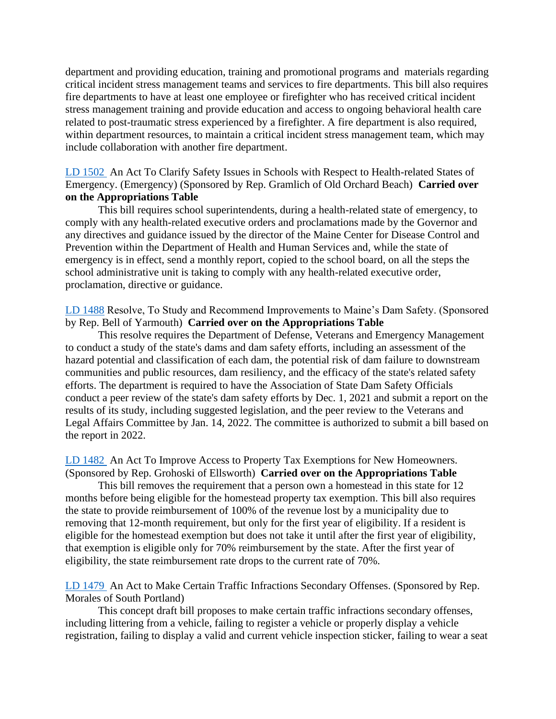department and providing education, training and promotional programs and materials regarding critical incident stress management teams and services to fire departments. This bill also requires fire departments to have at least one employee or firefighter who has received critical incident stress management training and provide education and access to ongoing behavioral health care related to post-traumatic stress experienced by a firefighter. A fire department is also required, within department resources, to maintain a critical incident stress management team, which may include collaboration with another fire department.

[LD 1502](http://www.mainelegislature.org/legis/bills/getPDF.asp?paper=HP1112&item=1&snum=130) An Act To Clarify Safety Issues in Schools with Respect to Health-related States of Emergency. (Emergency) (Sponsored by Rep. Gramlich of Old Orchard Beach) **Carried over on the Appropriations Table**

This bill requires school superintendents, during a health-related state of emergency, to comply with any health-related executive orders and proclamations made by the Governor and any directives and guidance issued by the director of the Maine Center for Disease Control and Prevention within the Department of Health and Human Services and, while the state of emergency is in effect, send a monthly report, copied to the school board, on all the steps the school administrative unit is taking to comply with any health-related executive order, proclamation, directive or guidance.

[LD 1488](http://www.mainelegislature.org/legis/bills/getPDF.asp?paper=HP1102&item=1&snum=130) Resolve, To Study and Recommend Improvements to Maine's Dam Safety. (Sponsored by Rep. Bell of Yarmouth) **Carried over on the Appropriations Table**

This resolve requires the Department of Defense, Veterans and Emergency Management to conduct a study of the state's dams and dam safety efforts, including an assessment of the hazard potential and classification of each dam, the potential risk of dam failure to downstream communities and public resources, dam resiliency, and the efficacy of the state's related safety efforts. The department is required to have the Association of State Dam Safety Officials conduct a peer review of the state's dam safety efforts by Dec. 1, 2021 and submit a report on the results of its study, including suggested legislation, and the peer review to the Veterans and Legal Affairs Committee by Jan. 14, 2022. The committee is authorized to submit a bill based on the report in 2022.

[LD 1482](http://www.mainelegislature.org/legis/bills/getPDF.asp?paper=HP1097&item=1&snum=130) An Act To Improve Access to Property Tax Exemptions for New Homeowners. (Sponsored by Rep. Grohoski of Ellsworth) **Carried over on the Appropriations Table**

This bill removes the requirement that a person own a homestead in this state for 12 months before being eligible for the homestead property tax exemption. This bill also requires the state to provide reimbursement of 100% of the revenue lost by a municipality due to removing that 12-month requirement, but only for the first year of eligibility. If a resident is eligible for the homestead exemption but does not take it until after the first year of eligibility, that exemption is eligible only for 70% reimbursement by the state. After the first year of eligibility, the state reimbursement rate drops to the current rate of 70%.

[LD 1479](http://www.mainelegislature.org/legis/bills/getPDF.asp?paper=HP1094&item=1&snum=130) An Act to Make Certain Traffic Infractions Secondary Offenses. (Sponsored by Rep. Morales of South Portland)

This concept draft bill proposes to make certain traffic infractions secondary offenses, including littering from a vehicle, failing to register a vehicle or properly display a vehicle registration, failing to display a valid and current vehicle inspection sticker, failing to wear a seat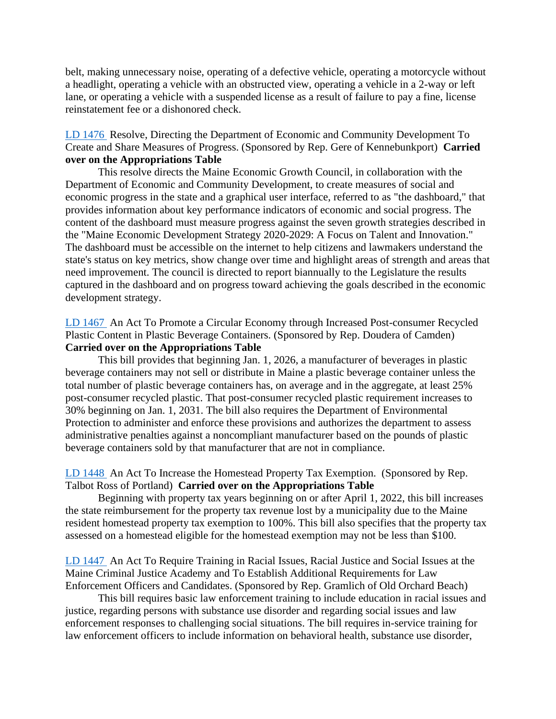belt, making unnecessary noise, operating of a defective vehicle, operating a motorcycle without a headlight, operating a vehicle with an obstructed view, operating a vehicle in a 2-way or left lane, or operating a vehicle with a suspended license as a result of failure to pay a fine, license reinstatement fee or a dishonored check.

# LD [1476](http://www.mainelegislature.org/legis/bills/getPDF.asp?paper=HP1091&item=1&snum=130) Resolve, Directing the Department of Economic and Community Development To Create and Share Measures of Progress. (Sponsored by Rep. Gere of Kennebunkport) **Carried over on the Appropriations Table**

This resolve directs the Maine Economic Growth Council, in collaboration with the Department of Economic and Community Development, to create measures of social and economic progress in the state and a graphical user interface, referred to as "the dashboard," that provides information about key performance indicators of economic and social progress. The content of the dashboard must measure progress against the seven growth strategies described in the "Maine Economic Development Strategy 2020-2029: A Focus on Talent and Innovation." The dashboard must be accessible on the internet to help citizens and lawmakers understand the state's status on key metrics, show change over time and highlight areas of strength and areas that need improvement. The council is directed to report biannually to the Legislature the results captured in the dashboard and on progress toward achieving the goals described in the economic development strategy.

## [LD 1467](http://www.mainelegislature.org/legis/bills/getPDF.asp?paper=HP1083&item=1&snum=130) An Act To Promote a Circular Economy through Increased Post-consumer Recycled Plastic Content in Plastic Beverage Containers. (Sponsored by Rep. Doudera of Camden) **Carried over on the Appropriations Table**

This bill provides that beginning Jan. 1, 2026, a manufacturer of beverages in plastic beverage containers may not sell or distribute in Maine a plastic beverage container unless the total number of plastic beverage containers has, on average and in the aggregate, at least 25% post-consumer recycled plastic. That post-consumer recycled plastic requirement increases to 30% beginning on Jan. 1, 2031. The bill also requires the Department of Environmental Protection to administer and enforce these provisions and authorizes the department to assess administrative penalties against a noncompliant manufacturer based on the pounds of plastic beverage containers sold by that manufacturer that are not in compliance.

## [LD 1448](http://www.mainelegislature.org/legis/bills/getPDF.asp?paper=HP1064&item=1&snum=130) An Act To Increase the Homestead Property Tax Exemption. (Sponsored by Rep. Talbot Ross of Portland) **Carried over on the Appropriations Table**

Beginning with property tax years beginning on or after April 1, 2022, this bill increases the state reimbursement for the property tax revenue lost by a municipality due to the Maine resident homestead property tax exemption to 100%. This bill also specifies that the property tax assessed on a homestead eligible for the homestead exemption may not be less than \$100.

[LD 1447](http://www.mainelegislature.org/legis/bills/getPDF.asp?paper=HP1063&item=1&snum=130) An Act To Require Training in Racial Issues, Racial Justice and Social Issues at the Maine Criminal Justice Academy and To Establish Additional Requirements for Law Enforcement Officers and Candidates. (Sponsored by Rep. Gramlich of Old Orchard Beach)

This bill requires basic law enforcement training to include education in racial issues and justice, regarding persons with substance use disorder and regarding social issues and law enforcement responses to challenging social situations. The bill requires in-service training for law enforcement officers to include information on behavioral health, substance use disorder,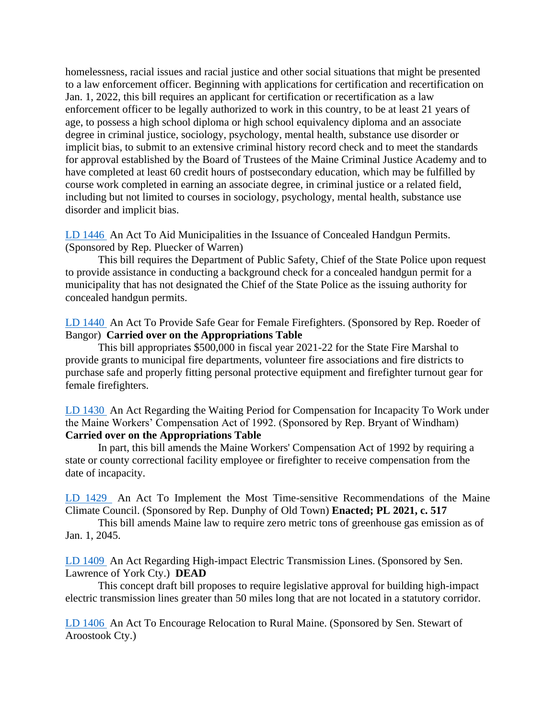homelessness, racial issues and racial justice and other social situations that might be presented to a law enforcement officer. Beginning with applications for certification and recertification on Jan. 1, 2022, this bill requires an applicant for certification or recertification as a law enforcement officer to be legally authorized to work in this country, to be at least 21 years of age, to possess a high school diploma or high school equivalency diploma and an associate degree in criminal justice, sociology, psychology, mental health, substance use disorder or implicit bias, to submit to an extensive criminal history record check and to meet the standards for approval established by the Board of Trustees of the Maine Criminal Justice Academy and to have completed at least 60 credit hours of postsecondary education, which may be fulfilled by course work completed in earning an associate degree, in criminal justice or a related field, including but not limited to courses in sociology, psychology, mental health, substance use disorder and implicit bias.

[LD 1446](http://www.mainelegislature.org/legis/bills/getPDF.asp?paper=HP1062&item=1&snum=130) An Act To Aid Municipalities in the Issuance of Concealed Handgun Permits. (Sponsored by Rep. Pluecker of Warren)

This bill requires the Department of Public Safety, Chief of the State Police upon request to provide assistance in conducting a background check for a concealed handgun permit for a municipality that has not designated the Chief of the State Police as the issuing authority for concealed handgun permits.

[LD 1440](http://www.mainelegislature.org/legis/bills/getPDF.asp?paper=HP1056&item=1&snum=130) An Act To Provide Safe Gear for Female Firefighters. (Sponsored by Rep. Roeder of Bangor) **Carried over on the Appropriations Table**

This bill appropriates \$500,000 in fiscal year 2021-22 for the State Fire Marshal to provide grants to municipal fire departments, volunteer fire associations and fire districts to purchase safe and properly fitting personal protective equipment and firefighter turnout gear for female firefighters.

[LD 1430](http://www.mainelegislature.org/legis/bills/getPDF.asp?paper=HP1046&item=1&snum=130) An Act Regarding the Waiting Period for Compensation for Incapacity To Work under the Maine Workers' Compensation Act of 1992. (Sponsored by Rep. Bryant of Windham) **Carried over on the Appropriations Table**

In part, this bill amends the Maine Workers' Compensation Act of 1992 by requiring a state or county correctional facility employee or firefighter to receive compensation from the date of incapacity.

[LD 1429](http://www.mainelegislature.org/legis/bills/getPDF.asp?paper=HP1045&item=1&snum=130) An Act To Implement the Most Time-sensitive Recommendations of the Maine Climate Council. (Sponsored by Rep. Dunphy of Old Town) **Enacted; PL 2021, c. 517**

This bill amends Maine law to require zero metric tons of greenhouse gas emission as of Jan. 1, 2045.

[LD 1409](http://www.mainelegislature.org/legis/bills/getPDF.asp?paper=SP0459&item=1&snum=130) An Act Regarding High-impact Electric Transmission Lines. (Sponsored by Sen. Lawrence of York Cty.) **DEAD**

This concept draft bill proposes to require legislative approval for building high-impact electric transmission lines greater than 50 miles long that are not located in a statutory corridor.

[LD 1406](http://www.mainelegislature.org/legis/bills/getPDF.asp?paper=SP0455&item=1&snum=130) An Act To Encourage Relocation to Rural Maine. (Sponsored by Sen. Stewart of Aroostook Cty.)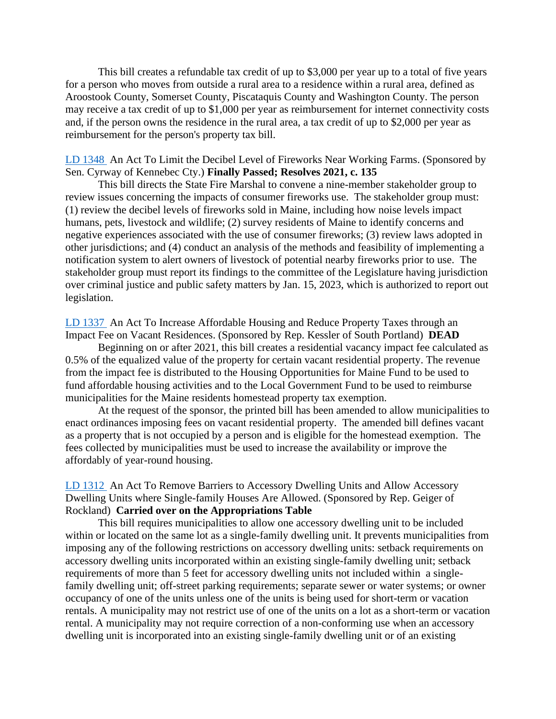This bill creates a refundable tax credit of up to \$3,000 per year up to a total of five years for a person who moves from outside a rural area to a residence within a rural area, defined as Aroostook County, Somerset County, Piscataquis County and Washington County. The person may receive a tax credit of up to \$1,000 per year as reimbursement for internet connectivity costs and, if the person owns the residence in the rural area, a tax credit of up to \$2,000 per year as reimbursement for the person's property tax bill.

## [LD 1348](http://www.mainelegislature.org/legis/bills/getPDF.asp?paper=SP0430&item=1&snum=130) An Act To Limit the Decibel Level of Fireworks Near Working Farms. (Sponsored by Sen. Cyrway of Kennebec Cty.) **Finally Passed; Resolves 2021, c. 135**

This bill directs the State Fire Marshal to convene a nine-member stakeholder group to review issues concerning the impacts of consumer fireworks use. The stakeholder group must: (1) review the decibel levels of fireworks sold in Maine, including how noise levels impact humans, pets, livestock and wildlife; (2) survey residents of Maine to identify concerns and negative experiences associated with the use of consumer fireworks; (3) review laws adopted in other jurisdictions; and (4) conduct an analysis of the methods and feasibility of implementing a notification system to alert owners of livestock of potential nearby fireworks prior to use. The stakeholder group must report its findings to the committee of the Legislature having jurisdiction over criminal justice and public safety matters by Jan. 15, 2023, which is authorized to report out legislation.

[LD 1337](http://www.mainelegislature.org/legis/bills/getPDF.asp?paper=HP0988&item=1&snum=130) An Act To Increase Affordable Housing and Reduce Property Taxes through an Impact Fee on Vacant Residences. (Sponsored by Rep. Kessler of South Portland) **DEAD**

Beginning on or after 2021, this bill creates a residential vacancy impact fee calculated as 0.5% of the equalized value of the property for certain vacant residential property. The revenue from the impact fee is distributed to the Housing Opportunities for Maine Fund to be used to fund affordable housing activities and to the Local Government Fund to be used to reimburse municipalities for the Maine residents homestead property tax exemption.

At the request of the sponsor, the printed bill has been amended to allow municipalities to enact ordinances imposing fees on vacant residential property. The amended bill defines vacant as a property that is not occupied by a person and is eligible for the homestead exemption. The fees collected by municipalities must be used to increase the availability or improve the affordably of year-round housing.

[LD 1312](http://www.mainelegislature.org/legis/bills/getPDF.asp?paper=HP0968&item=1&snum=130) An Act To Remove Barriers to Accessory Dwelling Units and Allow Accessory Dwelling Units where Single-family Houses Are Allowed. (Sponsored by Rep. Geiger of Rockland) **Carried over on the Appropriations Table**

This bill requires municipalities to allow one accessory dwelling unit to be included within or located on the same lot as a single-family dwelling unit. It prevents municipalities from imposing any of the following restrictions on accessory dwelling units: setback requirements on accessory dwelling units incorporated within an existing single-family dwelling unit; setback requirements of more than 5 feet for accessory dwelling units not included within a singlefamily dwelling unit; off-street parking requirements; separate sewer or water systems; or owner occupancy of one of the units unless one of the units is being used for short-term or vacation rentals. A municipality may not restrict use of one of the units on a lot as a short-term or vacation rental. A municipality may not require correction of a non-conforming use when an accessory dwelling unit is incorporated into an existing single-family dwelling unit or of an existing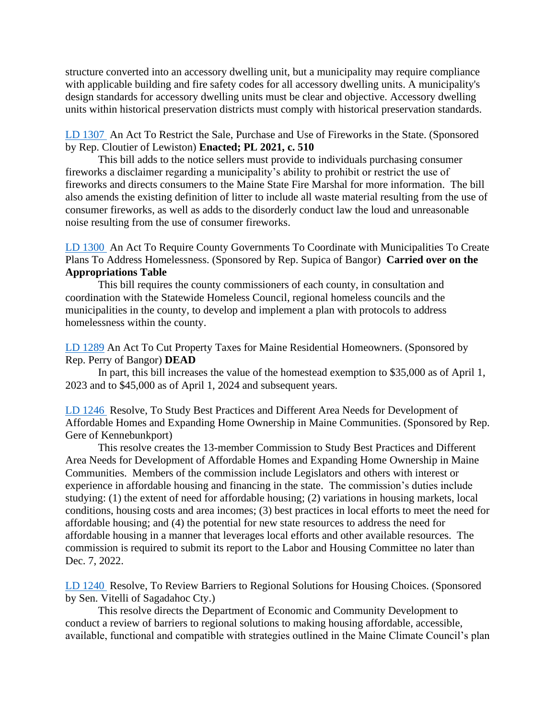structure converted into an accessory dwelling unit, but a municipality may require compliance with applicable building and fire safety codes for all accessory dwelling units. A municipality's design standards for accessory dwelling units must be clear and objective. Accessory dwelling units within historical preservation districts must comply with historical preservation standards.

[LD 1307](http://www.mainelegislature.org/legis/bills/getPDF.asp?paper=HP0963&item=1&snum=130) An Act To Restrict the Sale, Purchase and Use of Fireworks in the State. (Sponsored by Rep. Cloutier of Lewiston) **Enacted; PL 2021, c. 510**

This bill adds to the notice sellers must provide to individuals purchasing consumer fireworks a disclaimer regarding a municipality's ability to prohibit or restrict the use of fireworks and directs consumers to the Maine State Fire Marshal for more information. The bill also amends the existing definition of litter to include all waste material resulting from the use of consumer fireworks, as well as adds to the disorderly conduct law the loud and unreasonable noise resulting from the use of consumer fireworks.

[LD 1300](http://www.mainelegislature.org/legis/bills/getPDF.asp?paper=HP0956&item=1&snum=130) An Act To Require County Governments To Coordinate with Municipalities To Create Plans To Address Homelessness. (Sponsored by Rep. Supica of Bangor) **Carried over on the Appropriations Table**

This bill requires the county commissioners of each county, in consultation and coordination with the Statewide Homeless Council, regional homeless councils and the municipalities in the county, to develop and implement a plan with protocols to address homelessness within the county.

[LD 1289](http://www.mainelegislature.org/legis/bills/getPDF.asp?paper=HP0950&item=1&snum=130) An Act To Cut Property Taxes for Maine Residential Homeowners. (Sponsored by Rep. Perry of Bangor) **DEAD**

In part, this bill increases the value of the homestead exemption to \$35,000 as of April 1, 2023 and to \$45,000 as of April 1, 2024 and subsequent years.

[LD 1246](http://www.mainelegislature.org/legis/bills/getPDF.asp?paper=HP0912&item=1&snum=130) Resolve, To Study Best Practices and Different Area Needs for Development of Affordable Homes and Expanding Home Ownership in Maine Communities. (Sponsored by Rep. Gere of Kennebunkport)

This resolve creates the 13-member Commission to Study Best Practices and Different Area Needs for Development of Affordable Homes and Expanding Home Ownership in Maine Communities. Members of the commission include Legislators and others with interest or experience in affordable housing and financing in the state. The commission's duties include studying: (1) the extent of need for affordable housing; (2) variations in housing markets, local conditions, housing costs and area incomes; (3) best practices in local efforts to meet the need for affordable housing; and (4) the potential for new state resources to address the need for affordable housing in a manner that leverages local efforts and other available resources. The commission is required to submit its report to the Labor and Housing Committee no later than Dec. 7, 2022.

[LD 1240](http://www.mainelegislature.org/legis/bills/getPDF.asp?paper=SP0408&item=1&snum=130) Resolve, To Review Barriers to Regional Solutions for Housing Choices. (Sponsored by Sen. Vitelli of Sagadahoc Cty.)

This resolve directs the Department of Economic and Community Development to conduct a review of barriers to regional solutions to making housing affordable, accessible, available, functional and compatible with strategies outlined in the Maine Climate Council's plan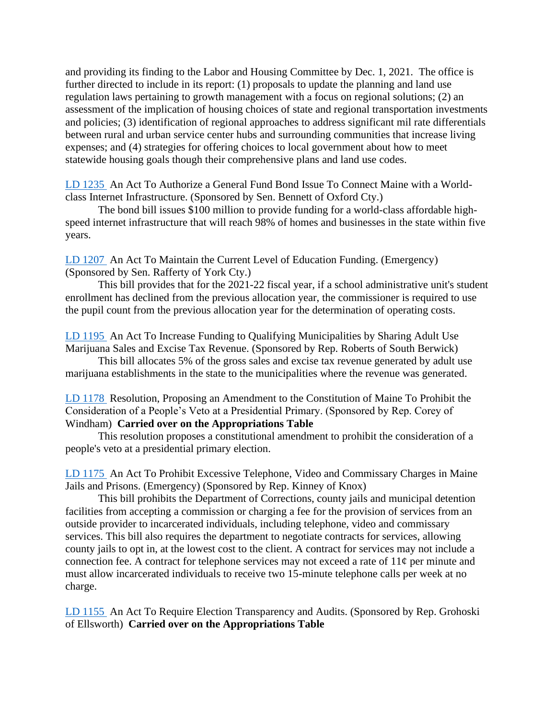and providing its finding to the Labor and Housing Committee by Dec. 1, 2021. The office is further directed to include in its report: (1) proposals to update the planning and land use regulation laws pertaining to growth management with a focus on regional solutions; (2) an assessment of the implication of housing choices of state and regional transportation investments and policies; (3) identification of regional approaches to address significant mil rate differentials between rural and urban service center hubs and surrounding communities that increase living expenses; and (4) strategies for offering choices to local government about how to meet statewide housing goals though their comprehensive plans and land use codes.

[LD 1235](http://www.mainelegislature.org/legis/bills/getPDF.asp?paper=SP0402&item=1&snum=130) An Act To Authorize a General Fund Bond Issue To Connect Maine with a Worldclass Internet Infrastructure. (Sponsored by Sen. Bennett of Oxford Cty.)

The bond bill issues \$100 million to provide funding for a world-class affordable highspeed internet infrastructure that will reach 98% of homes and businesses in the state within five years.

[LD 1207](http://www.mainelegislature.org/legis/bills/getPDF.asp?paper=SP0393&item=1&snum=130) An Act To Maintain the Current Level of Education Funding. (Emergency) (Sponsored by Sen. Rafferty of York Cty.)

This bill provides that for the 2021-22 fiscal year, if a school administrative unit's student enrollment has declined from the previous allocation year, the commissioner is required to use the pupil count from the previous allocation year for the determination of operating costs.

[LD 1195](http://www.mainelegislature.org/legis/bills/getPDF.asp?paper=HP0873&item=1&snum=130) An Act To Increase Funding to Qualifying Municipalities by Sharing Adult Use Marijuana Sales and Excise Tax Revenue. (Sponsored by Rep. Roberts of South Berwick)

This bill allocates 5% of the gross sales and excise tax revenue generated by adult use marijuana establishments in the state to the municipalities where the revenue was generated.

[LD 1178](http://www.mainelegislature.org/legis/bills/getPDF.asp?paper=HP0856&item=1&snum=130) Resolution, Proposing an Amendment to the Constitution of Maine To Prohibit the Consideration of a People's Veto at a Presidential Primary. (Sponsored by Rep. Corey of Windham) **Carried over on the Appropriations Table**

This resolution proposes a constitutional amendment to prohibit the consideration of a people's veto at a presidential primary election.

[LD 1175](http://www.mainelegislature.org/legis/bills/getPDF.asp?paper=HP0853&item=1&snum=130) An Act To Prohibit Excessive Telephone, Video and Commissary Charges in Maine Jails and Prisons. (Emergency) (Sponsored by Rep. Kinney of Knox)

This bill prohibits the Department of Corrections, county jails and municipal detention facilities from accepting a commission or charging a fee for the provision of services from an outside provider to incarcerated individuals, including telephone, video and commissary services. This bill also requires the department to negotiate contracts for services, allowing county jails to opt in, at the lowest cost to the client. A contract for services may not include a connection fee. A contract for telephone services may not exceed a rate of  $11¢$  per minute and must allow incarcerated individuals to receive two 15-minute telephone calls per week at no charge.

[LD 1155](http://www.mainelegislature.org/legis/bills/getPDF.asp?paper=HP0833&item=1&snum=130) An Act To Require Election Transparency and Audits. (Sponsored by Rep. Grohoski of Ellsworth) **Carried over on the Appropriations Table**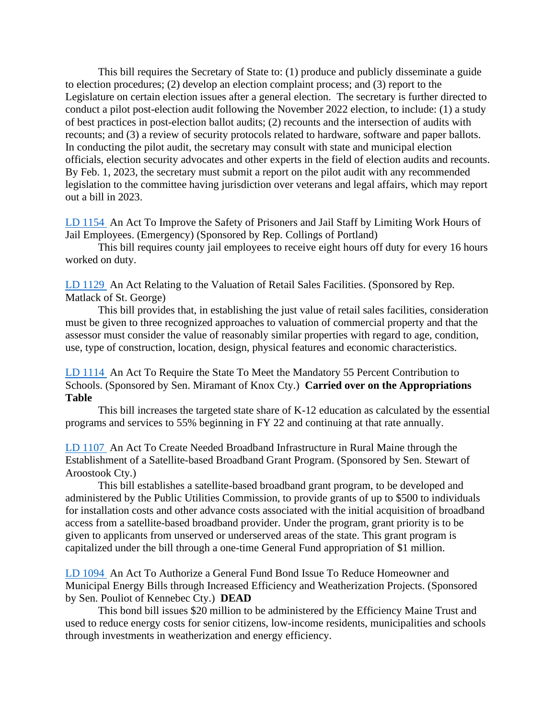This bill requires the Secretary of State to: (1) produce and publicly disseminate a guide to election procedures; (2) develop an election complaint process; and (3) report to the Legislature on certain election issues after a general election. The secretary is further directed to conduct a pilot post-election audit following the November 2022 election, to include: (1) a study of best practices in post-election ballot audits; (2) recounts and the intersection of audits with recounts; and (3) a review of security protocols related to hardware, software and paper ballots. In conducting the pilot audit, the secretary may consult with state and municipal election officials, election security advocates and other experts in the field of election audits and recounts. By Feb. 1, 2023, the secretary must submit a report on the pilot audit with any recommended legislation to the committee having jurisdiction over veterans and legal affairs, which may report out a bill in 2023.

[LD 1154](http://www.mainelegislature.org/legis/bills/getPDF.asp?paper=HP0832&item=1&snum=130) An Act To Improve the Safety of Prisoners and Jail Staff by Limiting Work Hours of Jail Employees. (Emergency) (Sponsored by Rep. Collings of Portland)

This bill requires county jail employees to receive eight hours off duty for every 16 hours worked on duty.

[LD 1129](http://www.mainelegislature.org/legis/bills/getPDF.asp?paper=HP0807&item=1&snum=130) An Act Relating to the Valuation of Retail Sales Facilities. (Sponsored by Rep. Matlack of St. George)

This bill provides that, in establishing the just value of retail sales facilities, consideration must be given to three recognized approaches to valuation of commercial property and that the assessor must consider the value of reasonably similar properties with regard to age, condition, use, type of construction, location, design, physical features and economic characteristics.

[LD 1114](http://www.mainelegislature.org/legis/bills/getPDF.asp?paper=SP0377&item=1&snum=130) An Act To Require the State To Meet the Mandatory 55 Percent Contribution to Schools. (Sponsored by Sen. Miramant of Knox Cty.) **Carried over on the Appropriations Table**

This bill increases the targeted state share of K-12 education as calculated by the essential programs and services to 55% beginning in FY 22 and continuing at that rate annually.

[LD 1107](http://www.mainelegislature.org/legis/bills/getPDF.asp?paper=SP0368&item=1&snum=130) An Act To Create Needed Broadband Infrastructure in Rural Maine through the Establishment of a Satellite-based Broadband Grant Program. (Sponsored by Sen. Stewart of Aroostook Cty.)

This bill establishes a satellite-based broadband grant program, to be developed and administered by the Public Utilities Commission, to provide grants of up to \$500 to individuals for installation costs and other advance costs associated with the initial acquisition of broadband access from a satellite-based broadband provider. Under the program, grant priority is to be given to applicants from unserved or underserved areas of the state. This grant program is capitalized under the bill through a one-time General Fund appropriation of \$1 million.

[LD 1094](http://www.mainelegislature.org/legis/bills/getPDF.asp?paper=SP0355&item=1&snum=130) An Act To Authorize a General Fund Bond Issue To Reduce Homeowner and Municipal Energy Bills through Increased Efficiency and Weatherization Projects. (Sponsored by Sen. Pouliot of Kennebec Cty.) **DEAD**

This bond bill issues \$20 million to be administered by the Efficiency Maine Trust and used to reduce energy costs for senior citizens, low-income residents, municipalities and schools through investments in weatherization and energy efficiency.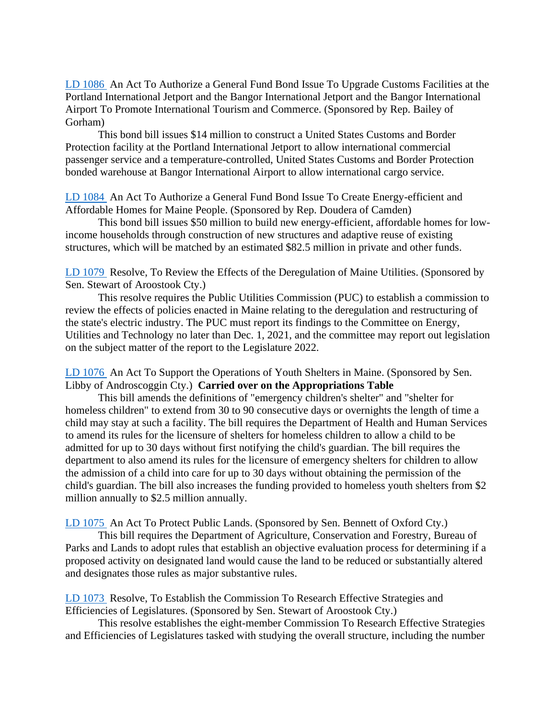[LD 1086](http://www.mainelegislature.org/legis/bills/getPDF.asp?paper=HP0801&item=1&snum=130) An Act To Authorize a General Fund Bond Issue To Upgrade Customs Facilities at the Portland International Jetport and the Bangor International Jetport and the Bangor International Airport To Promote International Tourism and Commerce. (Sponsored by Rep. Bailey of Gorham)

This bond bill issues \$14 million to construct a United States Customs and Border Protection facility at the Portland International Jetport to allow international commercial passenger service and a temperature-controlled, United States Customs and Border Protection bonded warehouse at Bangor International Airport to allow international cargo service.

[LD 1084](http://www.mainelegislature.org/legis/bills/getPDF.asp?paper=HP0799&item=1&snum=130) An Act To Authorize a General Fund Bond Issue To Create Energy-efficient and Affordable Homes for Maine People. (Sponsored by Rep. Doudera of Camden)

This bond bill issues \$50 million to build new energy-efficient, affordable homes for lowincome households through construction of new structures and adaptive reuse of existing structures, which will be matched by an estimated \$82.5 million in private and other funds.

[LD 1079](http://www.mainelegislature.org/legis/bills/getPDF.asp?paper=SP0348&item=1&snum=130) Resolve, To Review the Effects of the Deregulation of Maine Utilities. (Sponsored by Sen. Stewart of Aroostook Cty.)

This resolve requires the Public Utilities Commission (PUC) to establish a commission to review the effects of policies enacted in Maine relating to the deregulation and restructuring of the state's electric industry. The PUC must report its findings to the Committee on Energy, Utilities and Technology no later than Dec. 1, 2021, and the committee may report out legislation on the subject matter of the report to the Legislature 2022.

[LD 1076](http://www.mainelegislature.org/legis/bills/getPDF.asp?paper=SP0344&item=1&snum=130) An Act To Support the Operations of Youth Shelters in Maine. (Sponsored by Sen. Libby of Androscoggin Cty.) **Carried over on the Appropriations Table**

This bill amends the definitions of "emergency children's shelter" and "shelter for homeless children" to extend from 30 to 90 consecutive days or overnights the length of time a child may stay at such a facility. The bill requires the Department of Health and Human Services to amend its rules for the licensure of shelters for homeless children to allow a child to be admitted for up to 30 days without first notifying the child's guardian. The bill requires the department to also amend its rules for the licensure of emergency shelters for children to allow the admission of a child into care for up to 30 days without obtaining the permission of the child's guardian. The bill also increases the funding provided to homeless youth shelters from \$2 million annually to \$2.5 million annually.

[LD 1075](http://www.mainelegislature.org/legis/bills/getPDF.asp?paper=SP0343&item=1&snum=130) An Act To Protect Public Lands. (Sponsored by Sen. Bennett of Oxford Cty.)

This bill requires the Department of Agriculture, Conservation and Forestry, Bureau of Parks and Lands to adopt rules that establish an objective evaluation process for determining if a proposed activity on designated land would cause the land to be reduced or substantially altered and designates those rules as major substantive rules.

[LD 1073](http://www.mainelegislature.org/legis/bills/getPDF.asp?paper=SP0341&item=1&snum=130) Resolve, To Establish the Commission To Research Effective Strategies and Efficiencies of Legislatures. (Sponsored by Sen. Stewart of Aroostook Cty.)

This resolve establishes the eight-member Commission To Research Effective Strategies and Efficiencies of Legislatures tasked with studying the overall structure, including the number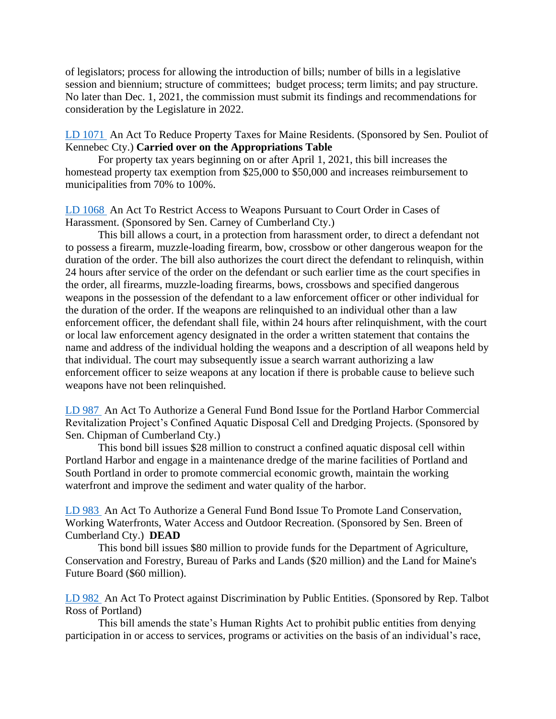of legislators; process for allowing the introduction of bills; number of bills in a legislative session and biennium; structure of committees; budget process; term limits; and pay structure. No later than Dec. 1, 2021, the commission must submit its findings and recommendations for consideration by the Legislature in 2022.

[LD 1071](http://www.mainelegislature.org/legis/bills/getPDF.asp?paper=SP0339&item=1&snum=130) An Act To Reduce Property Taxes for Maine Residents. (Sponsored by Sen. Pouliot of Kennebec Cty.) **Carried over on the Appropriations Table**

For property tax years beginning on or after April 1, 2021, this bill increases the homestead property tax exemption from \$25,000 to \$50,000 and increases reimbursement to municipalities from 70% to 100%.

[LD 1068](http://www.mainelegislature.org/legis/bills/getPDF.asp?paper=SP0336&item=1&snum=130) An Act To Restrict Access to Weapons Pursuant to Court Order in Cases of Harassment. (Sponsored by Sen. Carney of Cumberland Cty.)

This bill allows a court, in a protection from harassment order, to direct a defendant not to possess a firearm, muzzle-loading firearm, bow, crossbow or other dangerous weapon for the duration of the order. The bill also authorizes the court direct the defendant to relinquish, within 24 hours after service of the order on the defendant or such earlier time as the court specifies in the order, all firearms, muzzle-loading firearms, bows, crossbows and specified dangerous weapons in the possession of the defendant to a law enforcement officer or other individual for the duration of the order. If the weapons are relinquished to an individual other than a law enforcement officer, the defendant shall file, within 24 hours after relinquishment, with the court or local law enforcement agency designated in the order a written statement that contains the name and address of the individual holding the weapons and a description of all weapons held by that individual. The court may subsequently issue a search warrant authorizing a law enforcement officer to seize weapons at any location if there is probable cause to believe such weapons have not been relinquished.

[LD 987](http://www.mainelegislature.org/legis/bills/getPDF.asp?paper=SP0318&item=1&snum=130) An Act To Authorize a General Fund Bond Issue for the Portland Harbor Commercial Revitalization Project's Confined Aquatic Disposal Cell and Dredging Projects. (Sponsored by Sen. Chipman of Cumberland Cty.)

This bond bill issues \$28 million to construct a confined aquatic disposal cell within Portland Harbor and engage in a maintenance dredge of the marine facilities of Portland and South Portland in order to promote commercial economic growth, maintain the working waterfront and improve the sediment and water quality of the harbor.

LD [983](http://www.mainelegislature.org/legis/bills/getPDF.asp?paper=SP0313&item=1&snum=130) An Act To Authorize a General Fund Bond Issue To Promote Land Conservation, Working Waterfronts, Water Access and Outdoor Recreation. (Sponsored by Sen. Breen of Cumberland Cty.) **DEAD**

This bond bill issues \$80 million to provide funds for the Department of Agriculture, Conservation and Forestry, Bureau of Parks and Lands (\$20 million) and the Land for Maine's Future Board (\$60 million).

[LD 982](http://www.mainelegislature.org/legis/bills/getPDF.asp?paper=HP0728&item=1&snum=130) An Act To Protect against Discrimination by Public Entities. (Sponsored by Rep. Talbot Ross of Portland)

This bill amends the state's Human Rights Act to prohibit public entities from denying participation in or access to services, programs or activities on the basis of an individual's race,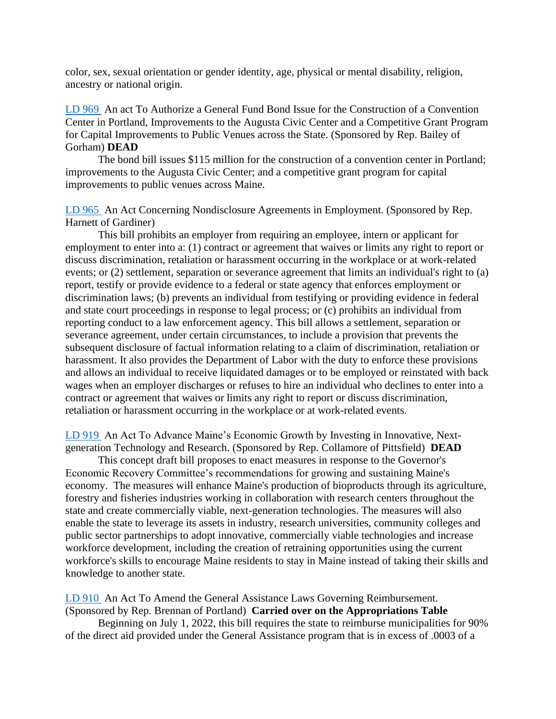color, sex, sexual orientation or gender identity, age, physical or mental disability, religion, ancestry or national origin.

[LD 969](http://www.mainelegislature.org/legis/bills/getPDF.asp?paper=HP0715&item=1&snum=130) An act To Authorize a General Fund Bond Issue for the Construction of a Convention Center in Portland, Improvements to the Augusta Civic Center and a Competitive Grant Program for Capital Improvements to Public Venues across the State. (Sponsored by Rep. Bailey of Gorham) **DEAD**

The bond bill issues \$115 million for the construction of a convention center in Portland; improvements to the Augusta Civic Center; and a competitive grant program for capital improvements to public venues across Maine.

[LD 965](http://www.mainelegislature.org/legis/bills/getPDF.asp?paper=HP0711&item=1&snum=130) An Act Concerning Nondisclosure Agreements in Employment. (Sponsored by Rep. Harnett of Gardiner)

This bill prohibits an employer from requiring an employee, intern or applicant for employment to enter into a: (1) contract or agreement that waives or limits any right to report or discuss discrimination, retaliation or harassment occurring in the workplace or at work-related events; or (2) settlement, separation or severance agreement that limits an individual's right to (a) report, testify or provide evidence to a federal or state agency that enforces employment or discrimination laws; (b) prevents an individual from testifying or providing evidence in federal and state court proceedings in response to legal process; or (c) prohibits an individual from reporting conduct to a law enforcement agency. This bill allows a settlement, separation or severance agreement, under certain circumstances, to include a provision that prevents the subsequent disclosure of factual information relating to a claim of discrimination, retaliation or harassment. It also provides the Department of Labor with the duty to enforce these provisions and allows an individual to receive liquidated damages or to be employed or reinstated with back wages when an employer discharges or refuses to hire an individual who declines to enter into a contract or agreement that waives or limits any right to report or discuss discrimination, retaliation or harassment occurring in the workplace or at work-related events.

[LD 919](http://www.mainelegislature.org/legis/bills/getPDF.asp?paper=HP0675&item=1&snum=130) An Act To Advance Maine's Economic Growth by Investing in Innovative, Nextgeneration Technology and Research. (Sponsored by Rep. Collamore of Pittsfield) **DEAD**

This concept draft bill proposes to enact measures in response to the Governor's Economic Recovery Committee's recommendations for growing and sustaining Maine's economy. The measures will enhance Maine's production of bioproducts through its agriculture, forestry and fisheries industries working in collaboration with research centers throughout the state and create commercially viable, next-generation technologies. The measures will also enable the state to leverage its assets in industry, research universities, community colleges and public sector partnerships to adopt innovative, commercially viable technologies and increase workforce development, including the creation of retraining opportunities using the current workforce's skills to encourage Maine residents to stay in Maine instead of taking their skills and knowledge to another state.

[LD 910](http://www.mainelegislature.org/legis/bills/getPDF.asp?paper=HP0666&item=1&snum=130) An Act To Amend the General Assistance Laws Governing Reimbursement. (Sponsored by Rep. Brennan of Portland) **Carried over on the Appropriations Table**

Beginning on July 1, 2022, this bill requires the state to reimburse municipalities for 90% of the direct aid provided under the General Assistance program that is in excess of .0003 of a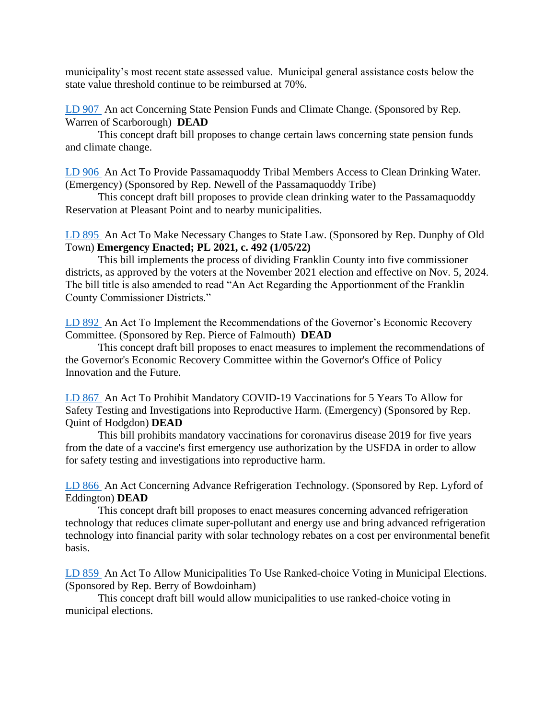municipality's most recent state assessed value. Municipal general assistance costs below the state value threshold continue to be reimbursed at 70%.

[LD 907](http://www.mainelegislature.org/legis/bills/getPDF.asp?paper=HP0663&item=1&snum=130) An act Concerning State Pension Funds and Climate Change. (Sponsored by Rep. Warren of Scarborough) **DEAD**

This concept draft bill proposes to change certain laws concerning state pension funds and climate change.

[LD 906](http://www.mainelegislature.org/legis/bills/getPDF.asp?paper=HP0662&item=1&snum=130) An Act To Provide Passamaquoddy Tribal Members Access to Clean Drinking Water. (Emergency) (Sponsored by Rep. Newell of the Passamaquoddy Tribe)

This concept draft bill proposes to provide clean drinking water to the Passamaquoddy Reservation at Pleasant Point and to nearby municipalities.

[LD 895](http://www.mainelegislature.org/legis/bills/getPDF.asp?paper=HP0651&item=1&snum=130) An Act To Make Necessary Changes to State Law. (Sponsored by Rep. Dunphy of Old Town) **Emergency Enacted; PL 2021, c. 492 (1/05/22)**

This bill implements the process of dividing Franklin County into five commissioner districts, as approved by the voters at the November 2021 election and effective on Nov. 5, 2024. The bill title is also amended to read "An Act Regarding the Apportionment of the Franklin County Commissioner Districts."

[LD 892](http://www.mainelegislature.org/legis/bills/getPDF.asp?paper=HP0648&item=1&snum=130) An Act To Implement the Recommendations of the Governor's Economic Recovery Committee. (Sponsored by Rep. Pierce of Falmouth) **DEAD**

This concept draft bill proposes to enact measures to implement the recommendations of the Governor's Economic Recovery Committee within the Governor's Office of Policy Innovation and the Future.

[LD 867](http://www.mainelegislature.org/legis/bills/getPDF.asp?paper=HP0635&item=1&snum=130) An Act To Prohibit Mandatory COVID-19 Vaccinations for 5 Years To Allow for Safety Testing and Investigations into Reproductive Harm. (Emergency) (Sponsored by Rep. Quint of Hodgdon) **DEAD**

This bill prohibits mandatory vaccinations for coronavirus disease 2019 for five years from the date of a vaccine's first emergency use authorization by the USFDA in order to allow for safety testing and investigations into reproductive harm.

[LD 866](http://www.mainelegislature.org/legis/bills/getPDF.asp?paper=HP0634&item=1&snum=130) An Act Concerning Advance Refrigeration Technology. (Sponsored by Rep. Lyford of Eddington) **DEAD**

This concept draft bill proposes to enact measures concerning advanced refrigeration technology that reduces climate super-pollutant and energy use and bring advanced refrigeration technology into financial parity with solar technology rebates on a cost per environmental benefit basis.

[LD 859](http://www.mainelegislature.org/legis/bills/getPDF.asp?paper=HP0627&item=1&snum=130) An Act To Allow Municipalities To Use Ranked-choice Voting in Municipal Elections. (Sponsored by Rep. Berry of Bowdoinham)

This concept draft bill would allow municipalities to use ranked-choice voting in municipal elections.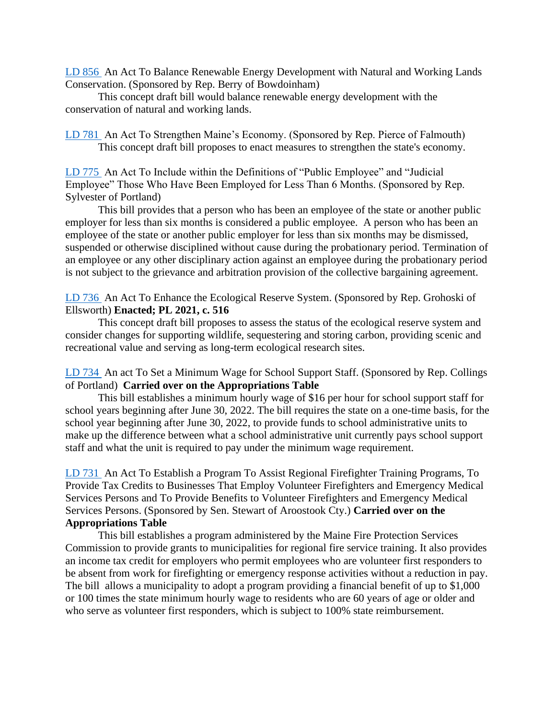[LD 856](http://www.mainelegislature.org/legis/bills/getPDF.asp?paper=HP0624&item=1&snum=130) An Act To Balance Renewable Energy Development with Natural and Working Lands Conservation. (Sponsored by Rep. Berry of Bowdoinham)

This concept draft bill would balance renewable energy development with the conservation of natural and working lands.

[LD 781](http://www.mainelegislature.org/legis/bills/getPDF.asp?paper=HP0586&item=1&snum=130) An Act To Strengthen Maine's Economy. (Sponsored by Rep. Pierce of Falmouth) This concept draft bill proposes to enact measures to strengthen the state's economy.

[LD 775](http://www.mainelegislature.org/legis/bills/getPDF.asp?paper=HP0580&item=1&snum=130) An Act To Include within the Definitions of "Public Employee" and "Judicial Employee" Those Who Have Been Employed for Less Than 6 Months. (Sponsored by Rep. Sylvester of Portland)

This bill provides that a person who has been an employee of the state or another public employer for less than six months is considered a public employee. A person who has been an employee of the state or another public employer for less than six months may be dismissed, suspended or otherwise disciplined without cause during the probationary period. Termination of an employee or any other disciplinary action against an employee during the probationary period is not subject to the grievance and arbitration provision of the collective bargaining agreement.

[LD 736](http://www.mainelegislature.org/legis/bills/getPDF.asp?paper=HP0541&item=1&snum=130) An Act To Enhance the Ecological Reserve System. (Sponsored by Rep. Grohoski of Ellsworth) **Enacted; PL 2021, c. 516**

This concept draft bill proposes to assess the status of the ecological reserve system and consider changes for supporting wildlife, sequestering and storing carbon, providing scenic and recreational value and serving as long-term ecological research sites.

[LD 734](http://www.mainelegislature.org/legis/bills/getPDF.asp?paper=HP0539&item=1&snum=130) An act To Set a Minimum Wage for School Support Staff. (Sponsored by Rep. Collings of Portland) **Carried over on the Appropriations Table**

This bill establishes a minimum hourly wage of \$16 per hour for school support staff for school years beginning after June 30, 2022. The bill requires the state on a one-time basis, for the school year beginning after June 30, 2022, to provide funds to school administrative units to make up the difference between what a school administrative unit currently pays school support staff and what the unit is required to pay under the minimum wage requirement.

[LD 731](http://www.mainelegislature.org/legis/bills/getPDF.asp?paper=SP0283&item=1&snum=130) An Act To Establish a Program To Assist Regional Firefighter Training Programs, To Provide Tax Credits to Businesses That Employ Volunteer Firefighters and Emergency Medical Services Persons and To Provide Benefits to Volunteer Firefighters and Emergency Medical Services Persons. (Sponsored by Sen. Stewart of Aroostook Cty.) **Carried over on the Appropriations Table**

This bill establishes a program administered by the Maine Fire Protection Services Commission to provide grants to municipalities for regional fire service training. It also provides an income tax credit for employers who permit employees who are volunteer first responders to be absent from work for firefighting or emergency response activities without a reduction in pay. The bill allows a municipality to adopt a program providing a financial benefit of up to \$1,000 or 100 times the state minimum hourly wage to residents who are 60 years of age or older and who serve as volunteer first responders, which is subject to 100% state reimbursement.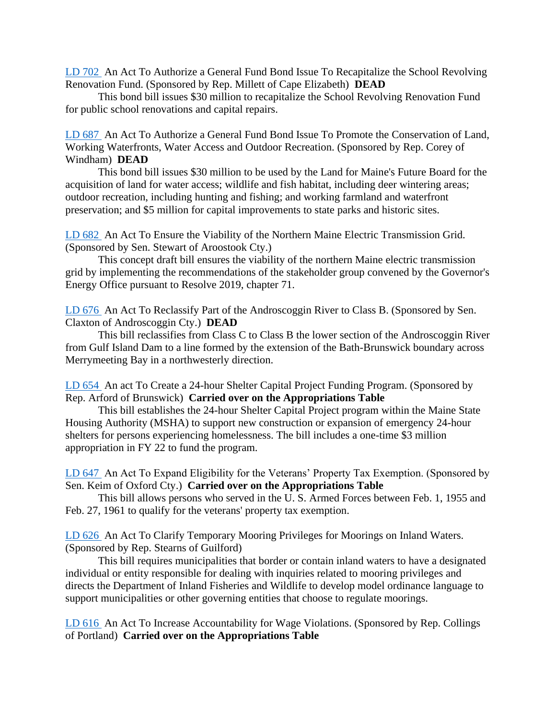[LD 702](http://www.mainelegislature.org/legis/bills/getPDF.asp?paper=HP0514&item=1&snum=130) An Act To Authorize a General Fund Bond Issue To Recapitalize the School Revolving Renovation Fund. (Sponsored by Rep. Millett of Cape Elizabeth) **DEAD**

This bond bill issues \$30 million to recapitalize the School Revolving Renovation Fund for public school renovations and capital repairs.

[LD 687](http://www.mainelegislature.org/legis/bills/getPDF.asp?paper=HP0499&item=1&snum=130) An Act To Authorize a General Fund Bond Issue To Promote the Conservation of Land, Working Waterfronts, Water Access and Outdoor Recreation. (Sponsored by Rep. Corey of Windham) **DEAD**

This bond bill issues \$30 million to be used by the Land for Maine's Future Board for the acquisition of land for water access; wildlife and fish habitat, including deer wintering areas; outdoor recreation, including hunting and fishing; and working farmland and waterfront preservation; and \$5 million for capital improvements to state parks and historic sites.

[LD 682](http://www.mainelegislature.org/legis/bills/getPDF.asp?paper=SP0270&item=1&snum=130) An Act To Ensure the Viability of the Northern Maine Electric Transmission Grid. (Sponsored by Sen. Stewart of Aroostook Cty.)

This concept draft bill ensures the viability of the northern Maine electric transmission grid by implementing the recommendations of the stakeholder group convened by the Governor's Energy Office pursuant to Resolve 2019, chapter 71.

[LD 676](http://www.mainelegislature.org/legis/bills/getPDF.asp?paper=SP0263&item=1&snum=130) An Act To Reclassify Part of the Androscoggin River to Class B. (Sponsored by Sen. Claxton of Androscoggin Cty.) **DEAD**

This bill reclassifies from Class C to Class B the lower section of the Androscoggin River from Gulf Island Dam to a line formed by the extension of the Bath-Brunswick boundary across Merrymeeting Bay in a northwesterly direction.

[LD 654](http://www.mainelegislature.org/legis/bills/getPDF.asp?paper=HP0481&item=1&snum=130) An act To Create a 24-hour Shelter Capital Project Funding Program. (Sponsored by Rep. Arford of Brunswick) **Carried over on the Appropriations Table**

This bill establishes the 24-hour Shelter Capital Project program within the Maine State Housing Authority (MSHA) to support new construction or expansion of emergency 24-hour shelters for persons experiencing homelessness. The bill includes a one-time \$3 million appropriation in FY 22 to fund the program.

[LD 647](http://www.mainelegislature.org/legis/bills/getPDF.asp?paper=SP0252&item=1&snum=130) An Act To Expand Eligibility for the Veterans' Property Tax Exemption. (Sponsored by Sen. Keim of Oxford Cty.) **Carried over on the Appropriations Table**

This bill allows persons who served in the U. S. Armed Forces between Feb. 1, 1955 and Feb. 27, 1961 to qualify for the veterans' property tax exemption.

[LD 626](http://www.mainelegislature.org/legis/bills/getPDF.asp?paper=HP0462&item=1&snum=130) An Act To Clarify Temporary Mooring Privileges for Moorings on Inland Waters. (Sponsored by Rep. Stearns of Guilford)

This bill requires municipalities that border or contain inland waters to have a designated individual or entity responsible for dealing with inquiries related to mooring privileges and directs the Department of Inland Fisheries and Wildlife to develop model ordinance language to support municipalities or other governing entities that choose to regulate moorings.

[LD 616](http://www.mainelegislature.org/legis/bills/getPDF.asp?paper=HP0452&item=1&snum=130) An Act To Increase Accountability for Wage Violations. (Sponsored by Rep. Collings of Portland) **Carried over on the Appropriations Table**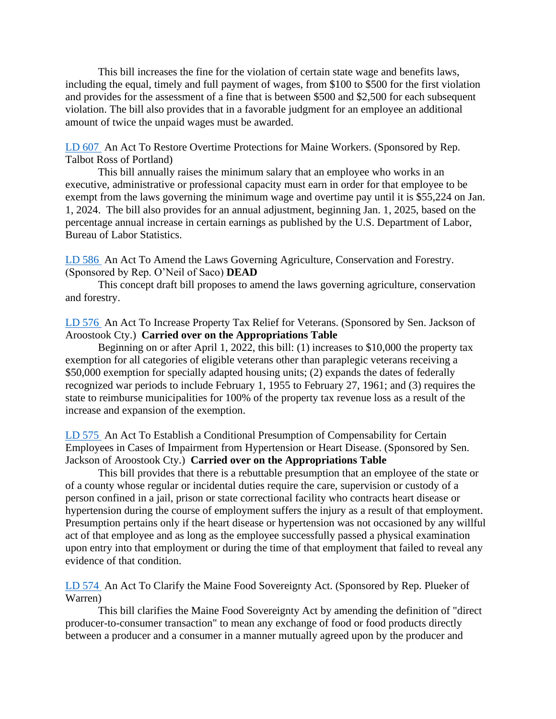This bill increases the fine for the violation of certain state wage and benefits laws, including the equal, timely and full payment of wages, from \$100 to \$500 for the first violation and provides for the assessment of a fine that is between \$500 and \$2,500 for each subsequent violation. The bill also provides that in a favorable judgment for an employee an additional amount of twice the unpaid wages must be awarded.

[LD 607](http://www.mainelegislature.org/legis/bills/getPDF.asp?paper=HP0443&item=1&snum=130) An Act To Restore Overtime Protections for Maine Workers. (Sponsored by Rep. Talbot Ross of Portland)

This bill annually raises the minimum salary that an employee who works in an executive, administrative or professional capacity must earn in order for that employee to be exempt from the laws governing the minimum wage and overtime pay until it is \$55,224 on Jan. 1, 2024. The bill also provides for an annual adjustment, beginning Jan. 1, 2025, based on the percentage annual increase in certain earnings as published by the U.S. Department of Labor, Bureau of Labor Statistics.

[LD 586](http://www.mainelegislature.org/legis/bills/getPDF.asp?paper=HP0429&item=1&snum=130) An Act To Amend the Laws Governing Agriculture, Conservation and Forestry. (Sponsored by Rep. O'Neil of Saco) **DEAD**

This concept draft bill proposes to amend the laws governing agriculture, conservation and forestry.

[LD 576](http://www.mainelegislature.org/legis/bills/getPDF.asp?paper=SP0229&item=1&snum=130) An Act To Increase Property Tax Relief for Veterans. (Sponsored by Sen. Jackson of Aroostook Cty.) **Carried over on the Appropriations Table**

Beginning on or after April 1, 2022, this bill: (1) increases to \$10,000 the property tax exemption for all categories of eligible veterans other than paraplegic veterans receiving a \$50,000 exemption for specially adapted housing units; (2) expands the dates of federally recognized war periods to include February 1, 1955 to February 27, 1961; and (3) requires the state to reimburse municipalities for 100% of the property tax revenue loss as a result of the increase and expansion of the exemption.

[LD 575](http://www.mainelegislature.org/legis/bills/getPDF.asp?paper=SP0228&item=1&snum=130) An Act To Establish a Conditional Presumption of Compensability for Certain Employees in Cases of Impairment from Hypertension or Heart Disease. (Sponsored by Sen. Jackson of Aroostook Cty.) **Carried over on the Appropriations Table**

This bill provides that there is a rebuttable presumption that an employee of the state or of a county whose regular or incidental duties require the care, supervision or custody of a person confined in a jail, prison or state correctional facility who contracts heart disease or hypertension during the course of employment suffers the injury as a result of that employment. Presumption pertains only if the heart disease or hypertension was not occasioned by any willful act of that employee and as long as the employee successfully passed a physical examination upon entry into that employment or during the time of that employment that failed to reveal any evidence of that condition.

[LD 574](http://www.mainelegislature.org/legis/bills/getPDF.asp?paper=HP0419&item=1&snum=130) An Act To Clarify the Maine Food Sovereignty Act. (Sponsored by Rep. Plueker of Warren)

This bill clarifies the Maine Food Sovereignty Act by amending the definition of "direct producer-to-consumer transaction" to mean any exchange of food or food products directly between a producer and a consumer in a manner mutually agreed upon by the producer and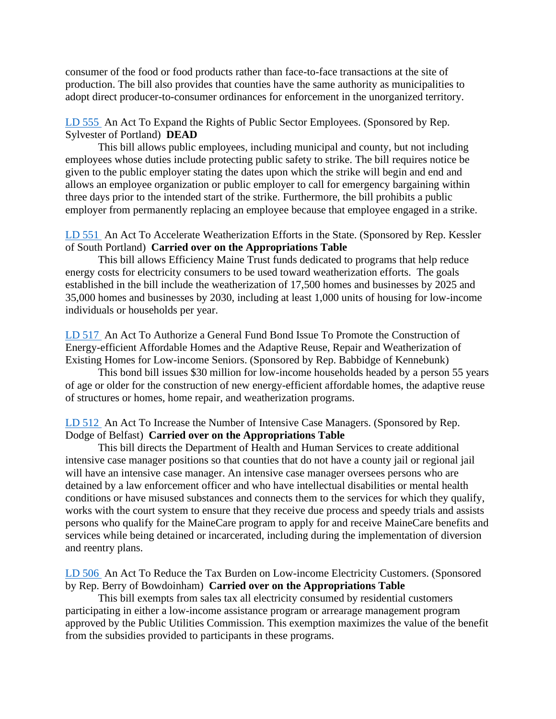consumer of the food or food products rather than face-to-face transactions at the site of production. The bill also provides that counties have the same authority as municipalities to adopt direct producer-to-consumer ordinances for enforcement in the unorganized territory.

## [LD 555](http://www.mainelegislature.org/legis/bills/getPDF.asp?paper=HP0400&item=1&snum=130) An Act To Expand the Rights of Public Sector Employees. (Sponsored by Rep. Sylvester of Portland) **DEAD**

This bill allows public employees, including municipal and county, but not including employees whose duties include protecting public safety to strike. The bill requires notice be given to the public employer stating the dates upon which the strike will begin and end and allows an employee organization or public employer to call for emergency bargaining within three days prior to the intended start of the strike. Furthermore, the bill prohibits a public employer from permanently replacing an employee because that employee engaged in a strike.

## [LD 551](http://www.mainelegislature.org/legis/bills/getPDF.asp?paper=HP0396&item=1&snum=130) An Act To Accelerate Weatherization Efforts in the State. (Sponsored by Rep. Kessler of South Portland) **Carried over on the Appropriations Table**

This bill allows Efficiency Maine Trust funds dedicated to programs that help reduce energy costs for electricity consumers to be used toward weatherization efforts. The goals established in the bill include the weatherization of 17,500 homes and businesses by 2025 and 35,000 homes and businesses by 2030, including at least 1,000 units of housing for low-income individuals or households per year.

[LD 517](http://www.mainelegislature.org/legis/bills/getPDF.asp?paper=HP0380&item=1&snum=130) An Act To Authorize a General Fund Bond Issue To Promote the Construction of Energy-efficient Affordable Homes and the Adaptive Reuse, Repair and Weatherization of Existing Homes for Low-income Seniors. (Sponsored by Rep. Babbidge of Kennebunk)

This bond bill issues \$30 million for low-income households headed by a person 55 years of age or older for the construction of new energy-efficient affordable homes, the adaptive reuse of structures or homes, home repair, and weatherization programs.

# [LD 512](http://www.mainelegislature.org/legis/bills/getPDF.asp?paper=HP0375&item=1&snum=130) An Act To Increase the Number of Intensive Case Managers. (Sponsored by Rep. Dodge of Belfast) **Carried over on the Appropriations Table**

This bill directs the Department of Health and Human Services to create additional intensive case manager positions so that counties that do not have a county jail or regional jail will have an intensive case manager. An intensive case manager oversees persons who are detained by a law enforcement officer and who have intellectual disabilities or mental health conditions or have misused substances and connects them to the services for which they qualify, works with the court system to ensure that they receive due process and speedy trials and assists persons who qualify for the MaineCare program to apply for and receive MaineCare benefits and services while being detained or incarcerated, including during the implementation of diversion and reentry plans.

[LD 506](http://www.mainelegislature.org/legis/bills/getPDF.asp?paper=HP0369&item=1&snum=130) An Act To Reduce the Tax Burden on Low-income Electricity Customers. (Sponsored by Rep. Berry of Bowdoinham) **Carried over on the Appropriations Table**

This bill exempts from sales tax all electricity consumed by residential customers participating in either a low-income assistance program or arrearage management program approved by the Public Utilities Commission. This exemption maximizes the value of the benefit from the subsidies provided to participants in these programs.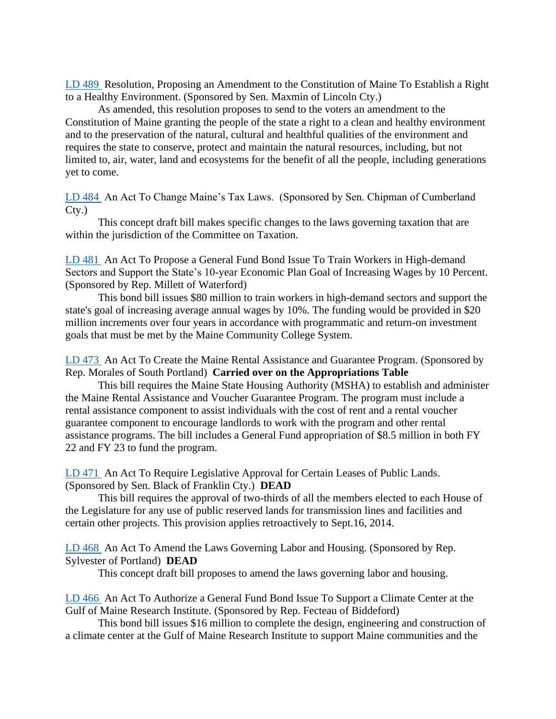[LD 489](http://www.mainelegislature.org/legis/bills/getPDF.asp?paper=SP0196&item=1&snum=130) Resolution, Proposing an Amendment to the Constitution of Maine To Establish a Right to a Healthy Environment. (Sponsored by Sen. Maxmin of Lincoln Cty.)

As amended, this resolution proposes to send to the voters an amendment to the Constitution of Maine granting the people of the state a right to a clean and healthy environment and to the preservation of the natural, cultural and healthful qualities of the environment and requires the state to conserve, protect and maintain the natural resources, including, but not limited to, air, water, land and ecosystems for the benefit of all the people, including generations yet to come.

[LD 484](http://www.mainelegislature.org/legis/bills/getPDF.asp?paper=SP0190&item=1&snum=130) An Act To Change Maine's Tax Laws. (Sponsored by Sen. Chipman of Cumberland Cty.)

This concept draft bill makes specific changes to the laws governing taxation that are within the jurisdiction of the Committee on Taxation.

[LD 481](http://www.mainelegislature.org/legis/bills/getPDF.asp?paper=HP0355&item=1&snum=130) An Act To Propose a General Fund Bond Issue To Train Workers in High-demand Sectors and Support the State's 10-year Economic Plan Goal of Increasing Wages by 10 Percent. (Sponsored by Rep. Millett of Waterford)

This bond bill issues \$80 million to train workers in high-demand sectors and support the state's goal of increasing average annual wages by 10%. The funding would be provided in \$20 million increments over four years in accordance with programmatic and return-on investment goals that must be met by the Maine Community College System.

[LD 473](http://www.mainelegislature.org/legis/bills/getPDF.asp?paper=HP0347&item=1&snum=130) An Act To Create the Maine Rental Assistance and Guarantee Program. (Sponsored by Rep. Morales of South Portland) **Carried over on the Appropriations Table**

This bill requires the Maine State Housing Authority (MSHA) to establish and administer the Maine Rental Assistance and Voucher Guarantee Program. The program must include a rental assistance component to assist individuals with the cost of rent and a rental voucher guarantee component to encourage landlords to work with the program and other rental assistance programs. The bill includes a General Fund appropriation of \$8.5 million in both FY 22 and FY 23 to fund the program.

[LD 471](http://www.mainelegislature.org/legis/bills/getPDF.asp?paper=SP0177&item=1&snum=130) An Act To Require Legislative Approval for Certain Leases of Public Lands. (Sponsored by Sen. Black of Franklin Cty.) **DEAD**

This bill requires the approval of two-thirds of all the members elected to each House of the Legislature for any use of public reserved lands for transmission lines and facilities and certain other projects. This provision applies retroactively to Sept.16, 2014.

[LD 468](http://www.mainelegislature.org/legis/bills/getPDF.asp?paper=HP0344&item=1&snum=130) An Act To Amend the Laws Governing Labor and Housing. (Sponsored by Rep. Sylvester of Portland) **DEAD**

This concept draft bill proposes to amend the laws governing labor and housing.

[LD 466](http://www.mainelegislature.org/legis/bills/getPDF.asp?paper=HP0342&item=1&snum=130) An Act To Authorize a General Fund Bond Issue To Support a Climate Center at the Gulf of Maine Research Institute. (Sponsored by Rep. Fecteau of Biddeford)

This bond bill issues \$16 million to complete the design, engineering and construction of a climate center at the Gulf of Maine Research Institute to support Maine communities and the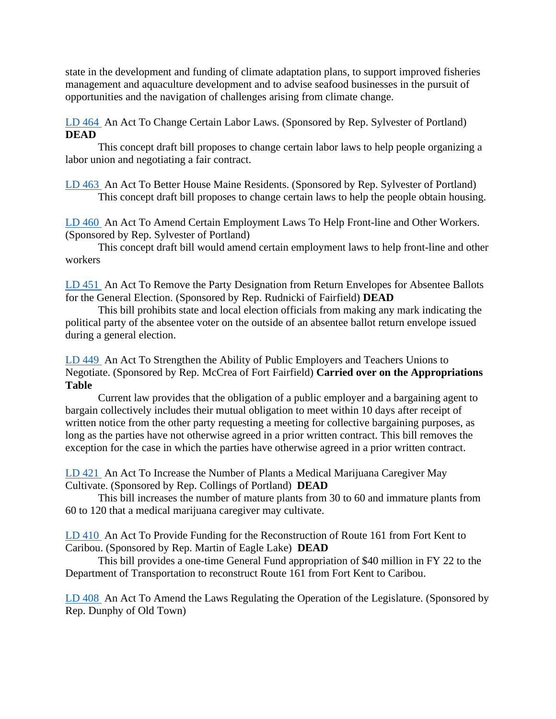state in the development and funding of climate adaptation plans, to support improved fisheries management and aquaculture development and to advise seafood businesses in the pursuit of opportunities and the navigation of challenges arising from climate change.

[LD 464](http://www.mainelegislature.org/legis/bills/getPDF.asp?paper=HP0340&item=1&snum=130) An Act To Change Certain Labor Laws. (Sponsored by Rep. Sylvester of Portland) **DEAD**

This concept draft bill proposes to change certain labor laws to help people organizing a labor union and negotiating a fair contract.

[LD 463](http://www.mainelegislature.org/legis/bills/getPDF.asp?paper=HP0339&item=1&snum=130) An Act To Better House Maine Residents. (Sponsored by Rep. Sylvester of Portland) This concept draft bill proposes to change certain laws to help the people obtain housing.

[LD 460](http://www.mainelegislature.org/legis/bills/getPDF.asp?paper=HP0336&item=1&snum=130) An Act To Amend Certain Employment Laws To Help Front-line and Other Workers. (Sponsored by Rep. Sylvester of Portland)

This concept draft bill would amend certain employment laws to help front-line and other workers

[LD 451](http://www.mainelegislature.org/legis/bills/getPDF.asp?paper=HP0327&item=1&snum=130) An Act To Remove the Party Designation from Return Envelopes for Absentee Ballots for the General Election. (Sponsored by Rep. Rudnicki of Fairfield) **DEAD**

This bill prohibits state and local election officials from making any mark indicating the political party of the absentee voter on the outside of an absentee ballot return envelope issued during a general election.

[LD 449](http://www.mainelegislature.org/legis/bills/getPDF.asp?paper=HP0325&item=1&snum=130) An Act To Strengthen the Ability of Public Employers and Teachers Unions to Negotiate. (Sponsored by Rep. McCrea of Fort Fairfield) **Carried over on the Appropriations Table**

Current law provides that the obligation of a public employer and a bargaining agent to bargain collectively includes their mutual obligation to meet within 10 days after receipt of written notice from the other party requesting a meeting for collective bargaining purposes, as long as the parties have not otherwise agreed in a prior written contract. This bill removes the exception for the case in which the parties have otherwise agreed in a prior written contract.

[LD 421](http://www.mainelegislature.org/legis/bills/getPDF.asp?paper=HP0305&item=1&snum=130) An Act To Increase the Number of Plants a Medical Marijuana Caregiver May Cultivate. (Sponsored by Rep. Collings of Portland) **DEAD**

This bill increases the number of mature plants from 30 to 60 and immature plants from 60 to 120 that a medical marijuana caregiver may cultivate.

[LD 410](http://www.mainelegislature.org/legis/bills/getPDF.asp?paper=HP0294&item=1&snum=130) An Act To Provide Funding for the Reconstruction of Route 161 from Fort Kent to Caribou. (Sponsored by Rep. Martin of Eagle Lake) **DEAD**

This bill provides a one-time General Fund appropriation of \$40 million in FY 22 to the Department of Transportation to reconstruct Route 161 from Fort Kent to Caribou.

[LD 408](http://www.mainelegislature.org/legis/bills/getPDF.asp?paper=HP0292&item=1&snum=130) An Act To Amend the Laws Regulating the Operation of the Legislature. (Sponsored by Rep. Dunphy of Old Town)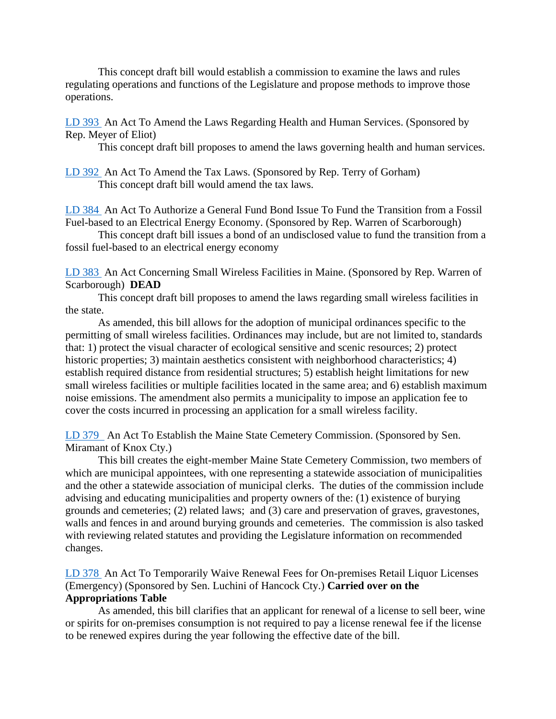This concept draft bill would establish a commission to examine the laws and rules regulating operations and functions of the Legislature and propose methods to improve those operations.

[LD 393](http://www.mainelegislature.org/legis/bills/getPDF.asp?paper=HP0277&item=1&snum=130) An Act To Amend the Laws Regarding Health and Human Services. (Sponsored by Rep. Meyer of Eliot)

This concept draft bill proposes to amend the laws governing health and human services.

[LD 392](http://www.mainelegislature.org/legis/bills/getPDF.asp?paper=HP0276&item=1&snum=130) An Act To Amend the Tax Laws. (Sponsored by Rep. Terry of Gorham) This concept draft bill would amend the tax laws.

[LD 384](http://www.mainelegislature.org/legis/bills/getPDF.asp?paper=HP0268&item=1&snum=130) An Act To Authorize a General Fund Bond Issue To Fund the Transition from a Fossil Fuel-based to an Electrical Energy Economy. (Sponsored by Rep. Warren of Scarborough)

This concept draft bill issues a bond of an undisclosed value to fund the transition from a fossil fuel-based to an electrical energy economy

[LD 383](http://www.mainelegislature.org/legis/bills/getPDF.asp?paper=HP0267&item=1&snum=130) An Act Concerning Small Wireless Facilities in Maine. (Sponsored by Rep. Warren of Scarborough) **DEAD**

This concept draft bill proposes to amend the laws regarding small wireless facilities in the state.

As amended, this bill allows for the adoption of municipal ordinances specific to the permitting of small wireless facilities. Ordinances may include, but are not limited to, standards that: 1) protect the visual character of ecological sensitive and scenic resources; 2) protect historic properties; 3) maintain aesthetics consistent with neighborhood characteristics; 4) establish required distance from residential structures; 5) establish height limitations for new small wireless facilities or multiple facilities located in the same area; and 6) establish maximum noise emissions. The amendment also permits a municipality to impose an application fee to cover the costs incurred in processing an application for a small wireless facility.

[LD 379](http://www.mainelegislature.org/legis/bills/getPDF.asp?paper=SP0167&item=1&snum=130) An Act To Establish the Maine State Cemetery Commission. (Sponsored by Sen. Miramant of Knox Cty.)

This bill creates the eight-member Maine State Cemetery Commission, two members of which are municipal appointees, with one representing a statewide association of municipalities and the other a statewide association of municipal clerks. The duties of the commission include advising and educating municipalities and property owners of the: (1) existence of burying grounds and cemeteries; (2) related laws; and (3) care and preservation of graves, gravestones, walls and fences in and around burying grounds and cemeteries. The commission is also tasked with reviewing related statutes and providing the Legislature information on recommended changes.

[LD 378](http://www.mainelegislature.org/legis/bills/getPDF.asp?paper=SP0166&item=1&snum=130) An Act To Temporarily Waive Renewal Fees for On-premises Retail Liquor Licenses (Emergency) (Sponsored by Sen. Luchini of Hancock Cty.) **Carried over on the Appropriations Table**

As amended, this bill clarifies that an applicant for renewal of a license to sell beer, wine or spirits for on-premises consumption is not required to pay a license renewal fee if the license to be renewed expires during the year following the effective date of the bill.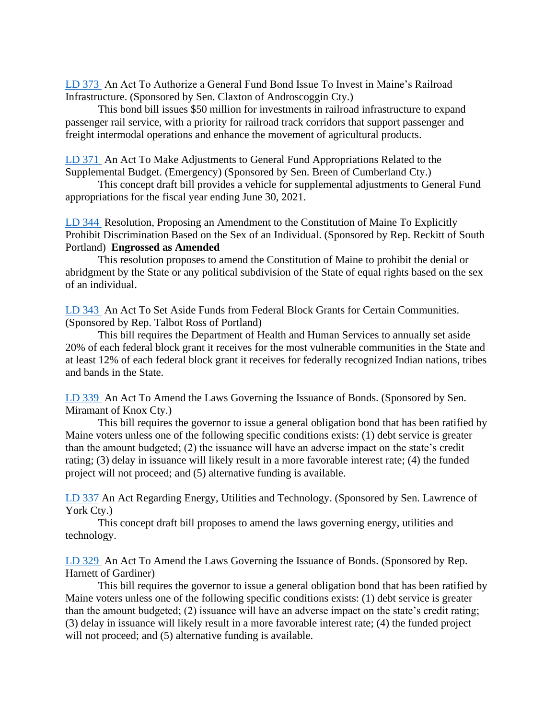[LD 373](http://www.mainelegislature.org/legis/bills/getPDF.asp?paper=SP0159&item=1&snum=130) An Act To Authorize a General Fund Bond Issue To Invest in Maine's Railroad Infrastructure. (Sponsored by Sen. Claxton of Androscoggin Cty.)

This bond bill issues \$50 million for investments in railroad infrastructure to expand passenger rail service, with a priority for railroad track corridors that support passenger and freight intermodal operations and enhance the movement of agricultural products.

[LD 371](http://www.mainelegislature.org/legis/bills/getPDF.asp?paper=SP0157&item=1&snum=130) An Act To Make Adjustments to General Fund Appropriations Related to the Supplemental Budget. (Emergency) (Sponsored by Sen. Breen of Cumberland Cty.)

This concept draft bill provides a vehicle for supplemental adjustments to General Fund appropriations for the fiscal year ending June 30, 2021.

[LD 344](http://www.mainelegislature.org/legis/bills/getPDF.asp?paper=HP0242&item=1&snum=130) Resolution, Proposing an Amendment to the Constitution of Maine To Explicitly Prohibit Discrimination Based on the Sex of an Individual. (Sponsored by Rep. Reckitt of South Portland) **Engrossed as Amended**

This resolution proposes to amend the Constitution of Maine to prohibit the denial or abridgment by the State or any political subdivision of the State of equal rights based on the sex of an individual.

[LD 343](http://www.mainelegislature.org/legis/bills/getPDF.asp?paper=HP0241&item=1&snum=130) An Act To Set Aside Funds from Federal Block Grants for Certain Communities. (Sponsored by Rep. Talbot Ross of Portland)

This bill requires the Department of Health and Human Services to annually set aside 20% of each federal block grant it receives for the most vulnerable communities in the State and at least 12% of each federal block grant it receives for federally recognized Indian nations, tribes and bands in the State.

[LD 339](http://www.mainelegislature.org/legis/bills/getPDF.asp?paper=SP0146&item=1&snum=130) An Act To Amend the Laws Governing the Issuance of Bonds. (Sponsored by Sen. Miramant of Knox Cty.)

This bill requires the governor to issue a general obligation bond that has been ratified by Maine voters unless one of the following specific conditions exists: (1) debt service is greater than the amount budgeted; (2) the issuance will have an adverse impact on the state's credit rating; (3) delay in issuance will likely result in a more favorable interest rate; (4) the funded project will not proceed; and (5) alternative funding is available.

[LD 337](http://www.mainelegislature.org/legis/bills/getPDF.asp?paper=SP0143&item=1&snum=130) An Act Regarding Energy, Utilities and Technology. (Sponsored by Sen. Lawrence of York Cty.)

This concept draft bill proposes to amend the laws governing energy, utilities and technology.

[LD 329](http://www.mainelegislature.org/legis/bills/getPDF.asp?paper=HP0233&item=1&snum=130) An Act To Amend the Laws Governing the Issuance of Bonds. (Sponsored by Rep. Harnett of Gardiner)

This bill requires the governor to issue a general obligation bond that has been ratified by Maine voters unless one of the following specific conditions exists: (1) debt service is greater than the amount budgeted; (2) issuance will have an adverse impact on the state's credit rating; (3) delay in issuance will likely result in a more favorable interest rate; (4) the funded project will not proceed; and  $(5)$  alternative funding is available.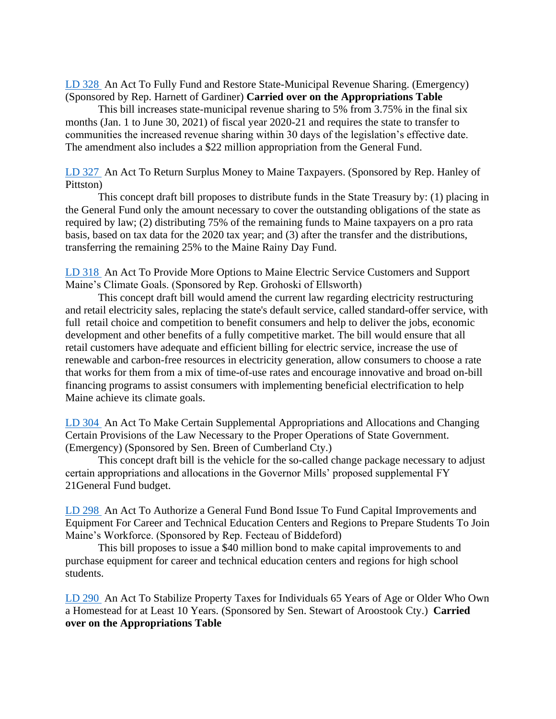[LD 328](http://www.mainelegislature.org/legis/bills/getPDF.asp?paper=HP0232&item=1&snum=130) An Act To Fully Fund and Restore State-Municipal Revenue Sharing. (Emergency) (Sponsored by Rep. Harnett of Gardiner) **Carried over on the Appropriations Table**

This bill increases state-municipal revenue sharing to 5% from 3.75% in the final six months (Jan. 1 to June 30, 2021) of fiscal year 2020-21 and requires the state to transfer to communities the increased revenue sharing within 30 days of the legislation's effective date. The amendment also includes a \$22 million appropriation from the General Fund.

[LD 327](http://www.mainelegislature.org/legis/bills/getPDF.asp?paper=HP0231&item=1&snum=130) An Act To Return Surplus Money to Maine Taxpayers. (Sponsored by Rep. Hanley of Pittston)

This concept draft bill proposes to distribute funds in the State Treasury by: (1) placing in the General Fund only the amount necessary to cover the outstanding obligations of the state as required by law; (2) distributing 75% of the remaining funds to Maine taxpayers on a pro rata basis, based on tax data for the 2020 tax year; and (3) after the transfer and the distributions, transferring the remaining 25% to the Maine Rainy Day Fund.

[LD 318](http://www.mainelegislature.org/legis/bills/getPDF.asp?paper=HP0222&item=1&snum=130) An Act To Provide More Options to Maine Electric Service Customers and Support Maine's Climate Goals. (Sponsored by Rep. Grohoski of Ellsworth)

This concept draft bill would amend the current law regarding electricity restructuring and retail electricity sales, replacing the state's default service, called standard-offer service, with full retail choice and competition to benefit consumers and help to deliver the jobs, economic development and other benefits of a fully competitive market. The bill would ensure that all retail customers have adequate and efficient billing for electric service, increase the use of renewable and carbon-free resources in electricity generation, allow consumers to choose a rate that works for them from a mix of time-of-use rates and encourage innovative and broad on-bill financing programs to assist consumers with implementing beneficial electrification to help Maine achieve its climate goals.

[LD 304](http://www.mainelegislature.org/legis/bills/getPDF.asp?paper=SP0129&item=1&snum=130) An Act To Make Certain Supplemental Appropriations and Allocations and Changing Certain Provisions of the Law Necessary to the Proper Operations of State Government. (Emergency) (Sponsored by Sen. Breen of Cumberland Cty.)

This concept draft bill is the vehicle for the so-called change package necessary to adjust certain appropriations and allocations in the Governor Mills' proposed supplemental FY 21General Fund budget.

[LD 298](http://www.mainelegislature.org/legis/bills/getPDF.asp?paper=HP0211&item=1&snum=130) An Act To Authorize a General Fund Bond Issue To Fund Capital Improvements and Equipment For Career and Technical Education Centers and Regions to Prepare Students To Join Maine's Workforce. (Sponsored by Rep. Fecteau of Biddeford)

This bill proposes to issue a \$40 million bond to make capital improvements to and purchase equipment for career and technical education centers and regions for high school students.

[LD 290](http://www.mainelegislature.org/legis/bills/getPDF.asp?paper=SP0126&item=1&snum=130) An Act To Stabilize Property Taxes for Individuals 65 Years of Age or Older Who Own a Homestead for at Least 10 Years. (Sponsored by Sen. Stewart of Aroostook Cty.) **Carried over on the Appropriations Table**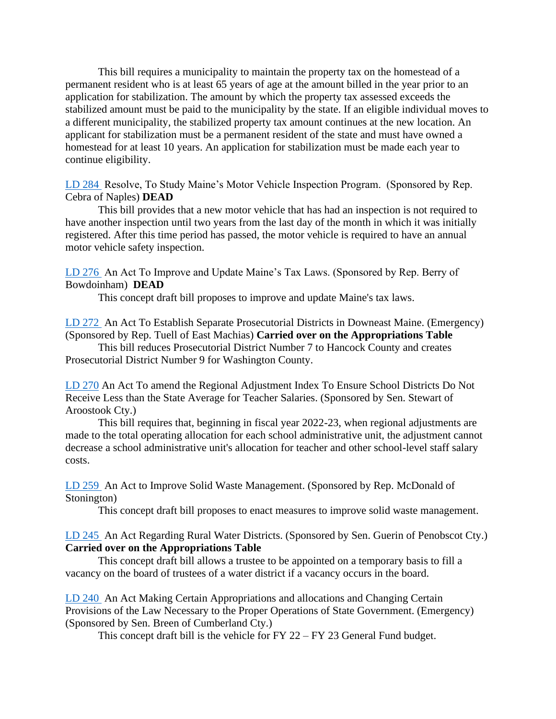This bill requires a municipality to maintain the property tax on the homestead of a permanent resident who is at least 65 years of age at the amount billed in the year prior to an application for stabilization. The amount by which the property tax assessed exceeds the stabilized amount must be paid to the municipality by the state. If an eligible individual moves to a different municipality, the stabilized property tax amount continues at the new location. An applicant for stabilization must be a permanent resident of the state and must have owned a homestead for at least 10 years. An application for stabilization must be made each year to continue eligibility.

[LD 284](http://www.mainelegislature.org/legis/bills/getPDF.asp?paper=HP0200&item=1&snum=130) Resolve, To Study Maine's Motor Vehicle Inspection Program. (Sponsored by Rep. Cebra of Naples) **DEAD**

This bill provides that a new motor vehicle that has had an inspection is not required to have another inspection until two years from the last day of the month in which it was initially registered. After this time period has passed, the motor vehicle is required to have an annual motor vehicle safety inspection.

[LD 276](http://www.mainelegislature.org/legis/bills/getPDF.asp?paper=HP0192&item=1&snum=130) An Act To Improve and Update Maine's Tax Laws. (Sponsored by Rep. Berry of Bowdoinham) **DEAD**

This concept draft bill proposes to improve and update Maine's tax laws.

[LD 272](http://www.mainelegislature.org/legis/bills/getPDF.asp?paper=HP0188&item=1&snum=130) An Act To Establish Separate Prosecutorial Districts in Downeast Maine. (Emergency) (Sponsored by Rep. Tuell of East Machias) **Carried over on the Appropriations Table**

This bill reduces Prosecutorial District Number 7 to Hancock County and creates Prosecutorial District Number 9 for Washington County.

[LD 270](http://www.mainelegislature.org/legis/bills/getPDF.asp?paper=SP0121&item=1&snum=130) An Act To amend the Regional Adjustment Index To Ensure School Districts Do Not Receive Less than the State Average for Teacher Salaries. (Sponsored by Sen. Stewart of Aroostook Cty.)

This bill requires that, beginning in fiscal year 2022-23, when regional adjustments are made to the total operating allocation for each school administrative unit, the adjustment cannot decrease a school administrative unit's allocation for teacher and other school-level staff salary costs.

[LD 259](http://www.mainelegislature.org/legis/bills/getPDF.asp?paper=HP0180&item=1&snum=130) An Act to Improve Solid Waste Management. (Sponsored by Rep. McDonald of Stonington)

This concept draft bill proposes to enact measures to improve solid waste management.

## [LD 245](http://www.mainelegislature.org/legis/bills/getPDF.asp?paper=SP0106&item=1&snum=130) An Act Regarding Rural Water Districts. (Sponsored by Sen. Guerin of Penobscot Cty.) **Carried over on the Appropriations Table**

This concept draft bill allows a trustee to be appointed on a temporary basis to fill a vacancy on the board of trustees of a water district if a vacancy occurs in the board.

[LD 240](http://www.mainelegislature.org/legis/bills/getPDF.asp?paper=SP0101&item=1&snum=130) An Act Making Certain Appropriations and allocations and Changing Certain Provisions of the Law Necessary to the Proper Operations of State Government. (Emergency) (Sponsored by Sen. Breen of Cumberland Cty.)

This concept draft bill is the vehicle for FY 22 – FY 23 General Fund budget.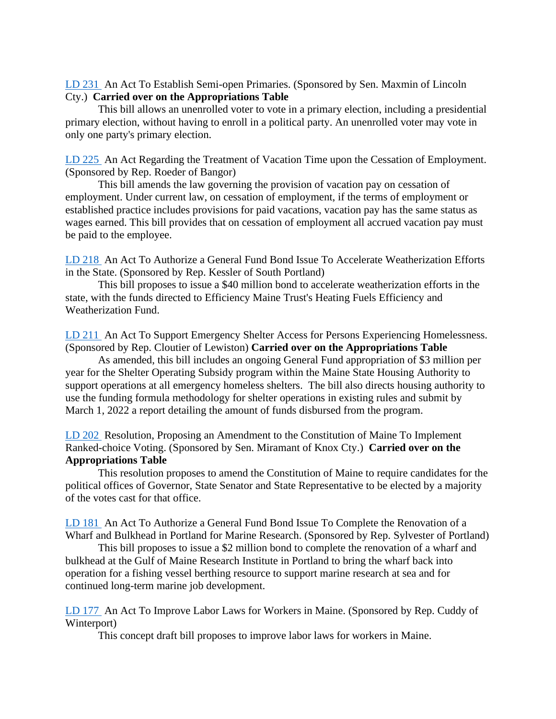[LD 231](http://www.mainelegislature.org/legis/bills/getPDF.asp?paper=SP0099&item=1&snum=130) An Act To Establish Semi-open Primaries. (Sponsored by Sen. Maxmin of Lincoln Cty.) **Carried over on the Appropriations Table**

This bill allows an unenrolled voter to vote in a primary election, including a presidential primary election, without having to enroll in a political party. An unenrolled voter may vote in only one party's primary election.

[LD 225](http://www.mainelegislature.org/legis/bills/getPDF.asp?paper=HP0160&item=1&snum=130) An Act Regarding the Treatment of Vacation Time upon the Cessation of Employment. (Sponsored by Rep. Roeder of Bangor)

This bill amends the law governing the provision of vacation pay on cessation of employment. Under current law, on cessation of employment, if the terms of employment or established practice includes provisions for paid vacations, vacation pay has the same status as wages earned. This bill provides that on cessation of employment all accrued vacation pay must be paid to the employee.

[LD 218](http://www.mainelegislature.org/legis/bills/getPDF.asp?paper=HP0153&item=1&snum=130) An Act To Authorize a General Fund Bond Issue To Accelerate Weatherization Efforts in the State. (Sponsored by Rep. Kessler of South Portland)

This bill proposes to issue a \$40 million bond to accelerate weatherization efforts in the state, with the funds directed to Efficiency Maine Trust's Heating Fuels Efficiency and Weatherization Fund.

[LD 211](http://www.mainelegislature.org/legis/bills/getPDF.asp?paper=HP0146&item=1&snum=130) An Act To Support Emergency Shelter Access for Persons Experiencing Homelessness. (Sponsored by Rep. Cloutier of Lewiston) **Carried over on the Appropriations Table**

As amended, this bill includes an ongoing General Fund appropriation of \$3 million per year for the Shelter Operating Subsidy program within the Maine State Housing Authority to support operations at all emergency homeless shelters. The bill also directs housing authority to use the funding formula methodology for shelter operations in existing rules and submit by March 1, 2022 a report detailing the amount of funds disbursed from the program.

[LD 202](http://www.mainelegislature.org/legis/bills/getPDF.asp?paper=SP0091&item=1&snum=130) Resolution, Proposing an Amendment to the Constitution of Maine To Implement Ranked-choice Voting. (Sponsored by Sen. Miramant of Knox Cty.) **Carried over on the Appropriations Table**

This resolution proposes to amend the Constitution of Maine to require candidates for the political offices of Governor, State Senator and State Representative to be elected by a majority of the votes cast for that office.

[LD 181](http://www.mainelegislature.org/legis/bills/getPDF.asp?paper=HP0134&item=1&snum=130) An Act To Authorize a General Fund Bond Issue To Complete the Renovation of a Wharf and Bulkhead in Portland for Marine Research. (Sponsored by Rep. Sylvester of Portland)

This bill proposes to issue a \$2 million bond to complete the renovation of a wharf and bulkhead at the Gulf of Maine Research Institute in Portland to bring the wharf back into operation for a fishing vessel berthing resource to support marine research at sea and for continued long-term marine job development.

[LD 177](http://www.mainelegislature.org/legis/bills/getPDF.asp?paper=HP0130&item=1&snum=130) An Act To Improve Labor Laws for Workers in Maine. (Sponsored by Rep. Cuddy of Winterport)

This concept draft bill proposes to improve labor laws for workers in Maine.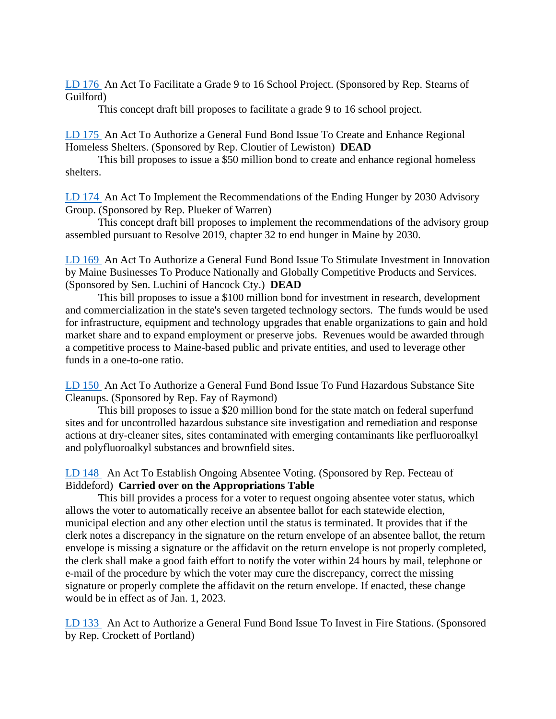[LD 176](http://www.mainelegislature.org/legis/bills/getPDF.asp?paper=HP0129&item=1&snum=130) An Act To Facilitate a Grade 9 to 16 School Project. (Sponsored by Rep. Stearns of Guilford)

This concept draft bill proposes to facilitate a grade 9 to 16 school project.

[LD 175](http://www.mainelegislature.org/legis/bills/getPDF.asp?paper=HP0128&item=1&snum=130) An Act To Authorize a General Fund Bond Issue To Create and Enhance Regional Homeless Shelters. (Sponsored by Rep. Cloutier of Lewiston) **DEAD**

This bill proposes to issue a \$50 million bond to create and enhance regional homeless shelters.

[LD 174](http://www.mainelegislature.org/legis/bills/getPDF.asp?paper=HP0127&item=1&snum=130) An Act To Implement the Recommendations of the Ending Hunger by 2030 Advisory Group. (Sponsored by Rep. Plueker of Warren)

This concept draft bill proposes to implement the recommendations of the advisory group assembled pursuant to Resolve 2019, chapter 32 to end hunger in Maine by 2030.

[LD 169](http://www.mainelegislature.org/legis/bills/getPDF.asp?paper=SP0073&item=1&snum=130) An Act To Authorize a General Fund Bond Issue To Stimulate Investment in Innovation by Maine Businesses To Produce Nationally and Globally Competitive Products and Services. (Sponsored by Sen. Luchini of Hancock Cty.) **DEAD**

This bill proposes to issue a \$100 million bond for investment in research, development and commercialization in the state's seven targeted technology sectors. The funds would be used for infrastructure, equipment and technology upgrades that enable organizations to gain and hold market share and to expand employment or preserve jobs. Revenues would be awarded through a competitive process to Maine-based public and private entities, and used to leverage other funds in a one-to-one ratio.

[LD 150](http://www.mainelegislature.org/legis/bills/getPDF.asp?paper=HP0106&item=1&snum=130) An Act To Authorize a General Fund Bond Issue To Fund Hazardous Substance Site Cleanups. (Sponsored by Rep. Fay of Raymond)

This bill proposes to issue a \$20 million bond for the state match on federal superfund sites and for uncontrolled hazardous substance site investigation and remediation and response actions at dry-cleaner sites, sites contaminated with emerging contaminants like perfluoroalkyl and polyfluoroalkyl substances and brownfield sites.

[LD 148](http://www.mainelegislature.org/legis/bills/getPDF.asp?paper=HP0104&item=1&snum=130) An Act To Establish Ongoing Absentee Voting. (Sponsored by Rep. Fecteau of Biddeford) **Carried over on the Appropriations Table**

This bill provides a process for a voter to request ongoing absentee voter status, which allows the voter to automatically receive an absentee ballot for each statewide election, municipal election and any other election until the status is terminated. It provides that if the clerk notes a discrepancy in the signature on the return envelope of an absentee ballot, the return envelope is missing a signature or the affidavit on the return envelope is not properly completed, the clerk shall make a good faith effort to notify the voter within 24 hours by mail, telephone or e-mail of the procedure by which the voter may cure the discrepancy, correct the missing signature or properly complete the affidavit on the return envelope. If enacted, these change would be in effect as of Jan. 1, 2023.

[LD 133](http://www.mainelegislature.org/legis/bills/getPDF.asp?paper=HP0089&item=1&snum=130) An Act to Authorize a General Fund Bond Issue To Invest in Fire Stations. (Sponsored by Rep. Crockett of Portland)